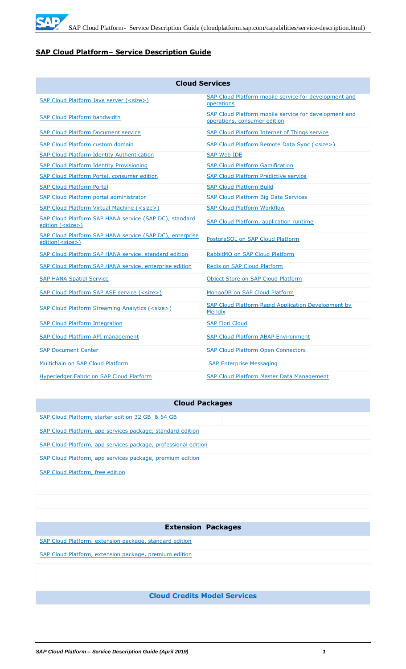

# **SAP Cloud Platform– Service Description Guide**

| <b>Cloud Services</b>                                                               |                                                                                       |  |  |
|-------------------------------------------------------------------------------------|---------------------------------------------------------------------------------------|--|--|
| SAP Cloud Platform Java server ( <size>)</size>                                     | SAP Cloud Platform mobile service for development and<br>operations                   |  |  |
| <b>SAP Cloud Platform bandwidth</b>                                                 | SAP Cloud Platform mobile service for development and<br>operations, consumer edition |  |  |
| <b>SAP Cloud Platform Document service</b>                                          | SAP Cloud Platform Internet of Things service                                         |  |  |
| <b>SAP Cloud Platform custom domain</b>                                             | SAP Cloud Platform Remote Data Sync ( <size>)</size>                                  |  |  |
| <b>SAP Cloud Platform Identity Authentication</b>                                   | <b>SAP Web IDE</b>                                                                    |  |  |
| <b>SAP Cloud Platform Identity Provisioning</b>                                     | <b>SAP Cloud Platform Gamification</b>                                                |  |  |
| SAP Cloud Platform Portal, consumer edition                                         | <b>SAP Cloud Platform Predictive service</b>                                          |  |  |
| <b>SAP Cloud Platform Portal</b>                                                    | <b>SAP Cloud Platform Build</b>                                                       |  |  |
| <b>SAP Cloud Platform portal administrator</b>                                      | <b>SAP Cloud Platform Big Data Services</b>                                           |  |  |
| <b>SAP Cloud Platform Virtual Machine (<size>)</size></b>                           | <b>SAP Cloud Platform Workflow</b>                                                    |  |  |
| SAP Cloud Platform SAP HANA service (SAP DC), standard<br>edition ( <size>)</size>  | SAP Cloud Platform, application runtime                                               |  |  |
| SAP Cloud Platform SAP HANA service (SAP DC), enterprise<br>edition( <size>)</size> | PostareSOL on SAP Cloud Platform                                                      |  |  |
| SAP Cloud Platform SAP HANA service, standard edition                               | RabbitMQ on SAP Cloud Platform                                                        |  |  |
| SAP Cloud Platform SAP HANA service, enterprise edition                             | Redis on SAP Cloud Platform                                                           |  |  |
| <b>SAP HANA Spatial Service</b>                                                     | Object Store on SAP Cloud Platform                                                    |  |  |
| SAP Cloud Platform SAP ASE service ( <size>)</size>                                 | MongoDB on SAP Cloud Platform                                                         |  |  |
| SAP Cloud Platform Streaming Analytics ( <size>)</size>                             | SAP Cloud Platform Rapid Application Development by<br><b>Mendix</b>                  |  |  |
| <b>SAP Cloud Platform Integration</b>                                               | <b>SAP Fiori Cloud</b>                                                                |  |  |
| <b>SAP Cloud Platform API management</b>                                            | <b>SAP Cloud Platform ABAP Environment</b>                                            |  |  |
| <b>SAP Document Center</b>                                                          | <b>SAP Cloud Platform Open Connectors</b>                                             |  |  |
| Multichain on SAP Cloud Platform                                                    | <b>SAP Enterprise Messaging</b>                                                       |  |  |
| Hyperledger Fabric on SAP Cloud Platform                                            | SAP Cloud Platform Master Data Management                                             |  |  |

# **Cloud Packages**

| SAP Cloud Platform, starter edition 32 GB & 64 GB              |
|----------------------------------------------------------------|
| SAP Cloud Platform, app services package, standard edition     |
| SAP Cloud Platform, app services package, professional edition |
| SAP Cloud Platform, app services package, premium edition      |
| <b>SAP Cloud Platform, free edition</b>                        |
|                                                                |
|                                                                |
|                                                                |
| <b>Extension Packages</b>                                      |
| SAP Cloud Platform, extension package, standard edition        |
| SAP Cloud Platform, extension package, premium edition         |
|                                                                |
|                                                                |
| <b>Cloud Credits Model Services</b>                            |
|                                                                |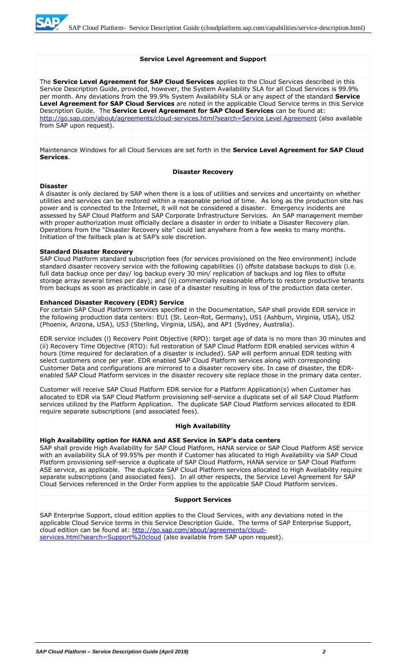#### **Service Level Agreement and Support**

The **Service Level Agreement for SAP Cloud Services** applies to the Cloud Services described in this Service Description Guide, provided, however, the System Availability SLA for all Cloud Services is 99.9% per month. Any deviations from the 99.9% System Availability SLA or any aspect of the standard **Service Level Agreement for SAP Cloud Services** are noted in the applicable Cloud Service terms in this Service Description Guide. The **Service Level Agreement for SAP Cloud Services** can be found at: [http://go.sap.com/about/agreements/cloud-services.html?search=Service Level Agreement](http://go.sap.com/about/agreements/cloud-services.html?search=Service%20Level%20Agreement) (also available from SAP upon request).

Maintenance Windows for all Cloud Services are set forth in the **Service Level Agreement for SAP Cloud Services**.

#### **Disaster Recovery**

#### **Disaster**

A disaster is only declared by SAP when there is a loss of utilities and services and uncertainty on whether utilities and services can be restored within a reasonable period of time. As long as the production site has power and is connected to the Internet, it will not be considered a disaster. Emergency incidents are assessed by SAP Cloud Platform and SAP Corporate Infrastructure Services. An SAP management member with proper authorization must officially declare a disaster in order to initiate a Disaster Recovery plan. Operations from the "Disaster Recovery site" could last anywhere from a few weeks to many months. Initiation of the failback plan is at SAP's sole discretion.

#### **Standard Disaster Recovery**

SAP Cloud Platform standard subscription fees (for services provisioned on the Neo environment) include standard disaster recovery service with the following capabilities (i) offsite database backups to disk (i.e. full data backup once per day/ log backup every 30 min/ replication of backups and log files to offsite storage array several times per day); and (ii) commercially reasonable efforts to restore productive tenants from backups as soon as practicable in case of a disaster resulting in loss of the production data center.

#### **Enhanced Disaster Recovery (EDR) Service**

For certain SAP Cloud Platform services specified in the Documentation, SAP shall provide EDR service in the following production data centers: EU1 (St. Leon-Rot, Germany), US1 (Ashburn, Virginia, USA), US2 (Phoenix, Arizona, USA), US3 (Sterling, Virginia, USA), and AP1 (Sydney, Australia).

EDR service includes (i) Recovery Point Objective (RPO): target age of data is no more than 30 minutes and (ii) Recovery Time Objective (RTO): full restoration of SAP Cloud Platform EDR enabled services within 4 hours (time required for declaration of a disaster is included). SAP will perform annual EDR testing with select customers once per year. EDR enabled SAP Cloud Platform services along with corresponding Customer Data and configurations are mirrored to a disaster recovery site. In case of disaster, the EDRenabled SAP Cloud Platform services in the disaster recovery site replace those in the primary data center.

Customer will receive SAP Cloud Platform EDR service for a Platform Application(s) when Customer has allocated to EDR via SAP Cloud Platform provisioning self-service a duplicate set of all SAP Cloud Platform services utilized by the Platform Application. The duplicate SAP Cloud Platform services allocated to EDR require separate subscriptions (and associated fees).

#### **High Availability**

#### **High Availability option for HANA and ASE Service in SAP's data centers**

SAP shall provide High Availability for SAP Cloud Platform, HANA service or SAP Cloud Platform ASE service with an availability SLA of 99.95% per month if Customer has allocated to High Availability via SAP Cloud Platform provisioning self-service a duplicate of SAP Cloud Platform, HANA service or SAP Cloud Platform ASE service, as applicable. The duplicate SAP Cloud Platform services allocated to High Availability require separate subscriptions (and associated fees). In all other respects, the Service Level Agreement for SAP Cloud Services referenced in the Order Form applies to the applicable SAP Cloud Platform services.

#### **Support Services**

SAP Enterprise Support, cloud edition applies to the Cloud Services, with any deviations noted in the applicable Cloud Service terms in this Service Description Guide. The terms of SAP Enterprise Support, cloud edition can be found at: [http://go.sap.com/about/agreements/cloud](http://go.sap.com/about/agreements/cloud-services.html?search=Support%20cloud)[services.html?search=Support%20cloud](http://go.sap.com/about/agreements/cloud-services.html?search=Support%20cloud) (also available from SAP upon request).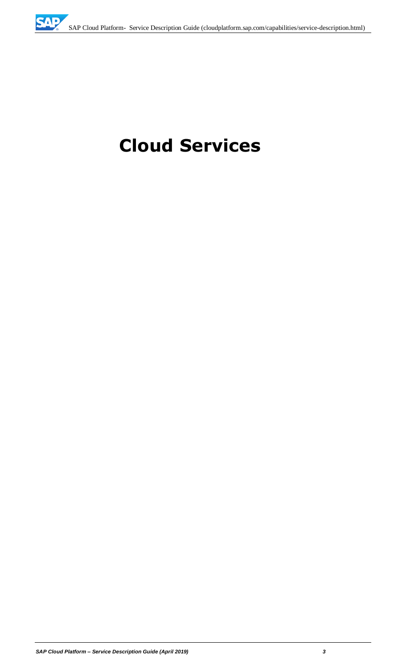# **Cloud Services**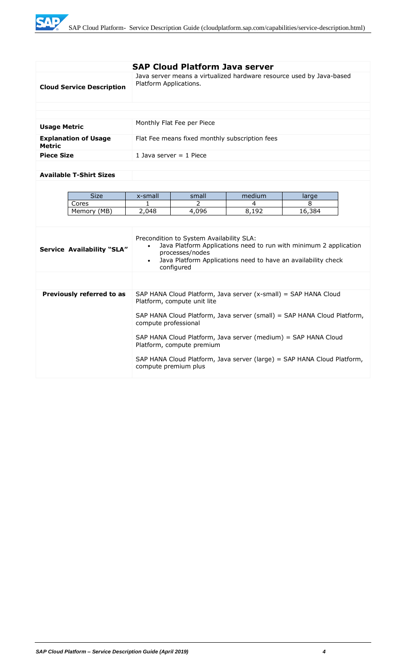**TAP** 

|                     |                                   |                                                                                                                                                                                                                              | <b>SAP Cloud Platform Java server</b>          |                                                                      |            |  |
|---------------------|-----------------------------------|------------------------------------------------------------------------------------------------------------------------------------------------------------------------------------------------------------------------------|------------------------------------------------|----------------------------------------------------------------------|------------|--|
|                     | <b>Cloud Service Description</b>  | Platform Applications.                                                                                                                                                                                                       |                                                | Java server means a virtualized hardware resource used by Java-based |            |  |
|                     |                                   |                                                                                                                                                                                                                              |                                                |                                                                      |            |  |
|                     |                                   |                                                                                                                                                                                                                              |                                                |                                                                      |            |  |
| <b>Usage Metric</b> |                                   |                                                                                                                                                                                                                              | Monthly Flat Fee per Piece                     |                                                                      |            |  |
| <b>Metric</b>       | <b>Explanation of Usage</b>       |                                                                                                                                                                                                                              | Flat Fee means fixed monthly subscription fees |                                                                      |            |  |
| <b>Piece Size</b>   |                                   |                                                                                                                                                                                                                              | 1 Java server $=$ 1 Piece                      |                                                                      |            |  |
|                     |                                   |                                                                                                                                                                                                                              |                                                |                                                                      |            |  |
|                     | <b>Available T-Shirt Sizes</b>    |                                                                                                                                                                                                                              |                                                |                                                                      |            |  |
|                     |                                   |                                                                                                                                                                                                                              |                                                |                                                                      |            |  |
|                     | <b>Size</b>                       |                                                                                                                                                                                                                              |                                                |                                                                      |            |  |
|                     | Cores                             | x-small<br>1                                                                                                                                                                                                                 | small<br>$\mathcal{P}$                         | medium<br>4                                                          | large<br>8 |  |
|                     | Memory (MB)                       | 2,048                                                                                                                                                                                                                        | 4,096                                          | 8,192                                                                | 16,384     |  |
|                     |                                   |                                                                                                                                                                                                                              |                                                |                                                                      |            |  |
|                     | <b>Service Availability "SLA"</b> | Precondition to System Availability SLA:<br>Java Platform Applications need to run with minimum 2 application<br>processes/nodes<br>Java Platform Applications need to have an availability check<br>$\bullet$<br>configured |                                                |                                                                      |            |  |
|                     |                                   |                                                                                                                                                                                                                              |                                                |                                                                      |            |  |
|                     | Previously referred to as         |                                                                                                                                                                                                                              | Platform, compute unit lite                    | SAP HANA Cloud Platform, Java server (x-small) = SAP HANA Cloud      |            |  |
|                     |                                   | SAP HANA Cloud Platform, Java server (small) = SAP HANA Cloud Platform,<br>compute professional                                                                                                                              |                                                |                                                                      |            |  |
|                     |                                   | SAP HANA Cloud Platform, Java server (medium) = SAP HANA Cloud<br>Platform, compute premium                                                                                                                                  |                                                |                                                                      |            |  |
|                     |                                   | SAP HANA Cloud Platform, Java server (large) = SAP HANA Cloud Platform,<br>compute premium plus                                                                                                                              |                                                |                                                                      |            |  |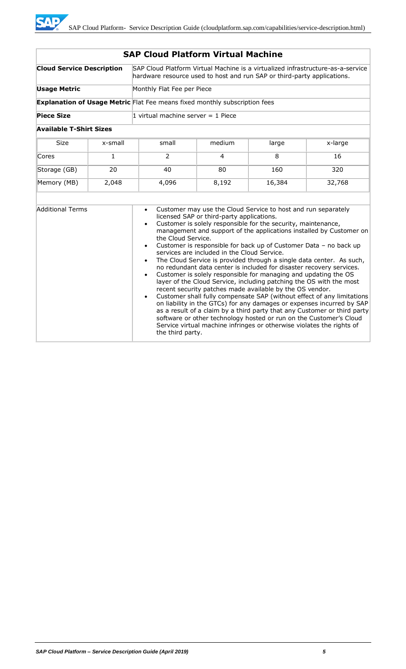| <b>SAP Cloud Platform Virtual Machine</b> |              |                                                                                                                                                            |                                                                                          |                                                                                                                                                                                                                                                                                                                                        |                                                                                                                                                                                                                                                                                                                                                                                                                                                                                                                                                                                                                                                                      |
|-------------------------------------------|--------------|------------------------------------------------------------------------------------------------------------------------------------------------------------|------------------------------------------------------------------------------------------|----------------------------------------------------------------------------------------------------------------------------------------------------------------------------------------------------------------------------------------------------------------------------------------------------------------------------------------|----------------------------------------------------------------------------------------------------------------------------------------------------------------------------------------------------------------------------------------------------------------------------------------------------------------------------------------------------------------------------------------------------------------------------------------------------------------------------------------------------------------------------------------------------------------------------------------------------------------------------------------------------------------------|
| <b>Cloud Service Description</b>          |              | SAP Cloud Platform Virtual Machine is a virtualized infrastructure-as-a-service<br>hardware resource used to host and run SAP or third-party applications. |                                                                                          |                                                                                                                                                                                                                                                                                                                                        |                                                                                                                                                                                                                                                                                                                                                                                                                                                                                                                                                                                                                                                                      |
| <b>Usage Metric</b>                       |              | Monthly Flat Fee per Piece                                                                                                                                 |                                                                                          |                                                                                                                                                                                                                                                                                                                                        |                                                                                                                                                                                                                                                                                                                                                                                                                                                                                                                                                                                                                                                                      |
|                                           |              | <b>Explanation of Usage Metric</b> Flat Fee means fixed monthly subscription fees                                                                          |                                                                                          |                                                                                                                                                                                                                                                                                                                                        |                                                                                                                                                                                                                                                                                                                                                                                                                                                                                                                                                                                                                                                                      |
| <b>Piece Size</b>                         |              | 1 virtual machine server $=$ 1 Piece                                                                                                                       |                                                                                          |                                                                                                                                                                                                                                                                                                                                        |                                                                                                                                                                                                                                                                                                                                                                                                                                                                                                                                                                                                                                                                      |
| <b>Available T-Shirt Sizes</b>            |              |                                                                                                                                                            |                                                                                          |                                                                                                                                                                                                                                                                                                                                        |                                                                                                                                                                                                                                                                                                                                                                                                                                                                                                                                                                                                                                                                      |
| <b>Size</b>                               | x-small      | small                                                                                                                                                      | medium                                                                                   | large                                                                                                                                                                                                                                                                                                                                  | x-large                                                                                                                                                                                                                                                                                                                                                                                                                                                                                                                                                                                                                                                              |
| Cores                                     | $\mathbf{1}$ | 2                                                                                                                                                          | 4                                                                                        | 8                                                                                                                                                                                                                                                                                                                                      | 16                                                                                                                                                                                                                                                                                                                                                                                                                                                                                                                                                                                                                                                                   |
| Storage (GB)                              | 20           | 40                                                                                                                                                         | 80                                                                                       | 160                                                                                                                                                                                                                                                                                                                                    | 320                                                                                                                                                                                                                                                                                                                                                                                                                                                                                                                                                                                                                                                                  |
| Memory (MB)                               | 2,048        | 4,096                                                                                                                                                      | 8,192                                                                                    | 16,384                                                                                                                                                                                                                                                                                                                                 | 32,768                                                                                                                                                                                                                                                                                                                                                                                                                                                                                                                                                                                                                                                               |
|                                           |              |                                                                                                                                                            |                                                                                          |                                                                                                                                                                                                                                                                                                                                        |                                                                                                                                                                                                                                                                                                                                                                                                                                                                                                                                                                                                                                                                      |
| <b>Additional Terms</b>                   |              | $\bullet$<br>$\bullet$<br>the Cloud Service.<br>$\bullet$<br>$\bullet$<br>$\bullet$<br>$\bullet$<br>the third party.                                       | licensed SAP or third-party applications.<br>services are included in the Cloud Service. | Customer may use the Cloud Service to host and run separately<br>Customer is solely responsible for the security, maintenance,<br>Customer is solely responsible for managing and updating the OS<br>recent security patches made available by the OS vendor.<br>Service virtual machine infringes or otherwise violates the rights of | management and support of the applications installed by Customer on<br>Customer is responsible for back up of Customer Data - no back up<br>The Cloud Service is provided through a single data center. As such,<br>no redundant data center is included for disaster recovery services.<br>layer of the Cloud Service, including patching the OS with the most<br>Customer shall fully compensate SAP (without effect of any limitations<br>on liability in the GTCs) for any damages or expenses incurred by SAP<br>as a result of a claim by a third party that any Customer or third party<br>software or other technology hosted or run on the Customer's Cloud |

**SAP**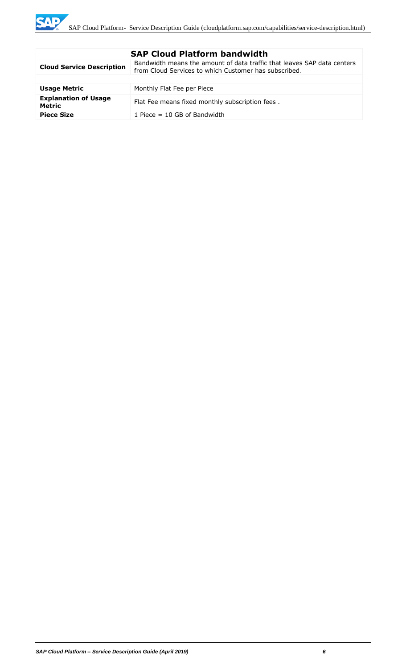| <b>SAP Cloud Platform bandwidth</b>          |                                                                                                                                  |  |
|----------------------------------------------|----------------------------------------------------------------------------------------------------------------------------------|--|
| <b>Cloud Service Description</b>             | Bandwidth means the amount of data traffic that leaves SAP data centers<br>from Cloud Services to which Customer has subscribed. |  |
|                                              |                                                                                                                                  |  |
| <b>Usage Metric</b>                          | Monthly Flat Fee per Piece                                                                                                       |  |
| <b>Explanation of Usage</b><br><b>Metric</b> | Flat Fee means fixed monthly subscription fees.                                                                                  |  |
| <b>Piece Size</b>                            | 1 Piece $=$ 10 GB of Bandwidth                                                                                                   |  |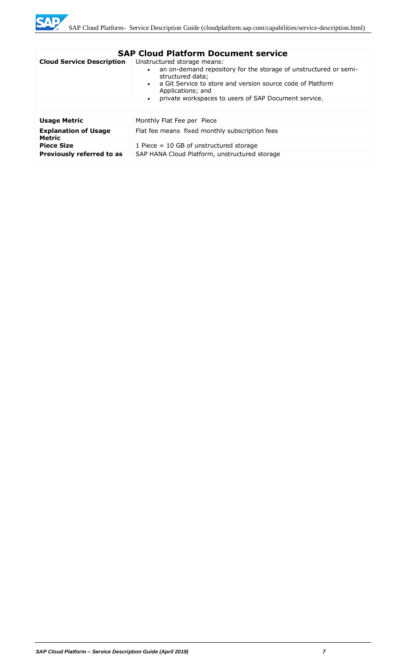

| <b>SAP Cloud Platform Document service</b> |                                                                                                                                                                                                                                                                             |  |
|--------------------------------------------|-----------------------------------------------------------------------------------------------------------------------------------------------------------------------------------------------------------------------------------------------------------------------------|--|
| <b>Cloud Service Description</b>           | Unstructured storage means:<br>an on-demand repository for the storage of unstructured or semi-<br>structured data;<br>a Git Service to store and version source code of Platform<br>Applications; and<br>private workspaces to users of SAP Document service.<br>$\bullet$ |  |
| <b>Usage Metric</b>                        | Monthly Flat Fee per Piece                                                                                                                                                                                                                                                  |  |
| <b>Explanation of Usage</b><br>Metric      | Flat fee means fixed monthly subscription fees                                                                                                                                                                                                                              |  |
| <b>Piece Size</b>                          | 1 Piece $= 10$ GB of unstructured storage                                                                                                                                                                                                                                   |  |
| Previously referred to as                  | SAP HANA Cloud Platform, unstructured storage                                                                                                                                                                                                                               |  |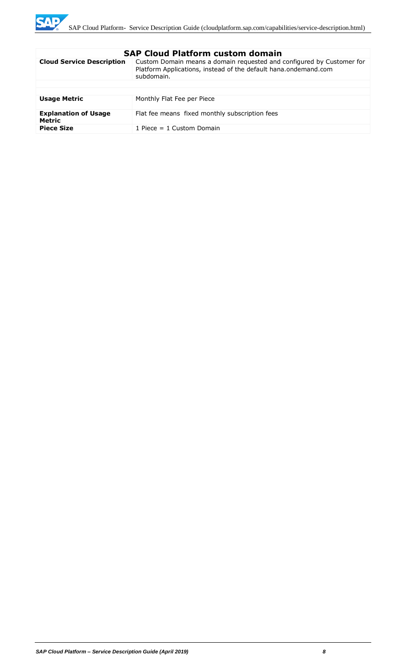

| <b>Cloud Service Description</b><br>Custom Domain means a domain requested and configured by Customer for<br>Platform Applications, instead of the default hana.ondemand.com<br>subdomain.<br><b>Usage Metric</b><br>Monthly Flat Fee per Piece<br><b>Explanation of Usage</b><br>Flat fee means fixed monthly subscription fees<br>Metric<br><b>Piece Size</b><br>1 Piece $= 1$ Custom Domain | элг сючч гасгонн счэсэн чэнгэш |  |  |
|------------------------------------------------------------------------------------------------------------------------------------------------------------------------------------------------------------------------------------------------------------------------------------------------------------------------------------------------------------------------------------------------|--------------------------------|--|--|
|                                                                                                                                                                                                                                                                                                                                                                                                |                                |  |  |
|                                                                                                                                                                                                                                                                                                                                                                                                |                                |  |  |
|                                                                                                                                                                                                                                                                                                                                                                                                |                                |  |  |
|                                                                                                                                                                                                                                                                                                                                                                                                |                                |  |  |
|                                                                                                                                                                                                                                                                                                                                                                                                |                                |  |  |
|                                                                                                                                                                                                                                                                                                                                                                                                |                                |  |  |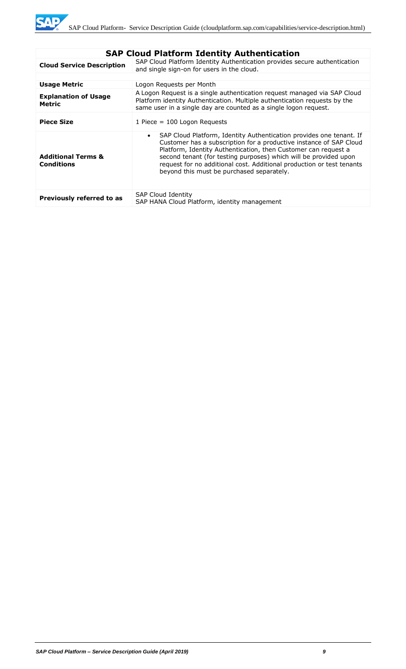|                                                    | SAP Cloud Platform Identity Authentication                                                                                                                                                                                                                                                                                                                                                                         |
|----------------------------------------------------|--------------------------------------------------------------------------------------------------------------------------------------------------------------------------------------------------------------------------------------------------------------------------------------------------------------------------------------------------------------------------------------------------------------------|
| <b>Cloud Service Description</b>                   | SAP Cloud Platform Identity Authentication provides secure authentication<br>and single sign-on for users in the cloud.                                                                                                                                                                                                                                                                                            |
|                                                    |                                                                                                                                                                                                                                                                                                                                                                                                                    |
| <b>Usage Metric</b>                                | Logon Requests per Month                                                                                                                                                                                                                                                                                                                                                                                           |
| <b>Explanation of Usage</b><br>Metric              | A Logon Request is a single authentication request managed via SAP Cloud<br>Platform identity Authentication. Multiple authentication requests by the<br>same user in a single day are counted as a single logon request.                                                                                                                                                                                          |
| <b>Piece Size</b>                                  | 1 Piece = $100$ Logon Requests                                                                                                                                                                                                                                                                                                                                                                                     |
| <b>Additional Terms &amp;</b><br><b>Conditions</b> | SAP Cloud Platform, Identity Authentication provides one tenant. If<br>$\bullet$<br>Customer has a subscription for a productive instance of SAP Cloud<br>Platform, Identity Authentication, then Customer can request a<br>second tenant (for testing purposes) which will be provided upon<br>request for no additional cost. Additional production or test tenants<br>beyond this must be purchased separately. |
| Previously referred to as                          | <b>SAP Cloud Identity</b><br>SAP HANA Cloud Platform, identity management                                                                                                                                                                                                                                                                                                                                          |

## **SAP Cloud Platform Identity Authentication**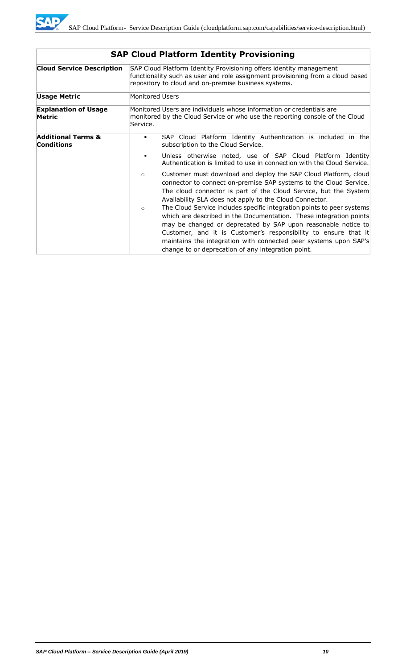

| <b>Cloud Service Description</b>                   |                 | SAP Cloud Platform Identity Provisioning offers identity management<br>functionality such as user and role assignment provisioning from a cloud based<br>repository to cloud and on-premise business systems.                                                                                                                                                                                              |
|----------------------------------------------------|-----------------|------------------------------------------------------------------------------------------------------------------------------------------------------------------------------------------------------------------------------------------------------------------------------------------------------------------------------------------------------------------------------------------------------------|
| Usage Metric                                       | Monitored Users |                                                                                                                                                                                                                                                                                                                                                                                                            |
| <b>Explanation of Usage</b><br>Metric              | Service.        | Monitored Users are individuals whose information or credentials are<br>monitored by the Cloud Service or who use the reporting console of the Cloud                                                                                                                                                                                                                                                       |
| <b>Additional Terms &amp;</b><br><b>Conditions</b> | ٠               | SAP Cloud Platform Identity Authentication is included in the<br>subscription to the Cloud Service.                                                                                                                                                                                                                                                                                                        |
|                                                    | п               | Unless otherwise noted, use of SAP Cloud Platform Identity<br>Authentication is limited to use in connection with the Cloud Service.                                                                                                                                                                                                                                                                       |
|                                                    | $\circ$         | Customer must download and deploy the SAP Cloud Platform, cloud<br>connector to connect on-premise SAP systems to the Cloud Service.<br>The cloud connector is part of the Cloud Service, but the System<br>Availability SLA does not apply to the Cloud Connector.                                                                                                                                        |
|                                                    | $\circ$         | The Cloud Service includes specific integration points to peer systems<br>which are described in the Documentation. These integration points<br>may be changed or deprecated by SAP upon reasonable notice to<br>Customer, and it is Customer's responsibility to ensure that it<br>maintains the integration with connected peer systems upon SAP's<br>change to or deprecation of any integration point. |

# **SAP Cloud Platform Identity Provisioning**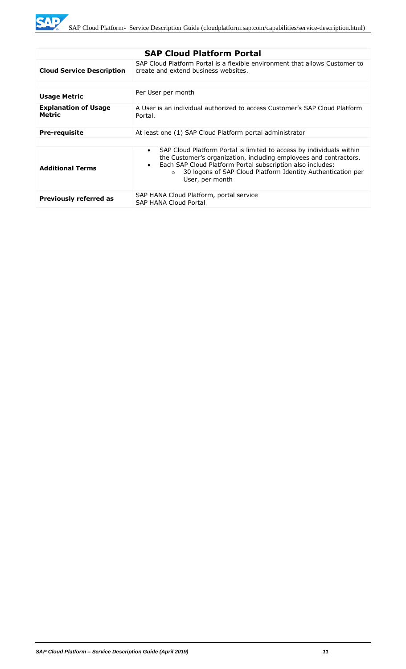**SAP** 

| <b>SAP Cloud Platform Portal</b>             |                                                                                                                                                                                                                                                                                                                                 |  |
|----------------------------------------------|---------------------------------------------------------------------------------------------------------------------------------------------------------------------------------------------------------------------------------------------------------------------------------------------------------------------------------|--|
| <b>Cloud Service Description</b>             | SAP Cloud Platform Portal is a flexible environment that allows Customer to<br>create and extend business websites.                                                                                                                                                                                                             |  |
|                                              |                                                                                                                                                                                                                                                                                                                                 |  |
| <b>Usage Metric</b>                          | Per User per month                                                                                                                                                                                                                                                                                                              |  |
| <b>Explanation of Usage</b><br><b>Metric</b> | A User is an individual authorized to access Customer's SAP Cloud Platform<br>Portal.                                                                                                                                                                                                                                           |  |
| <b>Pre-requisite</b>                         | At least one (1) SAP Cloud Platform portal administrator                                                                                                                                                                                                                                                                        |  |
|                                              |                                                                                                                                                                                                                                                                                                                                 |  |
| <b>Additional Terms</b>                      | SAP Cloud Platform Portal is limited to access by individuals within<br>$\bullet$<br>the Customer's organization, including employees and contractors.<br>Each SAP Cloud Platform Portal subscription also includes:<br>$\bullet$<br>30 logons of SAP Cloud Platform Identity Authentication per<br>$\Omega$<br>User, per month |  |
| <b>Previously referred as</b>                | SAP HANA Cloud Platform, portal service<br><b>SAP HANA Cloud Portal</b>                                                                                                                                                                                                                                                         |  |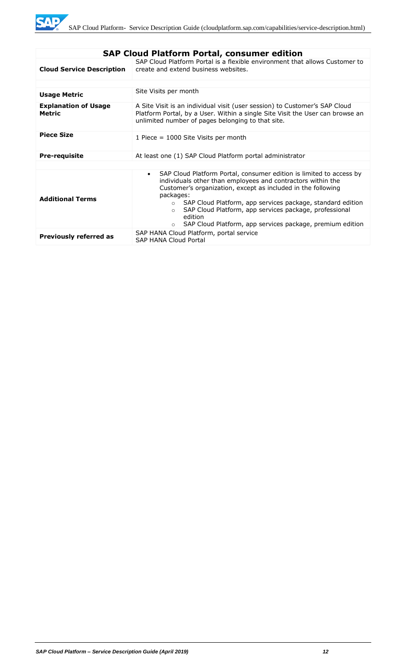| <b>SAP Cloud Platform Portal, consumer edition</b> |                                                                                                                                                                                                                                                                                                                                                                                                                                                                |  |
|----------------------------------------------------|----------------------------------------------------------------------------------------------------------------------------------------------------------------------------------------------------------------------------------------------------------------------------------------------------------------------------------------------------------------------------------------------------------------------------------------------------------------|--|
| <b>Cloud Service Description</b>                   | SAP Cloud Platform Portal is a flexible environment that allows Customer to<br>create and extend business websites.                                                                                                                                                                                                                                                                                                                                            |  |
|                                                    |                                                                                                                                                                                                                                                                                                                                                                                                                                                                |  |
| <b>Usage Metric</b>                                | Site Visits per month                                                                                                                                                                                                                                                                                                                                                                                                                                          |  |
| <b>Explanation of Usage</b><br><b>Metric</b>       | A Site Visit is an individual visit (user session) to Customer's SAP Cloud<br>Platform Portal, by a User. Within a single Site Visit the User can browse an<br>unlimited number of pages belonging to that site.                                                                                                                                                                                                                                               |  |
| <b>Piece Size</b>                                  | 1 Piece = 1000 Site Visits per month                                                                                                                                                                                                                                                                                                                                                                                                                           |  |
| <b>Pre-requisite</b>                               | At least one (1) SAP Cloud Platform portal administrator                                                                                                                                                                                                                                                                                                                                                                                                       |  |
|                                                    |                                                                                                                                                                                                                                                                                                                                                                                                                                                                |  |
| <b>Additional Terms</b>                            | SAP Cloud Platform Portal, consumer edition is limited to access by<br>$\bullet$<br>individuals other than employees and contractors within the<br>Customer's organization, except as included in the following<br>packages:<br>SAP Cloud Platform, app services package, standard edition<br>$\circ$<br>SAP Cloud Platform, app services package, professional<br>$\Omega$<br>edition<br>SAP Cloud Platform, app services package, premium edition<br>$\circ$ |  |
| <b>Previously referred as</b>                      | SAP HANA Cloud Platform, portal service<br><b>SAP HANA Cloud Portal</b>                                                                                                                                                                                                                                                                                                                                                                                        |  |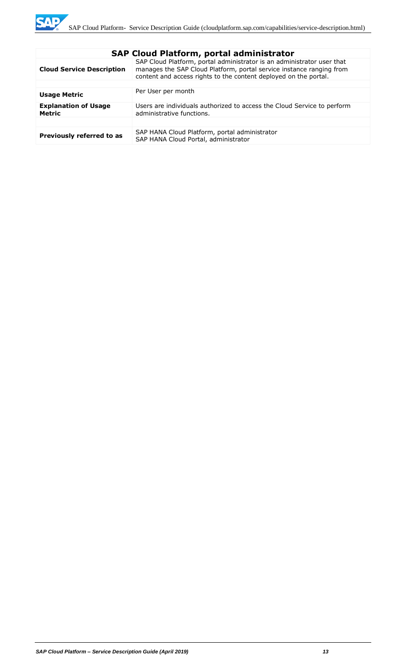| <b>SAP Cloud Platform, portal administrator</b> |                                                                                                                                                                                                                    |  |
|-------------------------------------------------|--------------------------------------------------------------------------------------------------------------------------------------------------------------------------------------------------------------------|--|
| <b>Cloud Service Description</b>                | SAP Cloud Platform, portal administrator is an administrator user that<br>manages the SAP Cloud Platform, portal service instance ranging from<br>content and access rights to the content deployed on the portal. |  |
|                                                 |                                                                                                                                                                                                                    |  |
| <b>Usage Metric</b>                             | Per User per month                                                                                                                                                                                                 |  |
| <b>Explanation of Usage</b><br><b>Metric</b>    | Users are individuals authorized to access the Cloud Service to perform<br>administrative functions.                                                                                                               |  |
|                                                 |                                                                                                                                                                                                                    |  |
| Previously referred to as                       | SAP HANA Cloud Platform, portal administrator<br>SAP HANA Cloud Portal, administrator                                                                                                                              |  |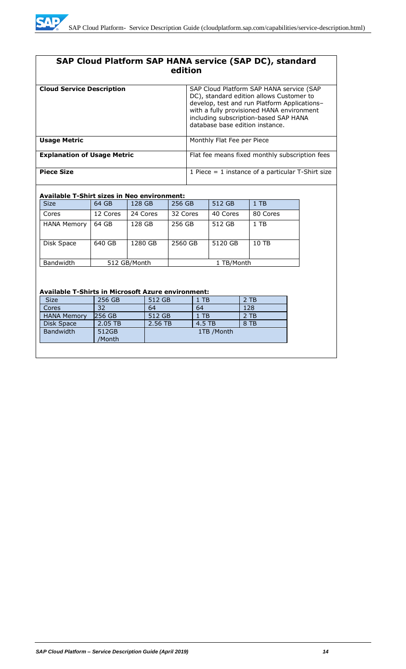

# **SAP Cloud Platform SAP HANA service (SAP DC), standard edition**

| <b>Cloud Service Description</b>   | SAP Cloud Platform SAP HANA service (SAP<br>DC), standard edition allows Customer to<br>develop, test and run Platform Applications-<br>with a fully provisioned HANA environment<br>including subscription-based SAP HANA<br>database base edition instance. |
|------------------------------------|---------------------------------------------------------------------------------------------------------------------------------------------------------------------------------------------------------------------------------------------------------------|
| <b>Usage Metric</b>                | Monthly Flat Fee per Piece                                                                                                                                                                                                                                    |
| <b>Explanation of Usage Metric</b> | Flat fee means fixed monthly subscription fees                                                                                                                                                                                                                |
| <b>Piece Size</b>                  | 1 Piece $=$ 1 instance of a particular T-Shirt size                                                                                                                                                                                                           |

#### **Available T-Shirt sizes in Neo environment:**

| <b>Size</b>        | 64 GB    | 128 GB       | 256 GB   | 512 GB     | $1$ TB   |
|--------------------|----------|--------------|----------|------------|----------|
| Cores              | 12 Cores | 24 Cores     | 32 Cores | 40 Cores   | 80 Cores |
| <b>HANA Memory</b> | 64 GB    | 128 GB       | 256 GB   | 512 GB     | $1$ TB   |
| Disk Space         | 640 GB   | 1280 GB      | 2560 GB  | 5120 GB    | 10 TB    |
| Bandwidth          |          | 512 GB/Month |          | 1 TB/Month |          |

#### **Available T-Shirts in Microsoft Azure environment:**

| <b>Size</b>        | 256 GB          | 512 GB  | 1 TB       | $2$ TB |
|--------------------|-----------------|---------|------------|--------|
| Cores              | 32              | 64      | 64         | 128    |
| <b>HANA Memory</b> | 256 GB          | 512 GB  | 1 TB       | $2$ TB |
| Disk Space         | 2.05 TB         | 2.56 TB | 4.5 TB     | 8 TB   |
| <b>Bandwidth</b>   | 512GB<br>/Month |         | 1TB /Month |        |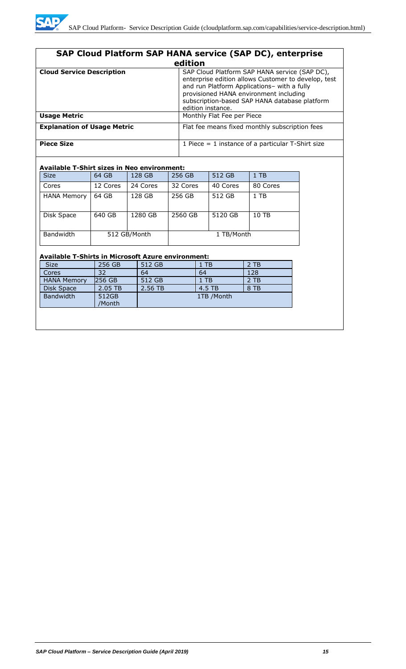| SAP Cloud Platform SAP HANA service (SAP DC), enterprise |                                                                                                                                                                                                                                                                     |  |  |  |  |
|----------------------------------------------------------|---------------------------------------------------------------------------------------------------------------------------------------------------------------------------------------------------------------------------------------------------------------------|--|--|--|--|
| edition                                                  |                                                                                                                                                                                                                                                                     |  |  |  |  |
| <b>Cloud Service Description</b>                         | SAP Cloud Platform SAP HANA service (SAP DC),<br>enterprise edition allows Customer to develop, test<br>and run Platform Applications- with a fully<br>provisioned HANA environment including<br>subscription-based SAP HANA database platform<br>edition instance. |  |  |  |  |
| <b>Usage Metric</b>                                      | Monthly Flat Fee per Piece                                                                                                                                                                                                                                          |  |  |  |  |
| <b>Explanation of Usage Metric</b>                       | Flat fee means fixed monthly subscription fees                                                                                                                                                                                                                      |  |  |  |  |
| <b>Piece Size</b>                                        | 1 Piece $=$ 1 instance of a particular T-Shirt size                                                                                                                                                                                                                 |  |  |  |  |

#### **Available T-Shirt sizes in Neo environment:**

| <b>Size</b>        | 64 GB        | 128 GB   | 256 GB     | 512 GB   | $1$ TB   |
|--------------------|--------------|----------|------------|----------|----------|
| Cores              | 12 Cores     | 24 Cores | 32 Cores   | 40 Cores | 80 Cores |
| <b>HANA Memory</b> | 64 GB        | 128 GB   | 256 GB     | 512 GB   | $1$ TB   |
| Disk Space         | 640 GB       | 1280 GB  | 2560 GB    | 5120 GB  | 10 TB    |
| Bandwidth          | 512 GB/Month |          | 1 TB/Month |          |          |

#### **Available T-Shirts in Microsoft Azure environment:**

| <b>Size</b>        | 256 GB          | 512 GB  | $1$ TB     | 2 TB |
|--------------------|-----------------|---------|------------|------|
| Cores              | 32              | 64      | 64         | 128  |
| <b>HANA Memory</b> | 256 GB          | 512 GB  | $1$ TB     | 2 TB |
| Disk Space         | 2.05 TB         | 2.56 TB | 4.5 TB     | 8 TB |
| Bandwidth          | 512GB<br>/Month |         | 1TB /Month |      |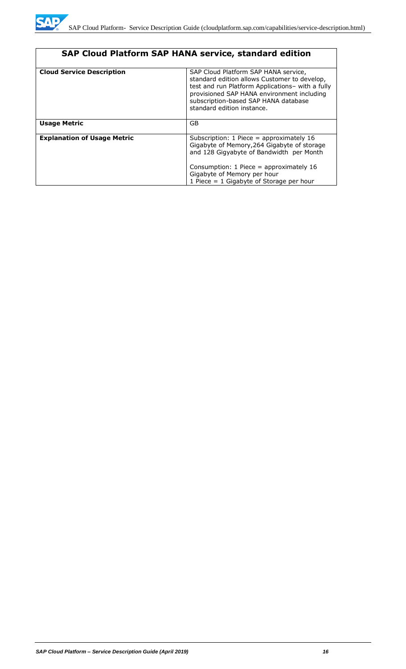| <b>SAP Cloud Platform SAP HANA service, standard edition</b> |                                                                                                                                                                                                                                                              |  |  |  |
|--------------------------------------------------------------|--------------------------------------------------------------------------------------------------------------------------------------------------------------------------------------------------------------------------------------------------------------|--|--|--|
| <b>Cloud Service Description</b>                             | SAP Cloud Platform SAP HANA service,<br>standard edition allows Customer to develop,<br>test and run Platform Applications- with a fully<br>provisioned SAP HANA environment including<br>subscription-based SAP HANA database<br>standard edition instance. |  |  |  |
| <b>Usage Metric</b>                                          | <b>GB</b>                                                                                                                                                                                                                                                    |  |  |  |
| <b>Explanation of Usage Metric</b>                           | Subscription: 1 Piece = approximately 16<br>Gigabyte of Memory, 264 Gigabyte of storage<br>and 128 Gigyabyte of Bandwidth per Month<br>Consumption: 1 Piece = approximately 16<br>Gigabyte of Memory per hour<br>1 Piece = $1$ Gigabyte of Storage per hour  |  |  |  |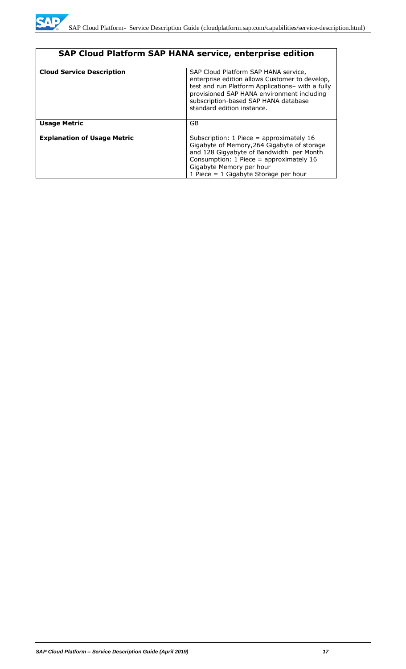

| SAP Cloud Platform SAP HANA service, enterprise edition |                                                                                                                                                                                                                                                                |  |  |  |
|---------------------------------------------------------|----------------------------------------------------------------------------------------------------------------------------------------------------------------------------------------------------------------------------------------------------------------|--|--|--|
| <b>Cloud Service Description</b>                        | SAP Cloud Platform SAP HANA service,<br>enterprise edition allows Customer to develop,<br>test and run Platform Applications- with a fully<br>provisioned SAP HANA environment including<br>subscription-based SAP HANA database<br>standard edition instance. |  |  |  |
| <b>Usage Metric</b>                                     | <b>GB</b>                                                                                                                                                                                                                                                      |  |  |  |
| <b>Explanation of Usage Metric</b>                      | Subscription: $1$ Piece = approximately $16$<br>Gigabyte of Memory, 264 Gigabyte of storage<br>and 128 Gigyabyte of Bandwidth per Month<br>Consumption: $1$ Piece = approximately $16$<br>Gigabyte Memory per hour<br>1 Piece $= 1$ Gigabyte Storage per hour  |  |  |  |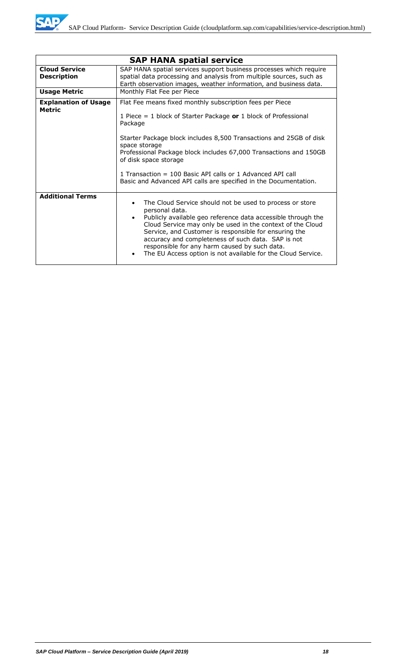|                                            | <b>SAP HANA spatial service</b>                                                                                                                                                                                                                                                                                                                                                                                                          |  |  |
|--------------------------------------------|------------------------------------------------------------------------------------------------------------------------------------------------------------------------------------------------------------------------------------------------------------------------------------------------------------------------------------------------------------------------------------------------------------------------------------------|--|--|
| <b>Cloud Service</b><br><b>Description</b> | SAP HANA spatial services support business processes which require<br>spatial data processing and analysis from multiple sources, such as<br>Earth observation images, weather information, and business data.                                                                                                                                                                                                                           |  |  |
| <b>Usage Metric</b>                        | Monthly Flat Fee per Piece                                                                                                                                                                                                                                                                                                                                                                                                               |  |  |
| <b>Explanation of Usage</b><br>Metric      | Flat Fee means fixed monthly subscription fees per Piece<br>1 Piece = 1 block of Starter Package or 1 block of Professional<br>Package<br>Starter Package block includes 8,500 Transactions and 25GB of disk<br>space storage<br>Professional Package block includes 67,000 Transactions and 150GB<br>of disk space storage<br>1 Transaction $=$ 100 Basic API calls or 1 Advanced API call                                              |  |  |
|                                            | Basic and Advanced API calls are specified in the Documentation.                                                                                                                                                                                                                                                                                                                                                                         |  |  |
| <b>Additional Terms</b>                    | The Cloud Service should not be used to process or store<br>personal data.<br>Publicly available geo reference data accessible through the<br>Cloud Service may only be used in the context of the Cloud<br>Service, and Customer is responsible for ensuring the<br>accuracy and completeness of such data. SAP is not<br>responsible for any harm caused by such data.<br>The EU Access option is not available for the Cloud Service. |  |  |

WD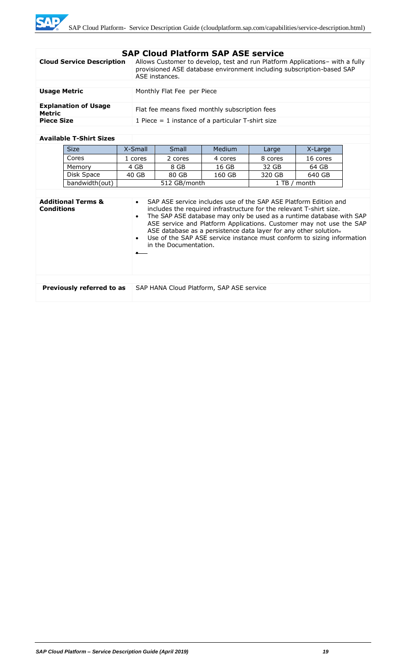|  |  | <b>SAP Cloud Platform SAP ASE service</b> |  |  |  |
|--|--|-------------------------------------------|--|--|--|
|--|--|-------------------------------------------|--|--|--|

| <b>Cloud Service Description</b>      | Allows Customer to develop, test and run Platform Applications- with a fully<br>provisioned ASE database environment including subscription-based SAP<br>ASE instances. |
|---------------------------------------|-------------------------------------------------------------------------------------------------------------------------------------------------------------------------|
|                                       |                                                                                                                                                                         |
| <b>Usage Metric</b>                   | Monthly Flat Fee per Piece                                                                                                                                              |
| <b>Explanation of Usage</b><br>Metric | Flat fee means fixed monthly subscription fees                                                                                                                          |
| <b>Piece Size</b>                     | 1 Piece $=$ 1 instance of a particular T-shirt size                                                                                                                     |

#### **Available T-Shirt Sizes**

| <b>Size</b>    | X-Small | Small                         | <b>Medium</b> | Large   | X-Large  |
|----------------|---------|-------------------------------|---------------|---------|----------|
| Cores          | 1 cores | 2 cores                       | 4 cores       | 8 cores | 16 cores |
| Memory         | 4 GB    | 8 GB                          | 16 GB         | 32 GB   | 64 GB    |
| Disk Space     | 40 GB   | 80 GB                         | 160 GB        | 320 GB  | 640 GB   |
| bandwidth(out) |         | 512 GB/month<br>1 TB<br>month |               |         |          |

| <b>Additional Terms &amp;</b><br><b>Conditions</b> | SAP ASE service includes use of the SAP ASE Platform Edition and<br>$\bullet$<br>includes the required infrastructure for the relevant T-shirt size.<br>The SAP ASE database may only be used as a runtime database with SAP<br>$\bullet$<br>ASE service and Platform Applications. Customer may not use the SAP<br>ASE database as a persistence data layer for any other solution.<br>Use of the SAP ASE service instance must conform to sizing information<br>$\bullet$<br>in the Documentation. |
|----------------------------------------------------|------------------------------------------------------------------------------------------------------------------------------------------------------------------------------------------------------------------------------------------------------------------------------------------------------------------------------------------------------------------------------------------------------------------------------------------------------------------------------------------------------|
|                                                    |                                                                                                                                                                                                                                                                                                                                                                                                                                                                                                      |
| Previously referred to as                          | SAP HANA Cloud Platform, SAP ASE service                                                                                                                                                                                                                                                                                                                                                                                                                                                             |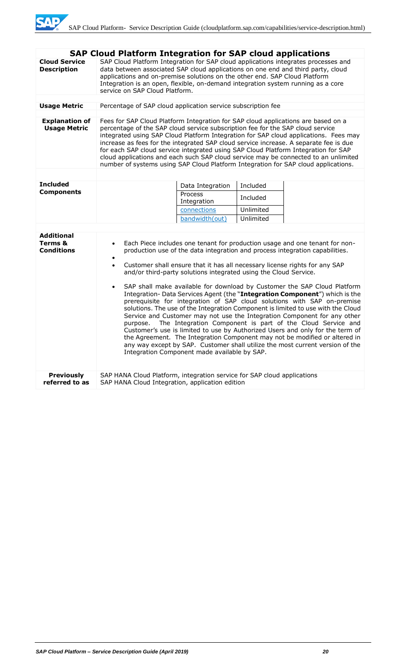|                                                   | <b>SAP Cloud Platform Integration for SAP cloud applications</b>                                                                                                                                                                                                                                                                                                                                                                                                                                                                                                                                                                                                                                                                                                                                                                                                                                                                                                                                                                                                                                                                                  |  |  |  |  |  |
|---------------------------------------------------|---------------------------------------------------------------------------------------------------------------------------------------------------------------------------------------------------------------------------------------------------------------------------------------------------------------------------------------------------------------------------------------------------------------------------------------------------------------------------------------------------------------------------------------------------------------------------------------------------------------------------------------------------------------------------------------------------------------------------------------------------------------------------------------------------------------------------------------------------------------------------------------------------------------------------------------------------------------------------------------------------------------------------------------------------------------------------------------------------------------------------------------------------|--|--|--|--|--|
| <b>Cloud Service</b><br><b>Description</b>        | SAP Cloud Platform Integration for SAP cloud applications integrates processes and<br>data between associated SAP cloud applications on one end and third party, cloud<br>applications and on-premise solutions on the other end. SAP Cloud Platform<br>Integration is an open, flexible, on-demand integration system running as a core<br>service on SAP Cloud Platform.                                                                                                                                                                                                                                                                                                                                                                                                                                                                                                                                                                                                                                                                                                                                                                        |  |  |  |  |  |
| <b>Usage Metric</b>                               | Percentage of SAP cloud application service subscription fee                                                                                                                                                                                                                                                                                                                                                                                                                                                                                                                                                                                                                                                                                                                                                                                                                                                                                                                                                                                                                                                                                      |  |  |  |  |  |
|                                                   |                                                                                                                                                                                                                                                                                                                                                                                                                                                                                                                                                                                                                                                                                                                                                                                                                                                                                                                                                                                                                                                                                                                                                   |  |  |  |  |  |
| <b>Explanation of</b><br><b>Usage Metric</b>      | Fees for SAP Cloud Platform Integration for SAP cloud applications are based on a<br>percentage of the SAP cloud service subscription fee for the SAP cloud service<br>integrated using SAP Cloud Platform Integration for SAP cloud applications. Fees may<br>increase as fees for the integrated SAP cloud service increase. A separate fee is due<br>for each SAP cloud service integrated using SAP Cloud Platform Integration for SAP<br>cloud applications and each such SAP cloud service may be connected to an unlimited<br>number of systems using SAP Cloud Platform Integration for SAP cloud applications.                                                                                                                                                                                                                                                                                                                                                                                                                                                                                                                           |  |  |  |  |  |
| <b>Included</b>                                   |                                                                                                                                                                                                                                                                                                                                                                                                                                                                                                                                                                                                                                                                                                                                                                                                                                                                                                                                                                                                                                                                                                                                                   |  |  |  |  |  |
| <b>Components</b>                                 | Included<br>Data Integration<br>Process                                                                                                                                                                                                                                                                                                                                                                                                                                                                                                                                                                                                                                                                                                                                                                                                                                                                                                                                                                                                                                                                                                           |  |  |  |  |  |
|                                                   | Included<br>Integration                                                                                                                                                                                                                                                                                                                                                                                                                                                                                                                                                                                                                                                                                                                                                                                                                                                                                                                                                                                                                                                                                                                           |  |  |  |  |  |
|                                                   | connections<br>Unlimited                                                                                                                                                                                                                                                                                                                                                                                                                                                                                                                                                                                                                                                                                                                                                                                                                                                                                                                                                                                                                                                                                                                          |  |  |  |  |  |
|                                                   | bandwidth(out)<br>Unlimited                                                                                                                                                                                                                                                                                                                                                                                                                                                                                                                                                                                                                                                                                                                                                                                                                                                                                                                                                                                                                                                                                                                       |  |  |  |  |  |
|                                                   |                                                                                                                                                                                                                                                                                                                                                                                                                                                                                                                                                                                                                                                                                                                                                                                                                                                                                                                                                                                                                                                                                                                                                   |  |  |  |  |  |
| <b>Additional</b><br>Terms &<br><b>Conditions</b> | Each Piece includes one tenant for production usage and one tenant for non-<br>$\bullet$<br>production use of the data integration and process integration capabilities.<br>$\bullet$<br>Customer shall ensure that it has all necessary license rights for any SAP<br>$\bullet$<br>and/or third-party solutions integrated using the Cloud Service.<br>SAP shall make available for download by Customer the SAP Cloud Platform<br>$\bullet$<br>Integration- Data Services Agent (the "Integration Component") which is the<br>prerequisite for integration of SAP cloud solutions with SAP on-premise<br>solutions. The use of the Integration Component is limited to use with the Cloud<br>Service and Customer may not use the Integration Component for any other<br>The Integration Component is part of the Cloud Service and<br>purpose.<br>Customer's use is limited to use by Authorized Users and only for the term of<br>the Agreement. The Integration Component may not be modified or altered in<br>any way except by SAP. Customer shall utilize the most current version of the<br>Integration Component made available by SAP. |  |  |  |  |  |
| <b>Previously</b><br>referred to as               | SAP HANA Cloud Platform, integration service for SAP cloud applications<br>SAP HANA Cloud Integration, application edition                                                                                                                                                                                                                                                                                                                                                                                                                                                                                                                                                                                                                                                                                                                                                                                                                                                                                                                                                                                                                        |  |  |  |  |  |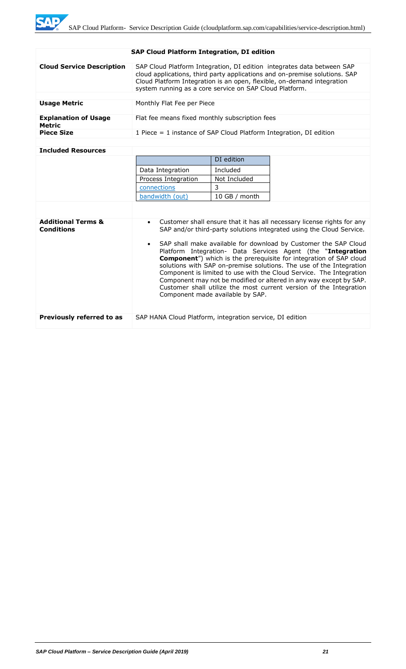WE

| <b>SAP Cloud Platform Integration, DI edition</b> |                                                                                                                                                                                                                                                                                           |            |  |  |  |  |
|---------------------------------------------------|-------------------------------------------------------------------------------------------------------------------------------------------------------------------------------------------------------------------------------------------------------------------------------------------|------------|--|--|--|--|
| <b>Cloud Service Description</b>                  | SAP Cloud Platform Integration, DI edition integrates data between SAP<br>cloud applications, third party applications and on-premise solutions. SAP<br>Cloud Platform Integration is an open, flexible, on-demand integration<br>system running as a core service on SAP Cloud Platform. |            |  |  |  |  |
|                                                   |                                                                                                                                                                                                                                                                                           |            |  |  |  |  |
| <b>Usage Metric</b>                               | Monthly Flat Fee per Piece                                                                                                                                                                                                                                                                |            |  |  |  |  |
| <b>Explanation of Usage</b><br>Metric             | Flat fee means fixed monthly subscription fees                                                                                                                                                                                                                                            |            |  |  |  |  |
| <b>Piece Size</b>                                 | 1 Piece $=$ 1 instance of SAP Cloud Platform Integration, DI edition                                                                                                                                                                                                                      |            |  |  |  |  |
|                                                   |                                                                                                                                                                                                                                                                                           |            |  |  |  |  |
| <b>Included Resources</b>                         |                                                                                                                                                                                                                                                                                           |            |  |  |  |  |
|                                                   |                                                                                                                                                                                                                                                                                           | DI edition |  |  |  |  |
|                                                   | Data Integration<br>Included                                                                                                                                                                                                                                                              |            |  |  |  |  |
|                                                   | Process Integration<br>Not Included                                                                                                                                                                                                                                                       |            |  |  |  |  |
|                                                   | connections                                                                                                                                                                                                                                                                               | 3          |  |  |  |  |

|                                                    | bandwidth (out)                                          | 10 GB / month                    |                                                                                                                                                                                                                                                                                                                                                                                                                                                                                                                                                                                                                                                              |
|----------------------------------------------------|----------------------------------------------------------|----------------------------------|--------------------------------------------------------------------------------------------------------------------------------------------------------------------------------------------------------------------------------------------------------------------------------------------------------------------------------------------------------------------------------------------------------------------------------------------------------------------------------------------------------------------------------------------------------------------------------------------------------------------------------------------------------------|
|                                                    |                                                          |                                  |                                                                                                                                                                                                                                                                                                                                                                                                                                                                                                                                                                                                                                                              |
| <b>Additional Terms &amp;</b><br><b>Conditions</b> |                                                          | Component made available by SAP. | • Customer shall ensure that it has all necessary license rights for any<br>SAP and/or third-party solutions integrated using the Cloud Service.<br>• SAP shall make available for download by Customer the SAP Cloud<br>Platform Integration- Data Services Agent (the "Integration<br><b>Component</b> ") which is the prerequisite for integration of SAP cloud<br>solutions with SAP on-premise solutions. The use of the Integration<br>Component is limited to use with the Cloud Service. The Integration<br>Component may not be modified or altered in any way except by SAP.<br>Customer shall utilize the most current version of the Integration |
| Previously referred to as                          | SAP HANA Cloud Platform, integration service, DI edition |                                  |                                                                                                                                                                                                                                                                                                                                                                                                                                                                                                                                                                                                                                                              |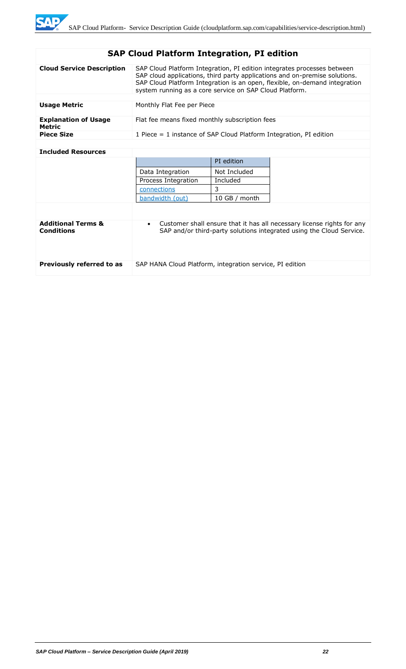# **SAP Cloud Platform Integration, PI edition**

| <b>Cloud Service Description</b>      | SAP Cloud Platform Integration, PI edition integrates processes between<br>SAP cloud applications, third party applications and on-premise solutions.<br>SAP Cloud Platform Integration is an open, flexible, on-demand integration<br>system running as a core service on SAP Cloud Platform. |
|---------------------------------------|------------------------------------------------------------------------------------------------------------------------------------------------------------------------------------------------------------------------------------------------------------------------------------------------|
|                                       |                                                                                                                                                                                                                                                                                                |
| <b>Usage Metric</b>                   | Monthly Flat Fee per Piece                                                                                                                                                                                                                                                                     |
| <b>Explanation of Usage</b><br>Metric | Flat fee means fixed monthly subscription fees                                                                                                                                                                                                                                                 |
| <b>Piece Size</b>                     | 1 Piece $=$ 1 instance of SAP Cloud Platform Integration, PI edition                                                                                                                                                                                                                           |
|                                       |                                                                                                                                                                                                                                                                                                |

### **Included Resources**

|                                                    |                                                          | PI edition    |                                                                                                                                                |
|----------------------------------------------------|----------------------------------------------------------|---------------|------------------------------------------------------------------------------------------------------------------------------------------------|
|                                                    | Data Integration                                         | Not Included  |                                                                                                                                                |
|                                                    | Process Integration                                      | Included      |                                                                                                                                                |
|                                                    | connections                                              | 3             |                                                                                                                                                |
|                                                    | bandwidth (out)                                          | 10 GB / month |                                                                                                                                                |
|                                                    |                                                          |               |                                                                                                                                                |
| <b>Additional Terms &amp;</b><br><b>Conditions</b> | $\bullet$                                                |               | Customer shall ensure that it has all necessary license rights for any<br>SAP and/or third-party solutions integrated using the Cloud Service. |
| Previously referred to as                          | SAP HANA Cloud Platform, integration service, PI edition |               |                                                                                                                                                |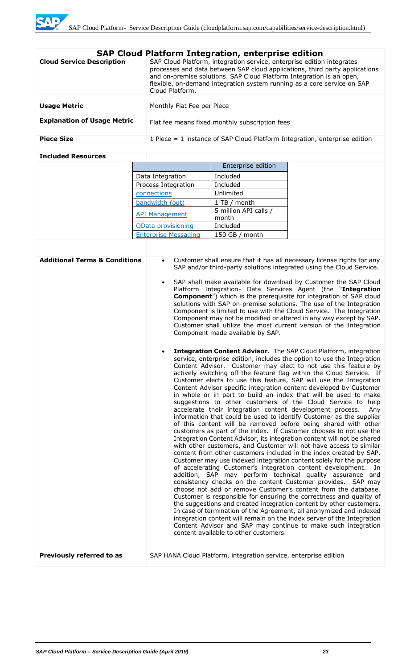| <b>SAP Cloud Platform Integration, enterprise edition</b> |                                                                                                                                                                                                                                                                                                                             |  |  |
|-----------------------------------------------------------|-----------------------------------------------------------------------------------------------------------------------------------------------------------------------------------------------------------------------------------------------------------------------------------------------------------------------------|--|--|
| <b>Cloud Service Description</b>                          | SAP Cloud Platform, integration service, enterprise edition integrates<br>processes and data between SAP cloud applications, third party applications<br>and on-premise solutions. SAP Cloud Platform Integration is an open,<br>flexible, on-demand integration system running as a core service on SAP<br>Cloud Platform. |  |  |
|                                                           |                                                                                                                                                                                                                                                                                                                             |  |  |
| <b>Usage Metric</b>                                       | Monthly Flat Fee per Piece                                                                                                                                                                                                                                                                                                  |  |  |
| <b>Explanation of Usage Metric</b>                        | Flat fee means fixed monthly subscription fees                                                                                                                                                                                                                                                                              |  |  |
| <b>Piece Size</b>                                         | 1 Piece $=$ 1 instance of SAP Cloud Platform Integration, enterprise edition                                                                                                                                                                                                                                                |  |  |
|                                                           |                                                                                                                                                                                                                                                                                                                             |  |  |

## **Included Resources**

|                             | Enterprise edition             |
|-----------------------------|--------------------------------|
| Data Integration            | Included                       |
| Process Integration         | Included                       |
| connections                 | Unlimited                      |
| bandwidth (out)             | 1 TB / month                   |
| <b>API Management</b>       | 5 million API calls /<br>month |
| OData provisioning          | Included                       |
| <b>Enterprise Messaging</b> | 150 GB $/$ month               |
|                             |                                |

| <b>Additional Terms &amp; Conditions</b> | Customer shall ensure that it has all necessary license rights for any<br>SAP and/or third-party solutions integrated using the Cloud Service.                                                                                                                                                                                                                                                                                                                                                                                                                                                                                                                                                                                                                                                                                                                                                                                                                                                                                                                                                                                                                                                                                                                                                                                                                                                                                                                                                                                                                                                                                                                                                                                                                                                                                   |
|------------------------------------------|----------------------------------------------------------------------------------------------------------------------------------------------------------------------------------------------------------------------------------------------------------------------------------------------------------------------------------------------------------------------------------------------------------------------------------------------------------------------------------------------------------------------------------------------------------------------------------------------------------------------------------------------------------------------------------------------------------------------------------------------------------------------------------------------------------------------------------------------------------------------------------------------------------------------------------------------------------------------------------------------------------------------------------------------------------------------------------------------------------------------------------------------------------------------------------------------------------------------------------------------------------------------------------------------------------------------------------------------------------------------------------------------------------------------------------------------------------------------------------------------------------------------------------------------------------------------------------------------------------------------------------------------------------------------------------------------------------------------------------------------------------------------------------------------------------------------------------|
|                                          | SAP shall make available for download by Customer the SAP Cloud<br>$\bullet$<br>Platform Integration- Data Services Agent (the "Integration<br><b>Component</b> ") which is the prerequisite for integration of SAP cloud<br>solutions with SAP on-premise solutions. The use of the Integration<br>Component is limited to use with the Cloud Service. The Integration<br>Component may not be modified or altered in any way except by SAP.<br>Customer shall utilize the most current version of the Integration<br>Component made available by SAP.                                                                                                                                                                                                                                                                                                                                                                                                                                                                                                                                                                                                                                                                                                                                                                                                                                                                                                                                                                                                                                                                                                                                                                                                                                                                          |
|                                          | Integration Content Advisor. The SAP Cloud Platform, integration<br>service, enterprise edition, includes the option to use the Integration<br>Content Advisor. Customer may elect to not use this feature by<br>actively switching off the feature flag within the Cloud Service. If<br>Customer elects to use this feature, SAP will use the Integration<br>Content Advisor specific integration content developed by Customer<br>in whole or in part to build an index that will be used to make<br>suggestions to other customers of the Cloud Service to help<br>accelerate their integration content development process.<br>Anv<br>information that could be used to identify Customer as the supplier<br>of this content will be removed before being shared with other<br>customers as part of the index. If Customer chooses to not use the<br>Integration Content Advisor, its integration content will not be shared<br>with other customers, and Customer will not have access to similar<br>content from other customers included in the index created by SAP.<br>Customer may use indexed integration content solely for the purpose<br>of accelerating Customer's integration content development.<br>In<br>addition, SAP may perform technical quality assurance and<br>consistency checks on the content Customer provides. SAP may<br>choose not add or remove Customer's content from the database.<br>Customer is responsible for ensuring the correctness and quality of<br>the suggestions and created integration content by other customers.<br>In case of termination of the Agreement, all anonymized and indexed<br>integration content will remain on the index server of the Integration<br>Content Advisor and SAP may continue to make such integration<br>content available to other customers. |
| Previously referred to as                | SAP HANA Cloud Platform, integration service, enterprise edition                                                                                                                                                                                                                                                                                                                                                                                                                                                                                                                                                                                                                                                                                                                                                                                                                                                                                                                                                                                                                                                                                                                                                                                                                                                                                                                                                                                                                                                                                                                                                                                                                                                                                                                                                                 |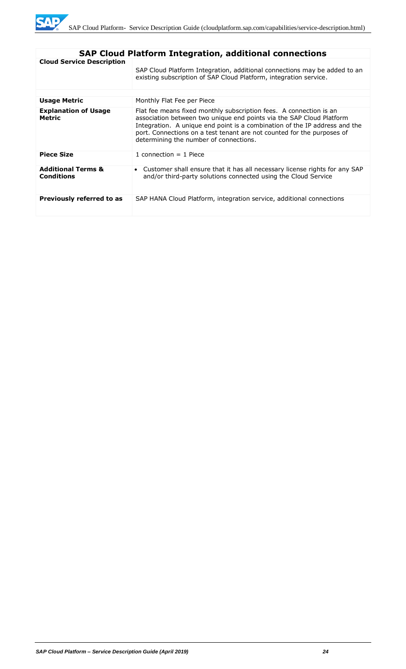

| <b>SAP Cloud Platform Integration, additional connections</b> |                                                                                                                                                                                                                                                                                                                                              |  |  |  |
|---------------------------------------------------------------|----------------------------------------------------------------------------------------------------------------------------------------------------------------------------------------------------------------------------------------------------------------------------------------------------------------------------------------------|--|--|--|
| <b>Cloud Service Description</b>                              | SAP Cloud Platform Integration, additional connections may be added to an<br>existing subscription of SAP Cloud Platform, integration service.                                                                                                                                                                                               |  |  |  |
| Usage Metric                                                  | Monthly Flat Fee per Piece                                                                                                                                                                                                                                                                                                                   |  |  |  |
| <b>Explanation of Usage</b><br><b>Metric</b>                  | Flat fee means fixed monthly subscription fees. A connection is an<br>association between two unique end points via the SAP Cloud Platform<br>Integration. A unique end point is a combination of the IP address and the<br>port. Connections on a test tenant are not counted for the purposes of<br>determining the number of connections. |  |  |  |
| <b>Piece Size</b>                                             | 1 connection $=$ 1 Piece                                                                                                                                                                                                                                                                                                                     |  |  |  |
| <b>Additional Terms &amp;</b><br><b>Conditions</b>            | • Customer shall ensure that it has all necessary license rights for any SAP<br>and/or third-party solutions connected using the Cloud Service                                                                                                                                                                                               |  |  |  |
| Previously referred to as                                     | SAP HANA Cloud Platform, integration service, additional connections                                                                                                                                                                                                                                                                         |  |  |  |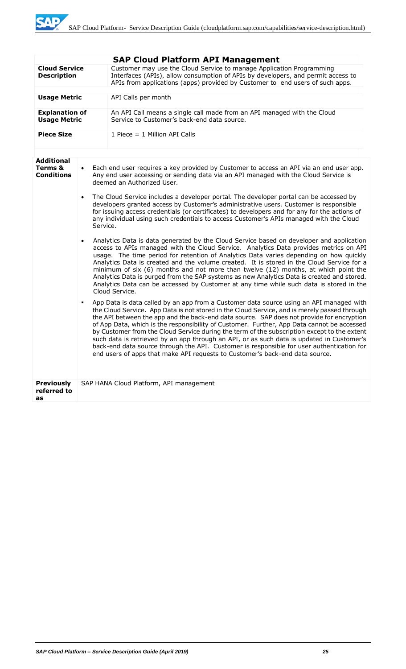**SAP** 

|                                                                                 |  | <b>SAP Cloud Platform API Management</b>                                                                                                                                                                                                                                                                                                                                                                                                                                                                                                                                                                                                                                                                                                                                                                                                                                                                                                                                                                                                                                                                                                                                                                                                                                                                                                                                                                                                                                                                                                                                                                                                                                                                                                                                                                                                                                                                                                                                                                                               |  |  |
|---------------------------------------------------------------------------------|--|----------------------------------------------------------------------------------------------------------------------------------------------------------------------------------------------------------------------------------------------------------------------------------------------------------------------------------------------------------------------------------------------------------------------------------------------------------------------------------------------------------------------------------------------------------------------------------------------------------------------------------------------------------------------------------------------------------------------------------------------------------------------------------------------------------------------------------------------------------------------------------------------------------------------------------------------------------------------------------------------------------------------------------------------------------------------------------------------------------------------------------------------------------------------------------------------------------------------------------------------------------------------------------------------------------------------------------------------------------------------------------------------------------------------------------------------------------------------------------------------------------------------------------------------------------------------------------------------------------------------------------------------------------------------------------------------------------------------------------------------------------------------------------------------------------------------------------------------------------------------------------------------------------------------------------------------------------------------------------------------------------------------------------------|--|--|
| <b>Cloud Service</b><br><b>Description</b>                                      |  | Customer may use the Cloud Service to manage Application Programming<br>Interfaces (APIs), allow consumption of APIs by developers, and permit access to<br>APIs from applications (apps) provided by Customer to end users of such apps.                                                                                                                                                                                                                                                                                                                                                                                                                                                                                                                                                                                                                                                                                                                                                                                                                                                                                                                                                                                                                                                                                                                                                                                                                                                                                                                                                                                                                                                                                                                                                                                                                                                                                                                                                                                              |  |  |
| <b>Usage Metric</b>                                                             |  | API Calls per month                                                                                                                                                                                                                                                                                                                                                                                                                                                                                                                                                                                                                                                                                                                                                                                                                                                                                                                                                                                                                                                                                                                                                                                                                                                                                                                                                                                                                                                                                                                                                                                                                                                                                                                                                                                                                                                                                                                                                                                                                    |  |  |
| <b>Explanation of</b><br><b>Usage Metric</b>                                    |  | An API Call means a single call made from an API managed with the Cloud<br>Service to Customer's back-end data source.                                                                                                                                                                                                                                                                                                                                                                                                                                                                                                                                                                                                                                                                                                                                                                                                                                                                                                                                                                                                                                                                                                                                                                                                                                                                                                                                                                                                                                                                                                                                                                                                                                                                                                                                                                                                                                                                                                                 |  |  |
| <b>Piece Size</b>                                                               |  | 1 Piece $= 1$ Million API Calls                                                                                                                                                                                                                                                                                                                                                                                                                                                                                                                                                                                                                                                                                                                                                                                                                                                                                                                                                                                                                                                                                                                                                                                                                                                                                                                                                                                                                                                                                                                                                                                                                                                                                                                                                                                                                                                                                                                                                                                                        |  |  |
| <b>Additional</b><br>Terms &<br>$\bullet$<br><b>Conditions</b><br>Service.<br>٠ |  | Each end user requires a key provided by Customer to access an API via an end user app.<br>Any end user accessing or sending data via an API managed with the Cloud Service is<br>deemed an Authorized User.<br>The Cloud Service includes a developer portal. The developer portal can be accessed by<br>developers granted access by Customer's administrative users. Customer is responsible<br>for issuing access credentials (or certificates) to developers and for any for the actions of<br>any individual using such credentials to access Customer's APIs managed with the Cloud<br>Analytics Data is data generated by the Cloud Service based on developer and application<br>access to APIs managed with the Cloud Service. Analytics Data provides metrics on API<br>usage. The time period for retention of Analytics Data varies depending on how quickly<br>Analytics Data is created and the volume created. It is stored in the Cloud Service for a<br>minimum of six (6) months and not more than twelve (12) months, at which point the<br>Analytics Data is purged from the SAP systems as new Analytics Data is created and stored.<br>Analytics Data can be accessed by Customer at any time while such data is stored in the<br>Cloud Service.<br>App Data is data called by an app from a Customer data source using an API managed with<br>the Cloud Service. App Data is not stored in the Cloud Service, and is merely passed through<br>the API between the app and the back-end data source. SAP does not provide for encryption<br>of App Data, which is the responsibility of Customer. Further, App Data cannot be accessed<br>by Customer from the Cloud Service during the term of the subscription except to the extent<br>such data is retrieved by an app through an API, or as such data is updated in Customer's<br>back-end data source through the API. Customer is responsible for user authentication for<br>end users of apps that make API requests to Customer's back-end data source. |  |  |
| <b>Previously</b><br>referred to<br>as                                          |  | SAP HANA Cloud Platform, API management                                                                                                                                                                                                                                                                                                                                                                                                                                                                                                                                                                                                                                                                                                                                                                                                                                                                                                                                                                                                                                                                                                                                                                                                                                                                                                                                                                                                                                                                                                                                                                                                                                                                                                                                                                                                                                                                                                                                                                                                |  |  |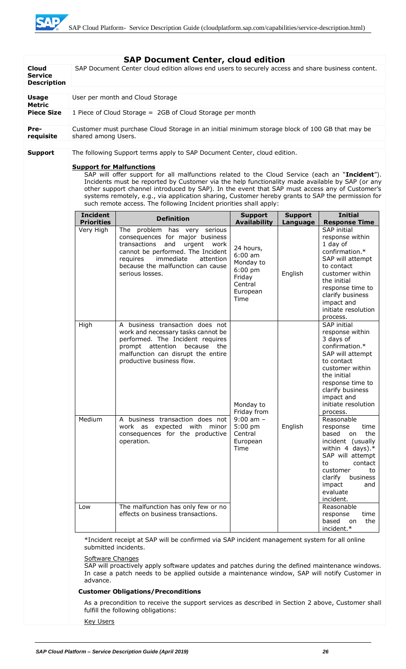SAD

| <b>Cloud</b><br><b>Service</b><br><b>Description</b> |                                                                                                                                                                                                                                  | <b>SAP Document Center, cloud edition</b><br>SAP Document Center cloud edition allows end users to securely access and share business content.                                                                                                                                                                                                                                                                                                                                |                                                                                                                  |                                                                                                                                                                                                                                          |                                                                                                                                                                                                                                                   |
|------------------------------------------------------|----------------------------------------------------------------------------------------------------------------------------------------------------------------------------------------------------------------------------------|-------------------------------------------------------------------------------------------------------------------------------------------------------------------------------------------------------------------------------------------------------------------------------------------------------------------------------------------------------------------------------------------------------------------------------------------------------------------------------|------------------------------------------------------------------------------------------------------------------|------------------------------------------------------------------------------------------------------------------------------------------------------------------------------------------------------------------------------------------|---------------------------------------------------------------------------------------------------------------------------------------------------------------------------------------------------------------------------------------------------|
| <b>Usage</b>                                         |                                                                                                                                                                                                                                  | User per month and Cloud Storage                                                                                                                                                                                                                                                                                                                                                                                                                                              |                                                                                                                  |                                                                                                                                                                                                                                          |                                                                                                                                                                                                                                                   |
| <b>Metric</b><br><b>Piece Size</b>                   |                                                                                                                                                                                                                                  | 1 Piece of Cloud Storage = 2GB of Cloud Storage per month                                                                                                                                                                                                                                                                                                                                                                                                                     |                                                                                                                  |                                                                                                                                                                                                                                          |                                                                                                                                                                                                                                                   |
| Pre-<br>requisite                                    | shared among Users.                                                                                                                                                                                                              | Customer must purchase Cloud Storage in an initial minimum storage block of 100 GB that may be                                                                                                                                                                                                                                                                                                                                                                                |                                                                                                                  |                                                                                                                                                                                                                                          |                                                                                                                                                                                                                                                   |
| <b>Support</b>                                       |                                                                                                                                                                                                                                  | The following Support terms apply to SAP Document Center, cloud edition.                                                                                                                                                                                                                                                                                                                                                                                                      |                                                                                                                  |                                                                                                                                                                                                                                          |                                                                                                                                                                                                                                                   |
|                                                      | <b>Support for Malfunctions</b>                                                                                                                                                                                                  | SAP will offer support for all malfunctions related to the Cloud Service (each an "Incident").<br>Incidents must be reported by Customer via the help functionality made available by SAP (or any<br>other support channel introduced by SAP). In the event that SAP must access any of Customer's<br>systems remotely, e.g., via application sharing, Customer hereby grants to SAP the permission for<br>such remote access. The following Incident priorities shall apply: |                                                                                                                  |                                                                                                                                                                                                                                          |                                                                                                                                                                                                                                                   |
|                                                      | <b>Incident</b>                                                                                                                                                                                                                  | <b>Definition</b>                                                                                                                                                                                                                                                                                                                                                                                                                                                             | <b>Support</b>                                                                                                   | <b>Support</b>                                                                                                                                                                                                                           | <b>Initial</b>                                                                                                                                                                                                                                    |
|                                                      | <b>Priorities</b><br>Very High                                                                                                                                                                                                   | The problem has very serious<br>consequences for major business<br>transactions and<br>urgent work<br>cannot be performed. The Incident<br>immediate<br>requires<br>attention<br>because the malfunction can cause<br>serious losses.                                                                                                                                                                                                                                         | <b>Availability</b><br>24 hours,<br>$6:00$ am<br>Monday to<br>$6:00$ pm<br>Friday<br>Central<br>European<br>Time | Language<br>English                                                                                                                                                                                                                      | <b>Response Time</b><br>SAP initial<br>response within<br>1 day of<br>confirmation.*<br>SAP will attempt<br>to contact<br>customer within<br>the initial<br>response time to<br>clarify business<br>impact and<br>initiate resolution<br>process. |
|                                                      | High<br>Medium                                                                                                                                                                                                                   | A business transaction does not<br>work and necessary tasks cannot be<br>performed. The Incident requires<br>prompt attention because<br>the<br>malfunction can disrupt the entire<br>productive business flow.                                                                                                                                                                                                                                                               | Monday to<br>Friday from<br>$9:00$ am $-$<br>$5:00$ pm<br>English<br>Central<br>European<br>Time                 | SAP initial<br>response within<br>3 days of<br>confirmation.*<br>SAP will attempt<br>to contact<br>customer within<br>the initial<br>response time to<br>clarify business<br>impact and<br>initiate resolution<br>process.<br>Reasonable |                                                                                                                                                                                                                                                   |
|                                                      |                                                                                                                                                                                                                                  | A business transaction does not<br>work as expected with minor<br>consequences for the productive<br>operation.                                                                                                                                                                                                                                                                                                                                                               |                                                                                                                  |                                                                                                                                                                                                                                          | response<br>time<br>based<br>the<br>on<br>incident (usually<br>within 4 days). $*$<br>SAP will attempt<br>contact<br>to<br>customer<br>to<br>business<br>clarify<br>impact<br>and<br>evaluate<br>incident.                                        |
|                                                      | Low                                                                                                                                                                                                                              | The malfunction has only few or no<br>effects on business transactions.                                                                                                                                                                                                                                                                                                                                                                                                       |                                                                                                                  |                                                                                                                                                                                                                                          | Reasonable<br>response<br>time<br>based on<br>the<br>incident.*                                                                                                                                                                                   |
|                                                      | *Incident receipt at SAP will be confirmed via SAP incident management system for all online<br>submitted incidents.                                                                                                             |                                                                                                                                                                                                                                                                                                                                                                                                                                                                               |                                                                                                                  |                                                                                                                                                                                                                                          |                                                                                                                                                                                                                                                   |
|                                                      | Software Changes<br>SAP will proactively apply software updates and patches during the defined maintenance windows.<br>In case a patch needs to be applied outside a maintenance window, SAP will notify Customer in<br>advance. |                                                                                                                                                                                                                                                                                                                                                                                                                                                                               |                                                                                                                  |                                                                                                                                                                                                                                          |                                                                                                                                                                                                                                                   |
|                                                      |                                                                                                                                                                                                                                  | <b>Customer Obligations/Preconditions</b>                                                                                                                                                                                                                                                                                                                                                                                                                                     |                                                                                                                  |                                                                                                                                                                                                                                          |                                                                                                                                                                                                                                                   |
|                                                      |                                                                                                                                                                                                                                  | As a precondition to receive the support services as described in Section 2 above, Customer shall<br>fulfill the following obligations:                                                                                                                                                                                                                                                                                                                                       |                                                                                                                  |                                                                                                                                                                                                                                          |                                                                                                                                                                                                                                                   |
|                                                      | <b>Key Users</b>                                                                                                                                                                                                                 |                                                                                                                                                                                                                                                                                                                                                                                                                                                                               |                                                                                                                  |                                                                                                                                                                                                                                          |                                                                                                                                                                                                                                                   |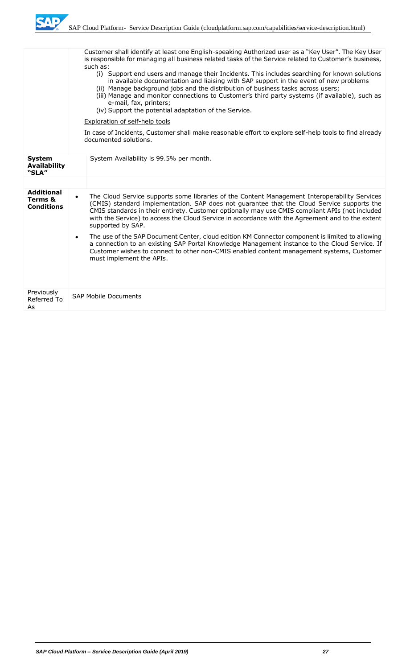

|                                                   | such as:<br>e-mail, fax, printers;<br>(iv) Support the potential adaptation of the Service. | Customer shall identify at least one English-speaking Authorized user as a "Key User". The Key User<br>is responsible for managing all business related tasks of the Service related to Customer's business,<br>(i) Support end users and manage their Incidents. This includes searching for known solutions<br>in available documentation and liaising with SAP support in the event of new problems<br>(ii) Manage background jobs and the distribution of business tasks across users;<br>(iii) Manage and monitor connections to Customer's third party systems (if available), such as                                                                                                        |
|---------------------------------------------------|---------------------------------------------------------------------------------------------|-----------------------------------------------------------------------------------------------------------------------------------------------------------------------------------------------------------------------------------------------------------------------------------------------------------------------------------------------------------------------------------------------------------------------------------------------------------------------------------------------------------------------------------------------------------------------------------------------------------------------------------------------------------------------------------------------------|
|                                                   | Exploration of self-help tools<br>documented solutions.                                     | In case of Incidents, Customer shall make reasonable effort to explore self-help tools to find already                                                                                                                                                                                                                                                                                                                                                                                                                                                                                                                                                                                              |
| <b>System</b><br><b>Availability</b><br>"SLA"     | System Availability is 99.5% per month.                                                     |                                                                                                                                                                                                                                                                                                                                                                                                                                                                                                                                                                                                                                                                                                     |
| <b>Additional</b><br>Terms &<br><b>Conditions</b> | $\bullet$<br>supported by SAP.<br>٠<br>must implement the APIs.                             | The Cloud Service supports some libraries of the Content Management Interoperability Services<br>(CMIS) standard implementation. SAP does not guarantee that the Cloud Service supports the<br>CMIS standards in their entirety. Customer optionally may use CMIS compliant APIs (not included<br>with the Service) to access the Cloud Service in accordance with the Agreement and to the extent<br>The use of the SAP Document Center, cloud edition KM Connector component is limited to allowing<br>a connection to an existing SAP Portal Knowledge Management instance to the Cloud Service. If<br>Customer wishes to connect to other non-CMIS enabled content management systems, Customer |
| Previously<br>Referred To<br>As                   | <b>SAP Mobile Documents</b>                                                                 |                                                                                                                                                                                                                                                                                                                                                                                                                                                                                                                                                                                                                                                                                                     |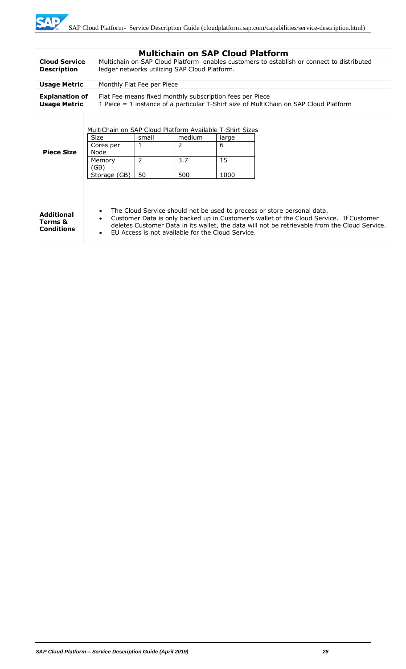

| <b>Multichain on SAP Cloud Platform</b>           |                                                                                                                                                                                                                                                                                                                                                                |                                                                                                                                            |                           |                          |  |
|---------------------------------------------------|----------------------------------------------------------------------------------------------------------------------------------------------------------------------------------------------------------------------------------------------------------------------------------------------------------------------------------------------------------------|--------------------------------------------------------------------------------------------------------------------------------------------|---------------------------|--------------------------|--|
| <b>Cloud Service</b><br><b>Description</b>        |                                                                                                                                                                                                                                                                                                                                                                | Multichain on SAP Cloud Platform enables customers to establish or connect to distributed<br>ledger networks utilizing SAP Cloud Platform. |                           |                          |  |
|                                                   |                                                                                                                                                                                                                                                                                                                                                                |                                                                                                                                            |                           |                          |  |
| <b>Usage Metric</b>                               | Monthly Flat Fee per Piece                                                                                                                                                                                                                                                                                                                                     |                                                                                                                                            |                           |                          |  |
| <b>Explanation of</b><br><b>Usage Metric</b>      | Flat Fee means fixed monthly subscription fees per Piece<br>1 Piece $=$ 1 instance of a particular T-Shirt size of MultiChain on SAP Cloud Platform                                                                                                                                                                                                            |                                                                                                                                            |                           |                          |  |
| <b>Piece Size</b>                                 | MultiChain on SAP Cloud Platform Available T-Shirt Sizes<br><b>Size</b><br>Cores per<br>Node<br>Memory<br>(GB)<br>Storage (GB)                                                                                                                                                                                                                                 | small<br>$\mathbf{1}$<br>$\overline{2}$<br>50                                                                                              | medium<br>2<br>3.7<br>500 | large<br>6<br>15<br>1000 |  |
| <b>Additional</b><br>Terms &<br><b>Conditions</b> | The Cloud Service should not be used to process or store personal data.<br>$\bullet$<br>Customer Data is only backed up in Customer's wallet of the Cloud Service. If Customer<br>$\bullet$<br>deletes Customer Data in its wallet, the data will not be retrievable from the Cloud Service.<br>EU Access is not available for the Cloud Service.<br>$\bullet$ |                                                                                                                                            |                           |                          |  |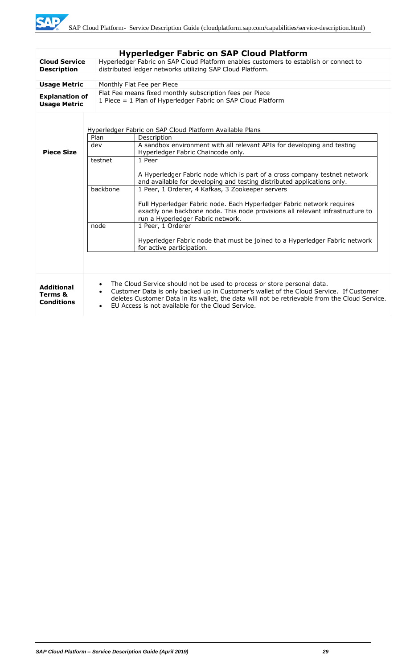|                                                                                                              |                                                                                                                                                                                                                                                                                                                                                                | <b>Hyperledger Fabric on SAP Cloud Platform</b>                                                                                                                                               |
|--------------------------------------------------------------------------------------------------------------|----------------------------------------------------------------------------------------------------------------------------------------------------------------------------------------------------------------------------------------------------------------------------------------------------------------------------------------------------------------|-----------------------------------------------------------------------------------------------------------------------------------------------------------------------------------------------|
| <b>Cloud Service</b>                                                                                         |                                                                                                                                                                                                                                                                                                                                                                | Hyperledger Fabric on SAP Cloud Platform enables customers to establish or connect to                                                                                                         |
| distributed ledger networks utilizing SAP Cloud Platform.<br><b>Description</b>                              |                                                                                                                                                                                                                                                                                                                                                                |                                                                                                                                                                                               |
| <b>Usage Metric</b><br>Monthly Flat Fee per Piece                                                            |                                                                                                                                                                                                                                                                                                                                                                |                                                                                                                                                                                               |
|                                                                                                              |                                                                                                                                                                                                                                                                                                                                                                | Flat Fee means fixed monthly subscription fees per Piece                                                                                                                                      |
| <b>Explanation of</b><br>1 Piece = 1 Plan of Hyperledger Fabric on SAP Cloud Platform<br><b>Usage Metric</b> |                                                                                                                                                                                                                                                                                                                                                                |                                                                                                                                                                                               |
|                                                                                                              |                                                                                                                                                                                                                                                                                                                                                                | Hyperledger Fabric on SAP Cloud Platform Available Plans                                                                                                                                      |
|                                                                                                              | Plan                                                                                                                                                                                                                                                                                                                                                           | Description                                                                                                                                                                                   |
| <b>Piece Size</b>                                                                                            | dev                                                                                                                                                                                                                                                                                                                                                            | A sandbox environment with all relevant APIs for developing and testing<br>Hyperledger Fabric Chaincode only.                                                                                 |
|                                                                                                              | testnet                                                                                                                                                                                                                                                                                                                                                        | 1 Peer                                                                                                                                                                                        |
|                                                                                                              |                                                                                                                                                                                                                                                                                                                                                                | A Hyperledger Fabric node which is part of a cross company testnet network<br>and available for developing and testing distributed applications only.                                         |
|                                                                                                              | backbone                                                                                                                                                                                                                                                                                                                                                       | 1 Peer, 1 Orderer, 4 Kafkas, 3 Zookeeper servers                                                                                                                                              |
|                                                                                                              |                                                                                                                                                                                                                                                                                                                                                                | Full Hyperledger Fabric node. Each Hyperledger Fabric network requires<br>exactly one backbone node. This node provisions all relevant infrastructure to<br>run a Hyperledger Fabric network. |
|                                                                                                              | node                                                                                                                                                                                                                                                                                                                                                           | 1 Peer, 1 Orderer                                                                                                                                                                             |
|                                                                                                              |                                                                                                                                                                                                                                                                                                                                                                | Hyperledger Fabric node that must be joined to a Hyperledger Fabric network<br>for active participation.                                                                                      |
|                                                                                                              |                                                                                                                                                                                                                                                                                                                                                                |                                                                                                                                                                                               |
| <b>Additional</b><br>Terms &<br><b>Conditions</b>                                                            | The Cloud Service should not be used to process or store personal data.<br>$\bullet$<br>Customer Data is only backed up in Customer's wallet of the Cloud Service. If Customer<br>$\bullet$<br>deletes Customer Data in its wallet, the data will not be retrievable from the Cloud Service.<br>EU Access is not available for the Cloud Service.<br>$\bullet$ |                                                                                                                                                                                               |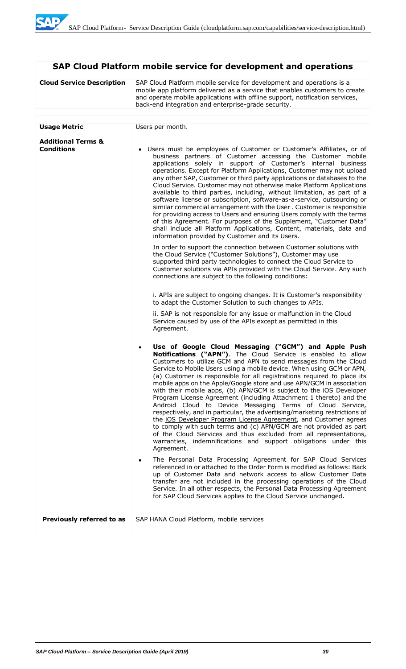# **SAP Cloud Platform mobile service for development and operations**

| <b>Cloud Service Description</b>                   | SAP Cloud Platform mobile service for development and operations is a<br>mobile app platform delivered as a service that enables customers to create<br>and operate mobile applications with offline support, notification services,<br>back-end integration and enterprise-grade security.                                                                                                                                                                                                                                                                                                                                                                                                                                                                                                                                                                                                                                                                                                                         |  |
|----------------------------------------------------|---------------------------------------------------------------------------------------------------------------------------------------------------------------------------------------------------------------------------------------------------------------------------------------------------------------------------------------------------------------------------------------------------------------------------------------------------------------------------------------------------------------------------------------------------------------------------------------------------------------------------------------------------------------------------------------------------------------------------------------------------------------------------------------------------------------------------------------------------------------------------------------------------------------------------------------------------------------------------------------------------------------------|--|
|                                                    |                                                                                                                                                                                                                                                                                                                                                                                                                                                                                                                                                                                                                                                                                                                                                                                                                                                                                                                                                                                                                     |  |
| <b>Usage Metric</b>                                | Users per month.                                                                                                                                                                                                                                                                                                                                                                                                                                                                                                                                                                                                                                                                                                                                                                                                                                                                                                                                                                                                    |  |
| <b>Additional Terms &amp;</b><br><b>Conditions</b> | • Users must be employees of Customer or Customer's Affiliates, or of<br>business partners of Customer accessing the Customer mobile<br>applications solely in support of Customer's internal business<br>operations. Except for Platform Applications, Customer may not upload<br>any other SAP, Customer or third party applications or databases to the<br>Cloud Service. Customer may not otherwise make Platform Applications<br>available to third parties, including, without limitation, as part of a<br>software license or subscription, software-as-a-service, outsourcing or<br>similar commercial arrangement with the User. Customer is responsible<br>for providing access to Users and ensuring Users comply with the terms<br>of this Agreement. For purposes of the Supplement, "Customer Data"<br>shall include all Platform Applications, Content, materials, data and<br>information provided by Customer and its Users.<br>In order to support the connection between Customer solutions with |  |
|                                                    | the Cloud Service ("Customer Solutions"), Customer may use<br>supported third party technologies to connect the Cloud Service to<br>Customer solutions via APIs provided with the Cloud Service. Any such<br>connections are subject to the following conditions:                                                                                                                                                                                                                                                                                                                                                                                                                                                                                                                                                                                                                                                                                                                                                   |  |
|                                                    | i. APIs are subject to ongoing changes. It is Customer's responsibility<br>to adapt the Customer Solution to such changes to APIs.                                                                                                                                                                                                                                                                                                                                                                                                                                                                                                                                                                                                                                                                                                                                                                                                                                                                                  |  |
|                                                    | ii. SAP is not responsible for any issue or malfunction in the Cloud<br>Service caused by use of the APIs except as permitted in this<br>Agreement.                                                                                                                                                                                                                                                                                                                                                                                                                                                                                                                                                                                                                                                                                                                                                                                                                                                                 |  |
|                                                    | Use of Google Cloud Messaging ("GCM") and Apple Push<br>٠<br>Notifications ("APN"). The Cloud Service is enabled to allow<br>Customers to utilize GCM and APN to send messages from the Cloud<br>Service to Mobile Users using a mobile device. When using GCM or APN,<br>(a) Customer is responsible for all registrations required to place its<br>mobile apps on the Apple/Google store and use APN/GCM in association<br>with their mobile apps, (b) APN/GCM is subject to the iOS Developer<br>Program License Agreement (including Attachment 1 thereto) and the<br>Android Cloud to Device Messaging Terms of Cloud Service,<br>respectively, and in particular, the advertising/marketing restrictions of<br>the iOS Developer Program License Agreement, and Customer agrees<br>to comply with such terms and (c) APN/GCM are not provided as part<br>of the Cloud Services and thus excluded from all representations,<br>warranties, indemnifications and support obligations under this<br>Agreement.   |  |
|                                                    | The Personal Data Processing Agreement for SAP Cloud Services<br>٠<br>referenced in or attached to the Order Form is modified as follows: Back<br>up of Customer Data and network access to allow Customer Data<br>transfer are not included in the processing operations of the Cloud<br>Service. In all other respects, the Personal Data Processing Agreement<br>for SAP Cloud Services applies to the Cloud Service unchanged.                                                                                                                                                                                                                                                                                                                                                                                                                                                                                                                                                                                  |  |
| Previously referred to as                          | SAP HANA Cloud Platform, mobile services                                                                                                                                                                                                                                                                                                                                                                                                                                                                                                                                                                                                                                                                                                                                                                                                                                                                                                                                                                            |  |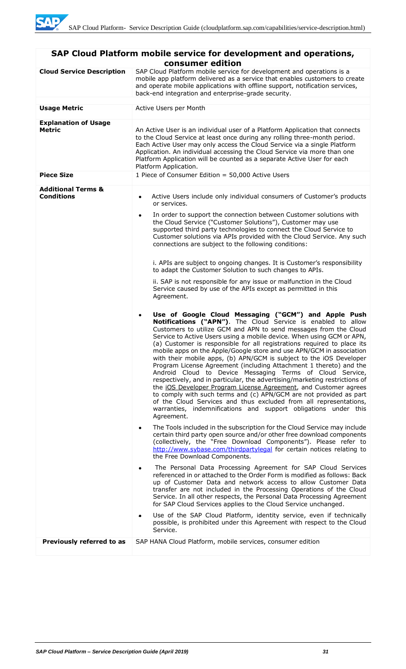| SAP Cloud Platform mobile service for development and operations,<br>consumer edition |                                                                                                                                                                                                                                                                                                                                                                                                                                                                                                                                                                                                                                                                                                                                                                                                                                                                                                                                                                                                                                                                                                                                                                                                                                                                                                                                                                                                                                                                                                                                                                                                                                                                                                                                                                                                                                                                                                                                                                                                                                                                                                                                                                                                                                                                                                                                                                                                                                                                                                                 |  |  |
|---------------------------------------------------------------------------------------|-----------------------------------------------------------------------------------------------------------------------------------------------------------------------------------------------------------------------------------------------------------------------------------------------------------------------------------------------------------------------------------------------------------------------------------------------------------------------------------------------------------------------------------------------------------------------------------------------------------------------------------------------------------------------------------------------------------------------------------------------------------------------------------------------------------------------------------------------------------------------------------------------------------------------------------------------------------------------------------------------------------------------------------------------------------------------------------------------------------------------------------------------------------------------------------------------------------------------------------------------------------------------------------------------------------------------------------------------------------------------------------------------------------------------------------------------------------------------------------------------------------------------------------------------------------------------------------------------------------------------------------------------------------------------------------------------------------------------------------------------------------------------------------------------------------------------------------------------------------------------------------------------------------------------------------------------------------------------------------------------------------------------------------------------------------------------------------------------------------------------------------------------------------------------------------------------------------------------------------------------------------------------------------------------------------------------------------------------------------------------------------------------------------------------------------------------------------------------------------------------------------------|--|--|
| <b>Cloud Service Description</b>                                                      | SAP Cloud Platform mobile service for development and operations is a<br>mobile app platform delivered as a service that enables customers to create<br>and operate mobile applications with offline support, notification services,<br>back-end integration and enterprise-grade security.                                                                                                                                                                                                                                                                                                                                                                                                                                                                                                                                                                                                                                                                                                                                                                                                                                                                                                                                                                                                                                                                                                                                                                                                                                                                                                                                                                                                                                                                                                                                                                                                                                                                                                                                                                                                                                                                                                                                                                                                                                                                                                                                                                                                                     |  |  |
| <b>Usage Metric</b>                                                                   | Active Users per Month                                                                                                                                                                                                                                                                                                                                                                                                                                                                                                                                                                                                                                                                                                                                                                                                                                                                                                                                                                                                                                                                                                                                                                                                                                                                                                                                                                                                                                                                                                                                                                                                                                                                                                                                                                                                                                                                                                                                                                                                                                                                                                                                                                                                                                                                                                                                                                                                                                                                                          |  |  |
| <b>Explanation of Usage</b><br><b>Metric</b>                                          | An Active User is an individual user of a Platform Application that connects<br>to the Cloud Service at least once during any rolling three-month period.<br>Each Active User may only access the Cloud Service via a single Platform<br>Application. An individual accessing the Cloud Service via more than one<br>Platform Application will be counted as a separate Active User for each<br>Platform Application.                                                                                                                                                                                                                                                                                                                                                                                                                                                                                                                                                                                                                                                                                                                                                                                                                                                                                                                                                                                                                                                                                                                                                                                                                                                                                                                                                                                                                                                                                                                                                                                                                                                                                                                                                                                                                                                                                                                                                                                                                                                                                           |  |  |
| <b>Piece Size</b>                                                                     | 1 Piece of Consumer Edition = 50,000 Active Users                                                                                                                                                                                                                                                                                                                                                                                                                                                                                                                                                                                                                                                                                                                                                                                                                                                                                                                                                                                                                                                                                                                                                                                                                                                                                                                                                                                                                                                                                                                                                                                                                                                                                                                                                                                                                                                                                                                                                                                                                                                                                                                                                                                                                                                                                                                                                                                                                                                               |  |  |
| <b>Additional Terms &amp;</b><br><b>Conditions</b>                                    | Active Users include only individual consumers of Customer's products<br>$\bullet$<br>or services.<br>In order to support the connection between Customer solutions with<br>$\bullet$<br>the Cloud Service ("Customer Solutions"), Customer may use<br>supported third party technologies to connect the Cloud Service to<br>Customer solutions via APIs provided with the Cloud Service. Any such<br>connections are subject to the following conditions:<br>i. APIs are subject to ongoing changes. It is Customer's responsibility<br>to adapt the Customer Solution to such changes to APIs.<br>ii. SAP is not responsible for any issue or malfunction in the Cloud<br>Service caused by use of the APIs except as permitted in this<br>Agreement.<br>Use of Google Cloud Messaging ("GCM") and Apple Push<br>$\bullet$<br>Notifications ("APN"). The Cloud Service is enabled to allow<br>Customers to utilize GCM and APN to send messages from the Cloud<br>Service to Active Users using a mobile device. When using GCM or APN,<br>(a) Customer is responsible for all registrations required to place its<br>mobile apps on the Apple/Google store and use APN/GCM in association<br>with their mobile apps, (b) APN/GCM is subject to the iOS Developer<br>Program License Agreement (including Attachment 1 thereto) and the<br>Android Cloud to Device Messaging Terms of Cloud Service,<br>respectively, and in particular, the advertising/marketing restrictions of<br>the iOS Developer Program License Agreement, and Customer agrees<br>to comply with such terms and (c) APN/GCM are not provided as part<br>of the Cloud Services and thus excluded from all representations,<br>warranties, indemnifications and support obligations under this<br>Agreement.<br>The Tools included in the subscription for the Cloud Service may include<br>$\bullet$<br>certain third party open source and/or other free download components<br>(collectively, the "Free Download Components"). Please refer to<br>http://www.sybase.com/thirdpartylegal for certain notices relating to<br>the Free Download Components.<br>The Personal Data Processing Agreement for SAP Cloud Services<br>$\bullet$<br>referenced in or attached to the Order Form is modified as follows: Back<br>up of Customer Data and network access to allow Customer Data<br>transfer are not included in the Processing Operations of the Cloud<br>Service. In all other respects, the Personal Data Processing Agreement |  |  |
|                                                                                       | for SAP Cloud Services applies to the Cloud Service unchanged.<br>Use of the SAP Cloud Platform, identity service, even if technically<br>٠<br>possible, is prohibited under this Agreement with respect to the Cloud                                                                                                                                                                                                                                                                                                                                                                                                                                                                                                                                                                                                                                                                                                                                                                                                                                                                                                                                                                                                                                                                                                                                                                                                                                                                                                                                                                                                                                                                                                                                                                                                                                                                                                                                                                                                                                                                                                                                                                                                                                                                                                                                                                                                                                                                                           |  |  |
|                                                                                       | Service.                                                                                                                                                                                                                                                                                                                                                                                                                                                                                                                                                                                                                                                                                                                                                                                                                                                                                                                                                                                                                                                                                                                                                                                                                                                                                                                                                                                                                                                                                                                                                                                                                                                                                                                                                                                                                                                                                                                                                                                                                                                                                                                                                                                                                                                                                                                                                                                                                                                                                                        |  |  |
| Previously referred to as                                                             | SAP HANA Cloud Platform, mobile services, consumer edition                                                                                                                                                                                                                                                                                                                                                                                                                                                                                                                                                                                                                                                                                                                                                                                                                                                                                                                                                                                                                                                                                                                                                                                                                                                                                                                                                                                                                                                                                                                                                                                                                                                                                                                                                                                                                                                                                                                                                                                                                                                                                                                                                                                                                                                                                                                                                                                                                                                      |  |  |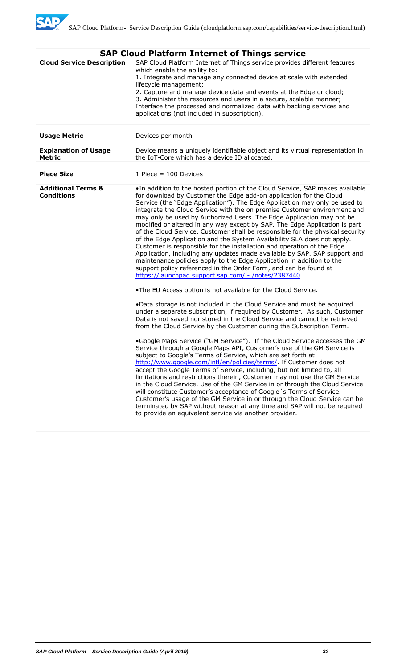

| <b>SAP Cloud Platform Internet of Things service</b> |                                                                                                                                                                                                                                                                                                                                                                                                                                                                                                                                                                                                                                                                                                                                                                                                                                                                                                                                                                                              |  |  |
|------------------------------------------------------|----------------------------------------------------------------------------------------------------------------------------------------------------------------------------------------------------------------------------------------------------------------------------------------------------------------------------------------------------------------------------------------------------------------------------------------------------------------------------------------------------------------------------------------------------------------------------------------------------------------------------------------------------------------------------------------------------------------------------------------------------------------------------------------------------------------------------------------------------------------------------------------------------------------------------------------------------------------------------------------------|--|--|
| <b>Cloud Service Description</b>                     | SAP Cloud Platform Internet of Things service provides different features<br>which enable the ability to:<br>1. Integrate and manage any connected device at scale with extended<br>lifecycle management;<br>2. Capture and manage device data and events at the Edge or cloud;<br>3. Administer the resources and users in a secure, scalable manner;<br>Interface the processed and normalized data with backing services and<br>applications (not included in subscription).                                                                                                                                                                                                                                                                                                                                                                                                                                                                                                              |  |  |
|                                                      |                                                                                                                                                                                                                                                                                                                                                                                                                                                                                                                                                                                                                                                                                                                                                                                                                                                                                                                                                                                              |  |  |
| <b>Usage Metric</b>                                  | Devices per month                                                                                                                                                                                                                                                                                                                                                                                                                                                                                                                                                                                                                                                                                                                                                                                                                                                                                                                                                                            |  |  |
| <b>Explanation of Usage</b><br><b>Metric</b>         | Device means a uniquely identifiable object and its virtual representation in<br>the IoT-Core which has a device ID allocated.                                                                                                                                                                                                                                                                                                                                                                                                                                                                                                                                                                                                                                                                                                                                                                                                                                                               |  |  |
|                                                      |                                                                                                                                                                                                                                                                                                                                                                                                                                                                                                                                                                                                                                                                                                                                                                                                                                                                                                                                                                                              |  |  |
| <b>Piece Size</b>                                    | 1 Piece $= 100$ Devices                                                                                                                                                                                                                                                                                                                                                                                                                                                                                                                                                                                                                                                                                                                                                                                                                                                                                                                                                                      |  |  |
| <b>Additional Terms &amp;</b><br><b>Conditions</b>   | . In addition to the hosted portion of the Cloud Service, SAP makes available<br>for download by Customer the Edge add-on application for the Cloud<br>Service (the "Edge Application"). The Edge Application may only be used to<br>integrate the Cloud Service with the on premise Customer environment and<br>may only be used by Authorized Users. The Edge Application may not be<br>modified or altered in any way except by SAP. The Edge Application is part<br>of the Cloud Service. Customer shall be responsible for the physical security<br>of the Edge Application and the System Availability SLA does not apply.<br>Customer is responsible for the installation and operation of the Edge<br>Application, including any updates made available by SAP. SAP support and<br>maintenance policies apply to the Edge Application in addition to the<br>support policy referenced in the Order Form, and can be found at<br>https://launchpad.support.sap.com/ - /notes/2387440. |  |  |
|                                                      | .The EU Access option is not available for the Cloud Service.                                                                                                                                                                                                                                                                                                                                                                                                                                                                                                                                                                                                                                                                                                                                                                                                                                                                                                                                |  |  |
|                                                      | .Data storage is not included in the Cloud Service and must be acquired<br>under a separate subscription, if required by Customer. As such, Customer<br>Data is not saved nor stored in the Cloud Service and cannot be retrieved<br>from the Cloud Service by the Customer during the Subscription Term.                                                                                                                                                                                                                                                                                                                                                                                                                                                                                                                                                                                                                                                                                    |  |  |
|                                                      | .Google Maps Service ("GM Service"). If the Cloud Service accesses the GM<br>Service through a Google Maps API, Customer's use of the GM Service is<br>subject to Google's Terms of Service, which are set forth at<br>http://www.google.com/intl/en/policies/terms/. If Customer does not<br>accept the Google Terms of Service, including, but not limited to, all<br>limitations and restrictions therein, Customer may not use the GM Service<br>in the Cloud Service. Use of the GM Service in or through the Cloud Service<br>will constitute Customer's acceptance of Google 's Terms of Service.<br>Customer's usage of the GM Service in or through the Cloud Service can be<br>terminated by SAP without reason at any time and SAP will not be required<br>to provide an equivalent service via another provider.                                                                                                                                                                 |  |  |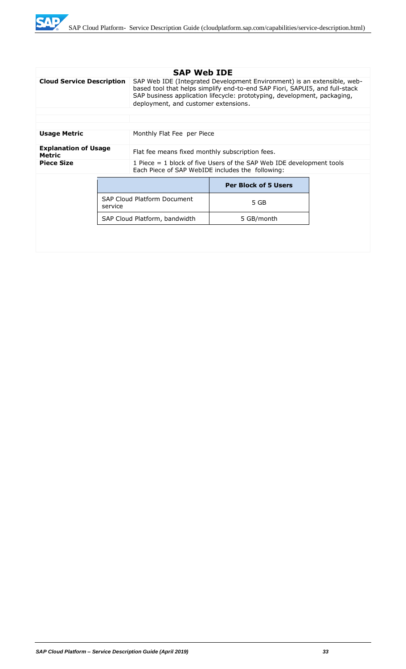

|                                              |  | <b>SAP Web IDE</b>                                                                                                                                                                                                                                                         |                             |  |
|----------------------------------------------|--|----------------------------------------------------------------------------------------------------------------------------------------------------------------------------------------------------------------------------------------------------------------------------|-----------------------------|--|
| <b>Cloud Service Description</b>             |  | SAP Web IDE (Integrated Development Environment) is an extensible, web-<br>based tool that helps simplify end-to-end SAP Fiori, SAPUI5, and full-stack<br>SAP business application lifecycle: prototyping, development, packaging,<br>deployment, and customer extensions. |                             |  |
|                                              |  |                                                                                                                                                                                                                                                                            |                             |  |
|                                              |  |                                                                                                                                                                                                                                                                            |                             |  |
| <b>Usage Metric</b>                          |  | Monthly Flat Fee per Piece                                                                                                                                                                                                                                                 |                             |  |
| <b>Explanation of Usage</b><br><b>Metric</b> |  | Flat fee means fixed monthly subscription fees.                                                                                                                                                                                                                            |                             |  |
| <b>Piece Size</b>                            |  | 1 Piece = 1 block of five Users of the SAP Web IDE development tools<br>Each Piece of SAP WebIDE includes the following:                                                                                                                                                   |                             |  |
|                                              |  |                                                                                                                                                                                                                                                                            | <b>Per Block of 5 Users</b> |  |
| service                                      |  | <b>SAP Cloud Platform Document</b>                                                                                                                                                                                                                                         | 5 GB                        |  |
|                                              |  | SAP Cloud Platform, bandwidth                                                                                                                                                                                                                                              | 5 GB/month                  |  |
|                                              |  |                                                                                                                                                                                                                                                                            |                             |  |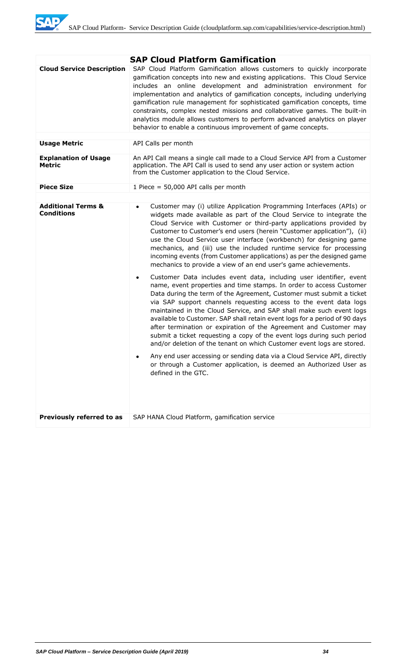

|                                                    | <b>SAP Cloud Platform Gamification</b>                                                                                                                                                                                                                                                                                                                                                                                                                                                                                                                                                                                                                                                                                                                                                                                                                                                                                                                                                                                                                                                                                                                                                                                                                                                                                                                                                                                                                        |  |
|----------------------------------------------------|---------------------------------------------------------------------------------------------------------------------------------------------------------------------------------------------------------------------------------------------------------------------------------------------------------------------------------------------------------------------------------------------------------------------------------------------------------------------------------------------------------------------------------------------------------------------------------------------------------------------------------------------------------------------------------------------------------------------------------------------------------------------------------------------------------------------------------------------------------------------------------------------------------------------------------------------------------------------------------------------------------------------------------------------------------------------------------------------------------------------------------------------------------------------------------------------------------------------------------------------------------------------------------------------------------------------------------------------------------------------------------------------------------------------------------------------------------------|--|
| <b>Cloud Service Description</b>                   | SAP Cloud Platform Gamification allows customers to quickly incorporate<br>gamification concepts into new and existing applications. This Cloud Service<br>includes an online development and administration environment for<br>implementation and analytics of gamification concepts, including underlying<br>gamification rule management for sophisticated gamification concepts, time<br>constraints, complex nested missions and collaborative games. The built-in<br>analytics module allows customers to perform advanced analytics on player<br>behavior to enable a continuous improvement of game concepts.                                                                                                                                                                                                                                                                                                                                                                                                                                                                                                                                                                                                                                                                                                                                                                                                                                         |  |
| <b>Usage Metric</b>                                | API Calls per month                                                                                                                                                                                                                                                                                                                                                                                                                                                                                                                                                                                                                                                                                                                                                                                                                                                                                                                                                                                                                                                                                                                                                                                                                                                                                                                                                                                                                                           |  |
| <b>Explanation of Usage</b><br><b>Metric</b>       | An API Call means a single call made to a Cloud Service API from a Customer<br>application. The API Call is used to send any user action or system action<br>from the Customer application to the Cloud Service.                                                                                                                                                                                                                                                                                                                                                                                                                                                                                                                                                                                                                                                                                                                                                                                                                                                                                                                                                                                                                                                                                                                                                                                                                                              |  |
| <b>Piece Size</b>                                  | 1 Piece = $50,000$ API calls per month                                                                                                                                                                                                                                                                                                                                                                                                                                                                                                                                                                                                                                                                                                                                                                                                                                                                                                                                                                                                                                                                                                                                                                                                                                                                                                                                                                                                                        |  |
|                                                    |                                                                                                                                                                                                                                                                                                                                                                                                                                                                                                                                                                                                                                                                                                                                                                                                                                                                                                                                                                                                                                                                                                                                                                                                                                                                                                                                                                                                                                                               |  |
| <b>Additional Terms &amp;</b><br><b>Conditions</b> | Customer may (i) utilize Application Programming Interfaces (APIs) or<br>٠<br>widgets made available as part of the Cloud Service to integrate the<br>Cloud Service with Customer or third-party applications provided by<br>Customer to Customer's end users (herein "Customer application"), (ii)<br>use the Cloud Service user interface (workbench) for designing game<br>mechanics, and (iii) use the included runtime service for processing<br>incoming events (from Customer applications) as per the designed game<br>mechanics to provide a view of an end user's game achievements.<br>Customer Data includes event data, including user identifier, event<br>$\bullet$<br>name, event properties and time stamps. In order to access Customer<br>Data during the term of the Agreement, Customer must submit a ticket<br>via SAP support channels requesting access to the event data logs<br>maintained in the Cloud Service, and SAP shall make such event logs<br>available to Customer. SAP shall retain event logs for a period of 90 days<br>after termination or expiration of the Agreement and Customer may<br>submit a ticket requesting a copy of the event logs during such period<br>and/or deletion of the tenant on which Customer event logs are stored.<br>Any end user accessing or sending data via a Cloud Service API, directly<br>or through a Customer application, is deemed an Authorized User as<br>defined in the GTC. |  |
| Previously referred to as                          | SAP HANA Cloud Platform, gamification service                                                                                                                                                                                                                                                                                                                                                                                                                                                                                                                                                                                                                                                                                                                                                                                                                                                                                                                                                                                                                                                                                                                                                                                                                                                                                                                                                                                                                 |  |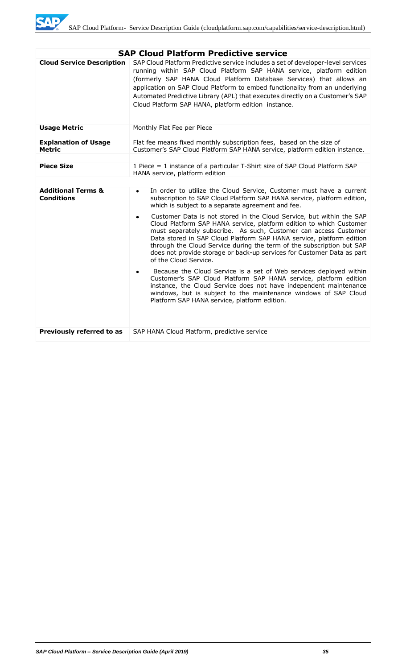

| <b>SAP Cloud Platform Predictive service</b>       |                                                                                                                                                                                                                                                                                                                                                                                                                                                        |  |
|----------------------------------------------------|--------------------------------------------------------------------------------------------------------------------------------------------------------------------------------------------------------------------------------------------------------------------------------------------------------------------------------------------------------------------------------------------------------------------------------------------------------|--|
| <b>Cloud Service Description</b>                   | SAP Cloud Platform Predictive service includes a set of developer-level services<br>running within SAP Cloud Platform SAP HANA service, platform edition<br>(formerly SAP HANA Cloud Platform Database Services) that allows an<br>application on SAP Cloud Platform to embed functionality from an underlying<br>Automated Predictive Library (APL) that executes directly on a Customer's SAP<br>Cloud Platform SAP HANA, platform edition instance. |  |
| <b>Usage Metric</b>                                | Monthly Flat Fee per Piece                                                                                                                                                                                                                                                                                                                                                                                                                             |  |
| <b>Explanation of Usage</b><br><b>Metric</b>       | Flat fee means fixed monthly subscription fees, based on the size of<br>Customer's SAP Cloud Platform SAP HANA service, platform edition instance.                                                                                                                                                                                                                                                                                                     |  |
| <b>Piece Size</b>                                  | 1 Piece = 1 instance of a particular T-Shirt size of SAP Cloud Platform SAP<br>HANA service, platform edition                                                                                                                                                                                                                                                                                                                                          |  |
|                                                    |                                                                                                                                                                                                                                                                                                                                                                                                                                                        |  |
| <b>Additional Terms &amp;</b><br><b>Conditions</b> | In order to utilize the Cloud Service, Customer must have a current<br>$\bullet$<br>subscription to SAP Cloud Platform SAP HANA service, platform edition,<br>which is subject to a separate agreement and fee.<br>Customer Data is not stored in the Cloud Service, but within the SAP<br>$\bullet$<br>Cloud Platform SAP HANA service, platform edition to which Customer                                                                            |  |
|                                                    | must separately subscribe. As such, Customer can access Customer<br>Data stored in SAP Cloud Platform SAP HANA service, platform edition<br>through the Cloud Service during the term of the subscription but SAP<br>does not provide storage or back-up services for Customer Data as part<br>of the Cloud Service.                                                                                                                                   |  |
|                                                    | Because the Cloud Service is a set of Web services deployed within<br>Customer's SAP Cloud Platform SAP HANA service, platform edition<br>instance, the Cloud Service does not have independent maintenance<br>windows, but is subject to the maintenance windows of SAP Cloud<br>Platform SAP HANA service, platform edition.                                                                                                                         |  |
| Previously referred to as                          | SAP HANA Cloud Platform, predictive service                                                                                                                                                                                                                                                                                                                                                                                                            |  |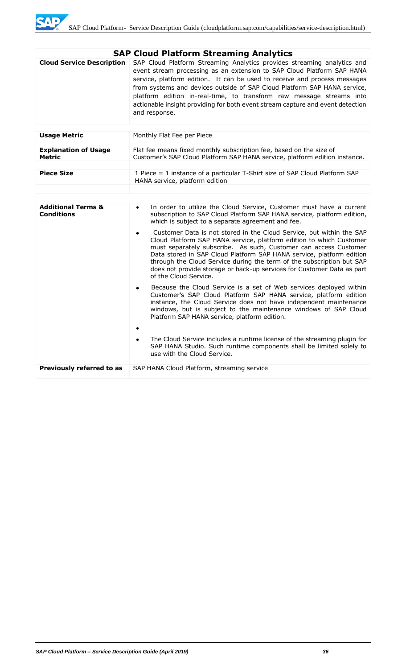

|                                                                         | <b>SAP Cloud Platform Streaming Analytics</b>                                                                                                                                                                                                                                                                                                                                                                                                                                         |  |
|-------------------------------------------------------------------------|---------------------------------------------------------------------------------------------------------------------------------------------------------------------------------------------------------------------------------------------------------------------------------------------------------------------------------------------------------------------------------------------------------------------------------------------------------------------------------------|--|
| <b>Cloud Service Description</b>                                        | SAP Cloud Platform Streaming Analytics provides streaming analytics and<br>event stream processing as an extension to SAP Cloud Platform SAP HANA<br>service, platform edition. It can be used to receive and process messages<br>from systems and devices outside of SAP Cloud Platform SAP HANA service,<br>platform edition in-real-time, to transform raw message streams into<br>actionable insight providing for both event stream capture and event detection<br>and response. |  |
|                                                                         |                                                                                                                                                                                                                                                                                                                                                                                                                                                                                       |  |
| <b>Usage Metric</b>                                                     | Monthly Flat Fee per Piece                                                                                                                                                                                                                                                                                                                                                                                                                                                            |  |
| <b>Explanation of Usage</b><br><b>Metric</b>                            | Flat fee means fixed monthly subscription fee, based on the size of<br>Customer's SAP Cloud Platform SAP HANA service, platform edition instance.                                                                                                                                                                                                                                                                                                                                     |  |
|                                                                         |                                                                                                                                                                                                                                                                                                                                                                                                                                                                                       |  |
| <b>Piece Size</b>                                                       | 1 Piece = 1 instance of a particular T-Shirt size of SAP Cloud Platform SAP<br>HANA service, platform edition                                                                                                                                                                                                                                                                                                                                                                         |  |
|                                                                         |                                                                                                                                                                                                                                                                                                                                                                                                                                                                                       |  |
|                                                                         |                                                                                                                                                                                                                                                                                                                                                                                                                                                                                       |  |
| <b>Additional Terms &amp;</b><br><b>Conditions</b>                      | In order to utilize the Cloud Service, Customer must have a current<br>$\bullet$<br>subscription to SAP Cloud Platform SAP HANA service, platform edition,<br>which is subject to a separate agreement and fee.                                                                                                                                                                                                                                                                       |  |
|                                                                         | Customer Data is not stored in the Cloud Service, but within the SAP<br>٠<br>Cloud Platform SAP HANA service, platform edition to which Customer<br>must separately subscribe. As such, Customer can access Customer<br>Data stored in SAP Cloud Platform SAP HANA service, platform edition<br>through the Cloud Service during the term of the subscription but SAP<br>does not provide storage or back-up services for Customer Data as part<br>of the Cloud Service.              |  |
|                                                                         | Because the Cloud Service is a set of Web services deployed within<br>$\bullet$<br>Customer's SAP Cloud Platform SAP HANA service, platform edition<br>instance, the Cloud Service does not have independent maintenance<br>windows, but is subject to the maintenance windows of SAP Cloud<br>Platform SAP HANA service, platform edition.                                                                                                                                           |  |
|                                                                         | The Cloud Service includes a runtime license of the streaming plugin for<br>٠<br>SAP HANA Studio. Such runtime components shall be limited solely to<br>use with the Cloud Service.                                                                                                                                                                                                                                                                                                   |  |
| Previously referred to as<br>SAP HANA Cloud Platform, streaming service |                                                                                                                                                                                                                                                                                                                                                                                                                                                                                       |  |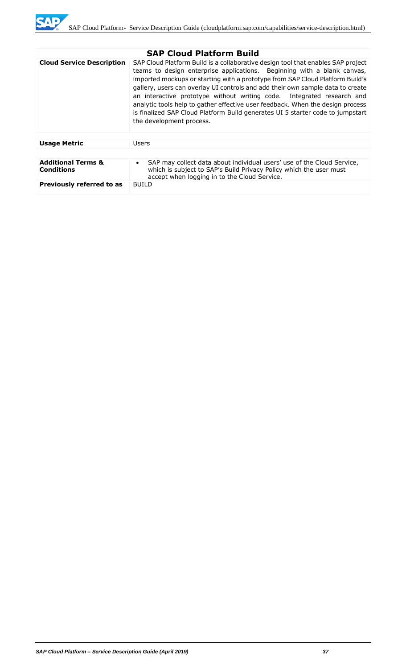

|                                                    | <b>SAP Cloud Platform Build</b>                                                                                                                                                                                                                                                                                                                                                                                                                                                                                                                                                                          |  |
|----------------------------------------------------|----------------------------------------------------------------------------------------------------------------------------------------------------------------------------------------------------------------------------------------------------------------------------------------------------------------------------------------------------------------------------------------------------------------------------------------------------------------------------------------------------------------------------------------------------------------------------------------------------------|--|
| <b>Cloud Service Description</b>                   | SAP Cloud Platform Build is a collaborative design tool that enables SAP project<br>teams to design enterprise applications. Beginning with a blank canvas,<br>imported mockups or starting with a prototype from SAP Cloud Platform Build's<br>gallery, users can overlay UI controls and add their own sample data to create<br>an interactive prototype without writing code. Integrated research and<br>analytic tools help to gather effective user feedback. When the design process<br>is finalized SAP Cloud Platform Build generates UI 5 starter code to jumpstart<br>the development process. |  |
| <b>Usage Metric</b>                                | Users                                                                                                                                                                                                                                                                                                                                                                                                                                                                                                                                                                                                    |  |
|                                                    |                                                                                                                                                                                                                                                                                                                                                                                                                                                                                                                                                                                                          |  |
| <b>Additional Terms &amp;</b><br><b>Conditions</b> | SAP may collect data about individual users' use of the Cloud Service,<br>$\bullet$<br>which is subject to SAP's Build Privacy Policy which the user must<br>accept when logging in to the Cloud Service.                                                                                                                                                                                                                                                                                                                                                                                                |  |
| Previously referred to as                          | <b>BUILD</b>                                                                                                                                                                                                                                                                                                                                                                                                                                                                                                                                                                                             |  |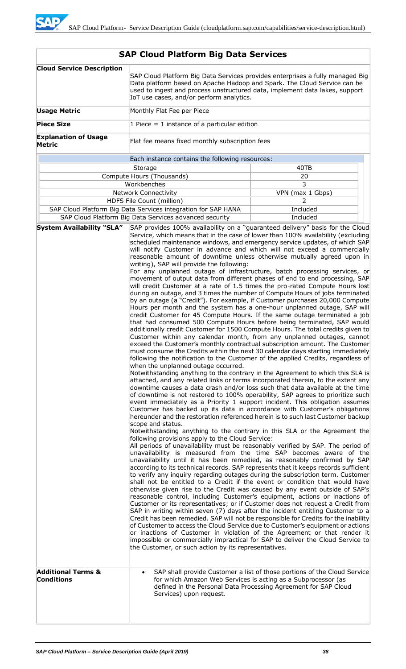| <b>Cloud Service Description</b>             | SAP Cloud Platform Big Data Services provides enterprises a fully managed Big<br>Data platform based on Apache Hadoop and Spark. The Cloud Service can be<br>used to ingest and process unstructured data, implement data lakes, support<br>IoT use cases, and/or perform analytics.                                                                                                                                                                                                                                                                                                                                                                                                                                                                                                                                                                                                                                                                                                                                                                                                                                                                                                                                                                                                                                                                                                                                                                                                                                                                                                                                                                                                                                                                                                                                                                                                                                                                                                                                                                                                                                                                                                                                                                                                                                                                                                                                                                                                                                                                                                                                                                                                                                                                                                                                                                                                                                                                                                                                                                                                                                                                                                                                                                                                                                                                                                                                                                                                                                                                                                                                                                                                       |                                                                                                                                             |  |
|----------------------------------------------|--------------------------------------------------------------------------------------------------------------------------------------------------------------------------------------------------------------------------------------------------------------------------------------------------------------------------------------------------------------------------------------------------------------------------------------------------------------------------------------------------------------------------------------------------------------------------------------------------------------------------------------------------------------------------------------------------------------------------------------------------------------------------------------------------------------------------------------------------------------------------------------------------------------------------------------------------------------------------------------------------------------------------------------------------------------------------------------------------------------------------------------------------------------------------------------------------------------------------------------------------------------------------------------------------------------------------------------------------------------------------------------------------------------------------------------------------------------------------------------------------------------------------------------------------------------------------------------------------------------------------------------------------------------------------------------------------------------------------------------------------------------------------------------------------------------------------------------------------------------------------------------------------------------------------------------------------------------------------------------------------------------------------------------------------------------------------------------------------------------------------------------------------------------------------------------------------------------------------------------------------------------------------------------------------------------------------------------------------------------------------------------------------------------------------------------------------------------------------------------------------------------------------------------------------------------------------------------------------------------------------------------------------------------------------------------------------------------------------------------------------------------------------------------------------------------------------------------------------------------------------------------------------------------------------------------------------------------------------------------------------------------------------------------------------------------------------------------------------------------------------------------------------------------------------------------------------------------------------------------------------------------------------------------------------------------------------------------------------------------------------------------------------------------------------------------------------------------------------------------------------------------------------------------------------------------------------------------------------------------------------------------------------------------------------------------------|---------------------------------------------------------------------------------------------------------------------------------------------|--|
| <b>Usage Metric</b>                          | Monthly Flat Fee per Piece                                                                                                                                                                                                                                                                                                                                                                                                                                                                                                                                                                                                                                                                                                                                                                                                                                                                                                                                                                                                                                                                                                                                                                                                                                                                                                                                                                                                                                                                                                                                                                                                                                                                                                                                                                                                                                                                                                                                                                                                                                                                                                                                                                                                                                                                                                                                                                                                                                                                                                                                                                                                                                                                                                                                                                                                                                                                                                                                                                                                                                                                                                                                                                                                                                                                                                                                                                                                                                                                                                                                                                                                                                                                 |                                                                                                                                             |  |
| <b>Piece Size</b>                            | 1 Piece = 1 instance of a particular edition                                                                                                                                                                                                                                                                                                                                                                                                                                                                                                                                                                                                                                                                                                                                                                                                                                                                                                                                                                                                                                                                                                                                                                                                                                                                                                                                                                                                                                                                                                                                                                                                                                                                                                                                                                                                                                                                                                                                                                                                                                                                                                                                                                                                                                                                                                                                                                                                                                                                                                                                                                                                                                                                                                                                                                                                                                                                                                                                                                                                                                                                                                                                                                                                                                                                                                                                                                                                                                                                                                                                                                                                                                               |                                                                                                                                             |  |
| <b>Explanation of Usage</b><br><b>Metric</b> | Flat fee means fixed monthly subscription fees                                                                                                                                                                                                                                                                                                                                                                                                                                                                                                                                                                                                                                                                                                                                                                                                                                                                                                                                                                                                                                                                                                                                                                                                                                                                                                                                                                                                                                                                                                                                                                                                                                                                                                                                                                                                                                                                                                                                                                                                                                                                                                                                                                                                                                                                                                                                                                                                                                                                                                                                                                                                                                                                                                                                                                                                                                                                                                                                                                                                                                                                                                                                                                                                                                                                                                                                                                                                                                                                                                                                                                                                                                             |                                                                                                                                             |  |
|                                              | Each instance contains the following resources:                                                                                                                                                                                                                                                                                                                                                                                                                                                                                                                                                                                                                                                                                                                                                                                                                                                                                                                                                                                                                                                                                                                                                                                                                                                                                                                                                                                                                                                                                                                                                                                                                                                                                                                                                                                                                                                                                                                                                                                                                                                                                                                                                                                                                                                                                                                                                                                                                                                                                                                                                                                                                                                                                                                                                                                                                                                                                                                                                                                                                                                                                                                                                                                                                                                                                                                                                                                                                                                                                                                                                                                                                                            |                                                                                                                                             |  |
|                                              | Storage                                                                                                                                                                                                                                                                                                                                                                                                                                                                                                                                                                                                                                                                                                                                                                                                                                                                                                                                                                                                                                                                                                                                                                                                                                                                                                                                                                                                                                                                                                                                                                                                                                                                                                                                                                                                                                                                                                                                                                                                                                                                                                                                                                                                                                                                                                                                                                                                                                                                                                                                                                                                                                                                                                                                                                                                                                                                                                                                                                                                                                                                                                                                                                                                                                                                                                                                                                                                                                                                                                                                                                                                                                                                                    | 40TB                                                                                                                                        |  |
|                                              | Compute Hours (Thousands)                                                                                                                                                                                                                                                                                                                                                                                                                                                                                                                                                                                                                                                                                                                                                                                                                                                                                                                                                                                                                                                                                                                                                                                                                                                                                                                                                                                                                                                                                                                                                                                                                                                                                                                                                                                                                                                                                                                                                                                                                                                                                                                                                                                                                                                                                                                                                                                                                                                                                                                                                                                                                                                                                                                                                                                                                                                                                                                                                                                                                                                                                                                                                                                                                                                                                                                                                                                                                                                                                                                                                                                                                                                                  | 20                                                                                                                                          |  |
|                                              | Workbenches                                                                                                                                                                                                                                                                                                                                                                                                                                                                                                                                                                                                                                                                                                                                                                                                                                                                                                                                                                                                                                                                                                                                                                                                                                                                                                                                                                                                                                                                                                                                                                                                                                                                                                                                                                                                                                                                                                                                                                                                                                                                                                                                                                                                                                                                                                                                                                                                                                                                                                                                                                                                                                                                                                                                                                                                                                                                                                                                                                                                                                                                                                                                                                                                                                                                                                                                                                                                                                                                                                                                                                                                                                                                                | 3                                                                                                                                           |  |
|                                              | <b>Network Connectivity</b><br>VPN (max 1 Gbps)                                                                                                                                                                                                                                                                                                                                                                                                                                                                                                                                                                                                                                                                                                                                                                                                                                                                                                                                                                                                                                                                                                                                                                                                                                                                                                                                                                                                                                                                                                                                                                                                                                                                                                                                                                                                                                                                                                                                                                                                                                                                                                                                                                                                                                                                                                                                                                                                                                                                                                                                                                                                                                                                                                                                                                                                                                                                                                                                                                                                                                                                                                                                                                                                                                                                                                                                                                                                                                                                                                                                                                                                                                            |                                                                                                                                             |  |
|                                              | HDFS File Count (million)<br>2                                                                                                                                                                                                                                                                                                                                                                                                                                                                                                                                                                                                                                                                                                                                                                                                                                                                                                                                                                                                                                                                                                                                                                                                                                                                                                                                                                                                                                                                                                                                                                                                                                                                                                                                                                                                                                                                                                                                                                                                                                                                                                                                                                                                                                                                                                                                                                                                                                                                                                                                                                                                                                                                                                                                                                                                                                                                                                                                                                                                                                                                                                                                                                                                                                                                                                                                                                                                                                                                                                                                                                                                                                                             |                                                                                                                                             |  |
|                                              |                                                                                                                                                                                                                                                                                                                                                                                                                                                                                                                                                                                                                                                                                                                                                                                                                                                                                                                                                                                                                                                                                                                                                                                                                                                                                                                                                                                                                                                                                                                                                                                                                                                                                                                                                                                                                                                                                                                                                                                                                                                                                                                                                                                                                                                                                                                                                                                                                                                                                                                                                                                                                                                                                                                                                                                                                                                                                                                                                                                                                                                                                                                                                                                                                                                                                                                                                                                                                                                                                                                                                                                                                                                                                            |                                                                                                                                             |  |
| <b>System Availability "SLA"</b>             |                                                                                                                                                                                                                                                                                                                                                                                                                                                                                                                                                                                                                                                                                                                                                                                                                                                                                                                                                                                                                                                                                                                                                                                                                                                                                                                                                                                                                                                                                                                                                                                                                                                                                                                                                                                                                                                                                                                                                                                                                                                                                                                                                                                                                                                                                                                                                                                                                                                                                                                                                                                                                                                                                                                                                                                                                                                                                                                                                                                                                                                                                                                                                                                                                                                                                                                                                                                                                                                                                                                                                                                                                                                                                            |                                                                                                                                             |  |
| <b>Additional Terms &amp;</b>                | Included<br>SAP Cloud Platform Big Data Services integration for SAP HANA<br>SAP Cloud Platform Big Data Services advanced security<br>Included<br>SAP provides 100% availability on a "guaranteed delivery" basis for the Cloud<br>Service, which means that in the case of lower than 100% availability (excluding<br>scheduled maintenance windows, and emergency service updates, of which SAP<br>will notify Customer in advance and which will not exceed a commercially<br>reasonable amount of downtime unless otherwise mutually agreed upon in<br>writing), SAP will provide the following:<br>For any unplanned outage of infrastructure, batch processing services, or<br>movement of output data from different phases of end to end processing, SAP<br>will credit Customer at a rate of 1.5 times the pro-rated Compute Hours lost<br>during an outage, and 3 times the number of Compute Hours of jobs terminated<br>by an outage (a "Credit"). For example, if Customer purchases 20,000 Compute<br>Hours per month and the system has a one-hour unplanned outage, SAP will<br>credit Customer for 45 Compute Hours. If the same outage terminated a job<br>that had consumed 500 Compute Hours before being terminated, SAP would<br>additionally credit Customer for 1500 Compute Hours. The total credits given to<br>Customer within any calendar month, from any unplanned outages, cannot<br>exceed the Customer's monthly contractual subscription amount. The Customer<br>must consume the Credits within the next 30 calendar days starting immediately<br>following the notification to the Customer of the applied Credits, regardless of<br>when the unplanned outage occurred.<br>Notwithstanding anything to the contrary in the Agreement to which this SLA is<br>attached, and any related links or terms incorporated therein, to the extent any<br>downtime causes a data crash and/or loss such that data available at the time<br>of downtime is not restored to 100% operability, SAP agrees to prioritize such<br>event immediately as a Priority 1 support incident. This obligation assumes<br>Customer has backed up its data in accordance with Customer's obligations<br>hereunder and the restoration referenced herein is to such last Customer backup<br>scope and status.<br>Notwithstanding anything to the contrary in this SLA or the Agreement the<br>following provisions apply to the Cloud Service:<br>All periods of unavailability must be reasonably verified by SAP. The period of<br>unavailability is measured from the time SAP becomes aware of the<br>unavailability until it has been remedied, as reasonably confirmed by SAP<br>according to its technical records. SAP represents that it keeps records sufficient<br>to verify any inquiry regarding outages during the subscription term. Customer<br>shall not be entitled to a Credit if the event or condition that would have<br>otherwise given rise to the Credit was caused by any event outside of SAP's<br>reasonable control, including Customer's equipment, actions or inactions of<br>Customer or its representatives; or if Customer does not request a Credit from<br>SAP in writing within seven (7) days after the incident entitling Customer to a<br>Credit has been remedied. SAP will not be responsible for Credits for the inability<br>of Customer to access the Cloud Service due to Customer's equipment or actions<br>or inactions of Customer in violation of the Agreement or that render it<br>impossible or commercially impractical for SAP to deliver the Cloud Service to<br>the Customer, or such action by its representatives. |                                                                                                                                             |  |
| <b>Conditions</b>                            | for which Amazon Web Services is acting as a Subprocessor (as<br>Services) upon request.                                                                                                                                                                                                                                                                                                                                                                                                                                                                                                                                                                                                                                                                                                                                                                                                                                                                                                                                                                                                                                                                                                                                                                                                                                                                                                                                                                                                                                                                                                                                                                                                                                                                                                                                                                                                                                                                                                                                                                                                                                                                                                                                                                                                                                                                                                                                                                                                                                                                                                                                                                                                                                                                                                                                                                                                                                                                                                                                                                                                                                                                                                                                                                                                                                                                                                                                                                                                                                                                                                                                                                                                   | SAP shall provide Customer a list of those portions of the Cloud Service<br>defined in the Personal Data Processing Agreement for SAP Cloud |  |
|                                              |                                                                                                                                                                                                                                                                                                                                                                                                                                                                                                                                                                                                                                                                                                                                                                                                                                                                                                                                                                                                                                                                                                                                                                                                                                                                                                                                                                                                                                                                                                                                                                                                                                                                                                                                                                                                                                                                                                                                                                                                                                                                                                                                                                                                                                                                                                                                                                                                                                                                                                                                                                                                                                                                                                                                                                                                                                                                                                                                                                                                                                                                                                                                                                                                                                                                                                                                                                                                                                                                                                                                                                                                                                                                                            |                                                                                                                                             |  |

# **SAP Cloud Platform Big Data Services**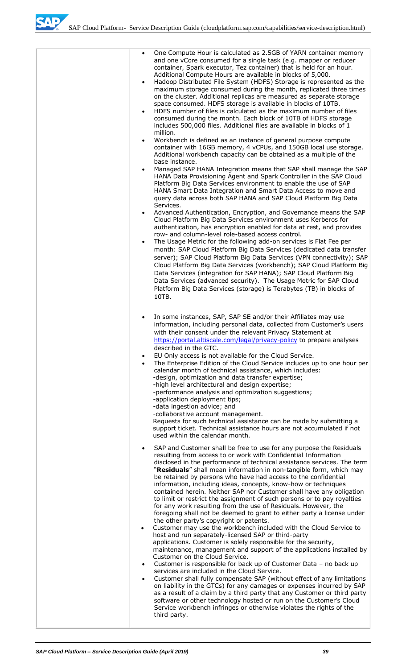SAD

| One Compute Hour is calculated as 2.5GB of YARN container memory<br>$\bullet$<br>and one vCore consumed for a single task (e.g. mapper or reducer<br>container, Spark executor, Tez container) that is held for an hour.<br>Additional Compute Hours are available in blocks of 5,000.<br>Hadoop Distributed File System (HDFS) Storage is represented as the<br>$\bullet$<br>maximum storage consumed during the month, replicated three times<br>on the cluster. Additional replicas are measured as separate storage<br>space consumed. HDFS storage is available in blocks of 10TB.<br>HDFS number of files is calculated as the maximum number of files<br>$\bullet$<br>consumed during the month. Each block of 10TB of HDFS storage<br>includes 500,000 files. Additional files are available in blocks of 1<br>million.                                                                                                                                                                                                                                                                                                                                                                                                                                                                                                                                                                                                                                                                                                                                                                                                                  |
|--------------------------------------------------------------------------------------------------------------------------------------------------------------------------------------------------------------------------------------------------------------------------------------------------------------------------------------------------------------------------------------------------------------------------------------------------------------------------------------------------------------------------------------------------------------------------------------------------------------------------------------------------------------------------------------------------------------------------------------------------------------------------------------------------------------------------------------------------------------------------------------------------------------------------------------------------------------------------------------------------------------------------------------------------------------------------------------------------------------------------------------------------------------------------------------------------------------------------------------------------------------------------------------------------------------------------------------------------------------------------------------------------------------------------------------------------------------------------------------------------------------------------------------------------------------------------------------------------------------------------------------------------|
| Workbench is defined as an instance of general purpose compute<br>$\bullet$<br>container with 16GB memory, 4 vCPUs, and 150GB local use storage.<br>Additional workbench capacity can be obtained as a multiple of the<br>base instance.<br>Managed SAP HANA Integration means that SAP shall manage the SAP<br>$\bullet$<br>HANA Data Provisioning Agent and Spark Controller in the SAP Cloud<br>Platform Big Data Services environment to enable the use of SAP<br>HANA Smart Data Integration and Smart Data Access to move and<br>query data across both SAP HANA and SAP Cloud Platform Big Data                                                                                                                                                                                                                                                                                                                                                                                                                                                                                                                                                                                                                                                                                                                                                                                                                                                                                                                                                                                                                                           |
| Services.<br>Advanced Authentication, Encryption, and Governance means the SAP<br>$\bullet$<br>Cloud Platform Big Data Services environment uses Kerberos for<br>authentication, has encryption enabled for data at rest, and provides<br>row- and column-level role-based access control.<br>The Usage Metric for the following add-on services is Flat Fee per<br>$\bullet$<br>month: SAP Cloud Platform Big Data Services (dedicated data transfer<br>server); SAP Cloud Platform Big Data Services (VPN connectivity); SAP<br>Cloud Platform Big Data Services (workbench); SAP Cloud Platform Big<br>Data Services (integration for SAP HANA); SAP Cloud Platform Big<br>Data Services (advanced security). The Usage Metric for SAP Cloud<br>Platform Big Data Services (storage) is Terabytes (TB) in blocks of<br>10TB.                                                                                                                                                                                                                                                                                                                                                                                                                                                                                                                                                                                                                                                                                                                                                                                                                  |
| In some instances, SAP, SAP SE and/or their Affiliates may use<br>$\bullet$<br>information, including personal data, collected from Customer's users<br>with their consent under the relevant Privacy Statement at<br>https://portal.altiscale.com/legal/privacy-policy to prepare analyses<br>described in the GTC.<br>EU Only access is not available for the Cloud Service.<br>$\bullet$<br>The Enterprise Edition of the Cloud Service includes up to one hour per<br>$\bullet$<br>calendar month of technical assistance, which includes:<br>-design, optimization and data transfer expertise;<br>-high level architectural and design expertise;<br>-performance analysis and optimization suggestions;<br>-application deployment tips;<br>-data ingestion advice; and<br>-collaborative account management.<br>Requests for such technical assistance can be made by submitting a<br>support ticket. Technical assistance hours are not accumulated if not<br>used within the calendar month.                                                                                                                                                                                                                                                                                                                                                                                                                                                                                                                                                                                                                                           |
| SAP and Customer shall be free to use for any purpose the Residuals<br>$\bullet$<br>resulting from access to or work with Confidential Information<br>disclosed in the performance of technical assistance services. The term<br>"Residuals" shall mean information in non-tangible form, which may<br>be retained by persons who have had access to the confidential<br>information, including ideas, concepts, know-how or techniques<br>contained herein. Neither SAP nor Customer shall have any obligation<br>to limit or restrict the assignment of such persons or to pay royalties<br>for any work resulting from the use of Residuals. However, the<br>foregoing shall not be deemed to grant to either party a license under<br>the other party's copyright or patents.<br>Customer may use the workbench included with the Cloud Service to<br>$\bullet$<br>host and run separately-licensed SAP or third-party<br>applications. Customer is solely responsible for the security,<br>maintenance, management and support of the applications installed by<br>Customer on the Cloud Service.<br>Customer is responsible for back up of Customer Data - no back up<br>$\bullet$<br>services are included in the Cloud Service.<br>Customer shall fully compensate SAP (without effect of any limitations<br>$\bullet$<br>on liability in the GTCs) for any damages or expenses incurred by SAP<br>as a result of a claim by a third party that any Customer or third party<br>software or other technology hosted or run on the Customer's Cloud<br>Service workbench infringes or otherwise violates the rights of the<br>third party. |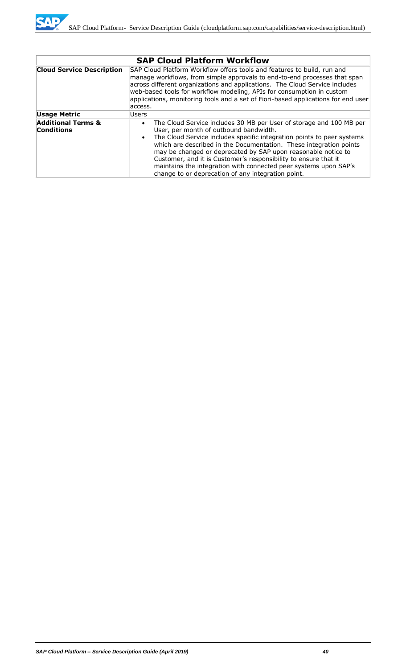

|                                                    | <b>SAP Cloud Platform Workflow</b>                                                                                                                                                                                                                                                                                                                                                                                                                                                                                                       |
|----------------------------------------------------|------------------------------------------------------------------------------------------------------------------------------------------------------------------------------------------------------------------------------------------------------------------------------------------------------------------------------------------------------------------------------------------------------------------------------------------------------------------------------------------------------------------------------------------|
| <b>Cloud Service Description</b>                   | SAP Cloud Platform Workflow offers tools and features to build, run and<br>manage workflows, from simple approvals to end-to-end processes that span<br>across different organizations and applications. The Cloud Service includes<br>web-based tools for workflow modeling, APIs for consumption in custom<br>applications, monitoring tools and a set of Fiori-based applications for end user<br>access.                                                                                                                             |
| <b>Usage Metric</b>                                | Users                                                                                                                                                                                                                                                                                                                                                                                                                                                                                                                                    |
| <b>Additional Terms &amp;</b><br><b>Conditions</b> | The Cloud Service includes 30 MB per User of storage and 100 MB per<br>User, per month of outbound bandwidth.<br>The Cloud Service includes specific integration points to peer systems<br>$\bullet$<br>which are described in the Documentation. These integration points<br>may be changed or deprecated by SAP upon reasonable notice to<br>Customer, and it is Customer's responsibility to ensure that it<br>maintains the integration with connected peer systems upon SAP's<br>change to or deprecation of any integration point. |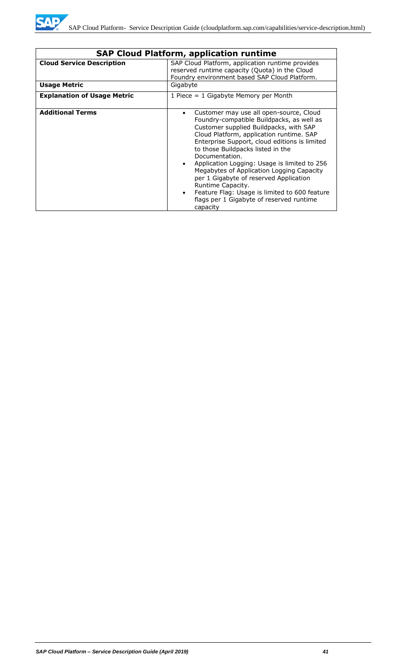

|                                    | <b>SAP Cloud Platform, application runtime</b>                                                                                                                                                                                                                                                                                                                                                                                                                                                                                                                                                 |  |  |
|------------------------------------|------------------------------------------------------------------------------------------------------------------------------------------------------------------------------------------------------------------------------------------------------------------------------------------------------------------------------------------------------------------------------------------------------------------------------------------------------------------------------------------------------------------------------------------------------------------------------------------------|--|--|
| <b>Cloud Service Description</b>   | SAP Cloud Platform, application runtime provides<br>reserved runtime capacity (Quota) in the Cloud<br>Foundry environment based SAP Cloud Platform.                                                                                                                                                                                                                                                                                                                                                                                                                                            |  |  |
| <b>Usage Metric</b>                | Gigabyte                                                                                                                                                                                                                                                                                                                                                                                                                                                                                                                                                                                       |  |  |
| <b>Explanation of Usage Metric</b> | 1 Piece $= 1$ Gigabyte Memory per Month                                                                                                                                                                                                                                                                                                                                                                                                                                                                                                                                                        |  |  |
| <b>Additional Terms</b>            | Customer may use all open-source, Cloud<br>$\bullet$<br>Foundry-compatible Buildpacks, as well as<br>Customer supplied Buildpacks, with SAP<br>Cloud Platform, application runtime. SAP<br>Enterprise Support, cloud editions is limited<br>to those Buildpacks listed in the<br>Documentation.<br>Application Logging: Usage is limited to 256<br>$\bullet$<br>Megabytes of Application Logging Capacity<br>per 1 Gigabyte of reserved Application<br>Runtime Capacity.<br>Feature Flag: Usage is limited to 600 feature<br>$\bullet$<br>flags per 1 Gigabyte of reserved runtime<br>capacity |  |  |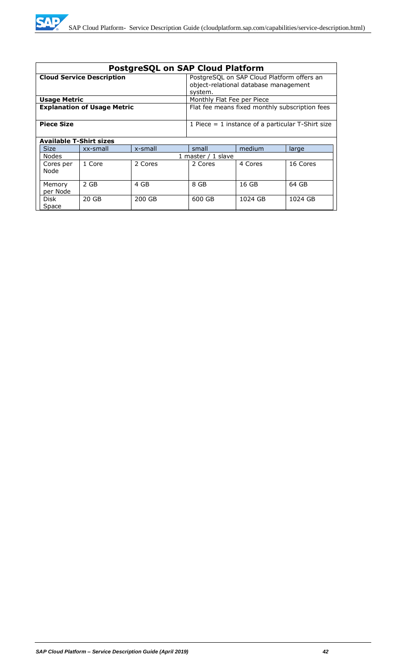| <b>PostgreSQL on SAP Cloud Platform</b> |                    |                                                                                                |                            |         |          |
|-----------------------------------------|--------------------|------------------------------------------------------------------------------------------------|----------------------------|---------|----------|
| <b>Cloud Service Description</b>        |                    | PostgreSQL on SAP Cloud Platform offers an<br>object-relational database management<br>system. |                            |         |          |
| <b>Usage Metric</b>                     |                    |                                                                                                | Monthly Flat Fee per Piece |         |          |
| <b>Explanation of Usage Metric</b>      |                    | Flat fee means fixed monthly subscription fees                                                 |                            |         |          |
| <b>Piece Size</b>                       |                    | 1 Piece $=$ 1 instance of a particular T-Shirt size                                            |                            |         |          |
| <b>Available T-Shirt sizes</b>          |                    |                                                                                                |                            |         |          |
| <b>Size</b>                             | xx-small           | x-small                                                                                        | small                      | medium  | large    |
| <b>Nodes</b>                            | 1 master / 1 slave |                                                                                                |                            |         |          |
| Cores per<br>Node                       | 1 Core             | 2 Cores                                                                                        | 2 Cores                    | 4 Cores | 16 Cores |
| Memory<br>per Node                      | 2 GB               | 4 GB                                                                                           | 8 GB                       | 16 GB   | 64 GB    |
| Disk<br>Space                           | 20 GB              | 200 GB                                                                                         | 600 GB                     | 1024 GB | 1024 GB  |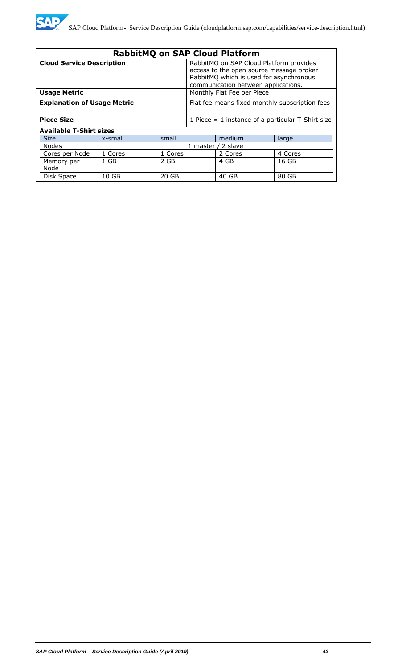

| <b>RabbitMQ on SAP Cloud Platform</b>                                                |         |                                                                                                                                                                       |  |                    |                                                     |
|--------------------------------------------------------------------------------------|---------|-----------------------------------------------------------------------------------------------------------------------------------------------------------------------|--|--------------------|-----------------------------------------------------|
| <b>Cloud Service Description</b>                                                     |         | RabbitMQ on SAP Cloud Platform provides<br>access to the open source message broker<br>RabbitMQ which is used for asynchronous<br>communication between applications. |  |                    |                                                     |
| <b>Usage Metric</b>                                                                  |         | Monthly Flat Fee per Piece                                                                                                                                            |  |                    |                                                     |
| <b>Explanation of Usage Metric</b><br>Flat fee means fixed monthly subscription fees |         |                                                                                                                                                                       |  |                    |                                                     |
| <b>Piece Size</b>                                                                    |         |                                                                                                                                                                       |  |                    | 1 Piece $=$ 1 instance of a particular T-Shirt size |
| <b>Available T-Shirt sizes</b>                                                       |         |                                                                                                                                                                       |  |                    |                                                     |
| <b>Size</b>                                                                          | x-small | small                                                                                                                                                                 |  | medium             | large                                               |
| Nodes                                                                                |         |                                                                                                                                                                       |  | 1 master / 2 slave |                                                     |
| Cores per Node                                                                       | 1 Cores | 1 Cores                                                                                                                                                               |  | 2 Cores            | 4 Cores                                             |
| Memory per<br>Node                                                                   | $1$ GB  | 2 GB                                                                                                                                                                  |  | 4 GB               | 16 GB                                               |
| Disk Space                                                                           | 10 GB   | 20 GB                                                                                                                                                                 |  | 40 GB              | 80 GB                                               |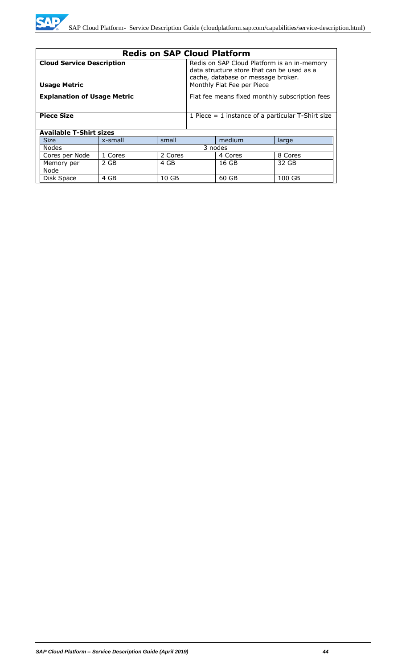

| <b>Redis on SAP Cloud Platform</b>                                       |         |                                                                                                                                 |                                                |         |         |
|--------------------------------------------------------------------------|---------|---------------------------------------------------------------------------------------------------------------------------------|------------------------------------------------|---------|---------|
| <b>Cloud Service Description</b>                                         |         | Redis on SAP Cloud Platform is an in-memory<br>data structure store that can be used as a<br>cache, database or message broker. |                                                |         |         |
| <b>Usage Metric</b>                                                      |         |                                                                                                                                 | Monthly Flat Fee per Piece                     |         |         |
| <b>Explanation of Usage Metric</b>                                       |         |                                                                                                                                 | Flat fee means fixed monthly subscription fees |         |         |
| <b>Piece Size</b><br>1 Piece $=$ 1 instance of a particular T-Shirt size |         |                                                                                                                                 |                                                |         |         |
| <b>Available T-Shirt sizes</b>                                           |         |                                                                                                                                 |                                                |         |         |
| <b>Size</b>                                                              | x-small | small                                                                                                                           |                                                | medium  | large   |
| <b>Nodes</b>                                                             | 3 nodes |                                                                                                                                 |                                                |         |         |
| Cores per Node                                                           | 1 Cores | 2 Cores                                                                                                                         |                                                | 4 Cores | 8 Cores |
| Memory per<br>Node                                                       | 2 GB    | 4 GB                                                                                                                            |                                                | 16 GB   | 32 GB   |
| Disk Space                                                               | 4 GB    | 10 GB                                                                                                                           |                                                | 60 GB   | 100 GB  |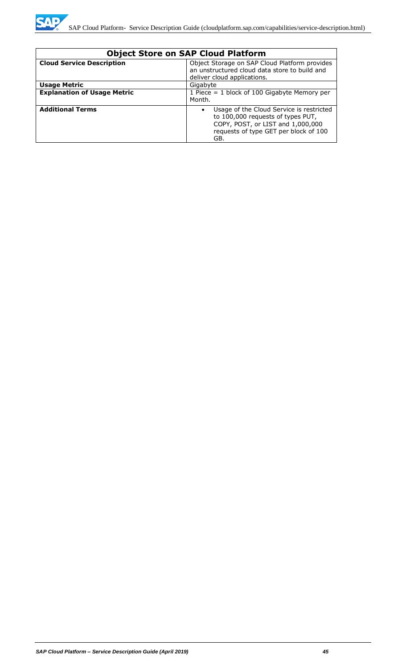

| <b>Object Store on SAP Cloud Platform</b> |                                                                                                                                                                                 |  |
|-------------------------------------------|---------------------------------------------------------------------------------------------------------------------------------------------------------------------------------|--|
| <b>Cloud Service Description</b>          | Object Storage on SAP Cloud Platform provides<br>an unstructured cloud data store to build and<br>deliver cloud applications.                                                   |  |
| <b>Usage Metric</b>                       | Gigabyte                                                                                                                                                                        |  |
| <b>Explanation of Usage Metric</b>        | 1 Piece = $1$ block of 100 Gigabyte Memory per<br>Month.                                                                                                                        |  |
| <b>Additional Terms</b>                   | Usage of the Cloud Service is restricted<br>$\bullet$<br>to 100,000 requests of types PUT,<br>COPY, POST, or LIST and 1,000,000<br>requests of type GET per block of 100<br>GB. |  |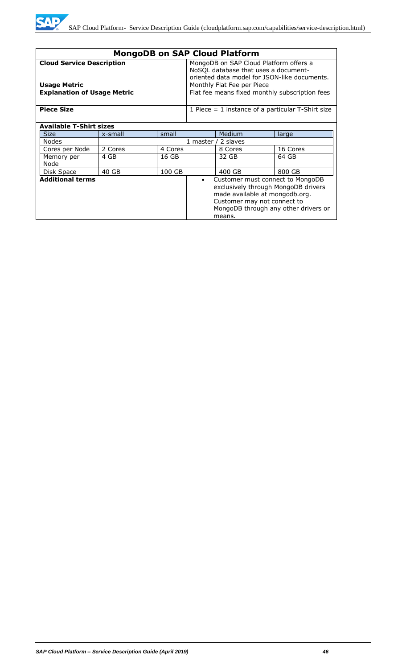

| <b>MongoDB on SAP Cloud Platform</b>                                                                                                                                                                                               |                                                     |                                                                                |            |                                              |          |
|------------------------------------------------------------------------------------------------------------------------------------------------------------------------------------------------------------------------------------|-----------------------------------------------------|--------------------------------------------------------------------------------|------------|----------------------------------------------|----------|
| <b>Cloud Service Description</b>                                                                                                                                                                                                   |                                                     | MongoDB on SAP Cloud Platform offers a<br>NoSQL database that uses a document- |            |                                              |          |
|                                                                                                                                                                                                                                    |                                                     |                                                                                |            | oriented data model for JSON-like documents. |          |
| <b>Usage Metric</b>                                                                                                                                                                                                                |                                                     |                                                                                |            | Monthly Flat Fee per Piece                   |          |
| <b>Explanation of Usage Metric</b>                                                                                                                                                                                                 |                                                     | Flat fee means fixed monthly subscription fees                                 |            |                                              |          |
| <b>Piece Size</b>                                                                                                                                                                                                                  | 1 Piece $=$ 1 instance of a particular T-Shirt size |                                                                                |            |                                              |          |
| <b>Available T-Shirt sizes</b>                                                                                                                                                                                                     |                                                     |                                                                                |            |                                              |          |
| <b>Size</b>                                                                                                                                                                                                                        | x-small                                             | small                                                                          |            | Medium                                       | large    |
| <b>Nodes</b>                                                                                                                                                                                                                       |                                                     |                                                                                | 1 master / | 2 slaves                                     |          |
| Cores per Node                                                                                                                                                                                                                     | 2 Cores                                             | 4 Cores                                                                        |            | 8 Cores                                      | 16 Cores |
| Memory per<br>Node                                                                                                                                                                                                                 | 4 GB                                                | 16 GB                                                                          |            | 32 GB                                        | 64 GB    |
| Disk Space                                                                                                                                                                                                                         | 40 GB                                               | 100 GB                                                                         |            | 400 GB                                       | 800 GB   |
| <b>Additional terms</b><br>Customer must connect to MongoDB<br>$\bullet$<br>exclusively through MongoDB drivers<br>made available at mongodb.org.<br>Customer may not connect to<br>MongoDB through any other drivers or<br>means. |                                                     |                                                                                |            |                                              |          |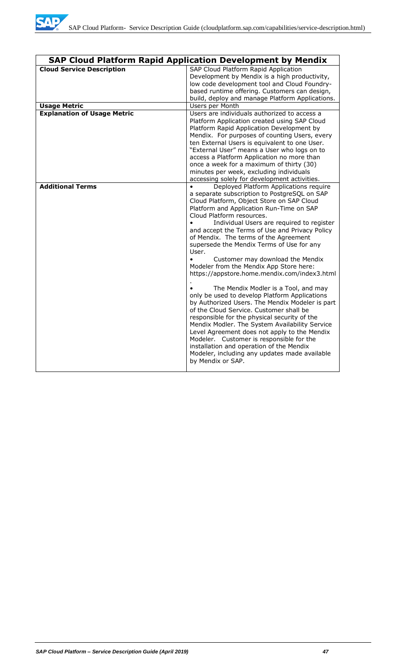

|                                    | <b>SAP Cloud Platform Rapid Application Development by Mendix</b>                                                                                                                                                                                                                                                                                                                                                                                                                                                                                                                                                                                                                                                                                                                                                                                                                                                                                                                                                                                             |
|------------------------------------|---------------------------------------------------------------------------------------------------------------------------------------------------------------------------------------------------------------------------------------------------------------------------------------------------------------------------------------------------------------------------------------------------------------------------------------------------------------------------------------------------------------------------------------------------------------------------------------------------------------------------------------------------------------------------------------------------------------------------------------------------------------------------------------------------------------------------------------------------------------------------------------------------------------------------------------------------------------------------------------------------------------------------------------------------------------|
| <b>Cloud Service Description</b>   | SAP Cloud Platform Rapid Application<br>Development by Mendix is a high productivity,<br>low code development tool and Cloud Foundry-<br>based runtime offering. Customers can design,<br>build, deploy and manage Platform Applications.                                                                                                                                                                                                                                                                                                                                                                                                                                                                                                                                                                                                                                                                                                                                                                                                                     |
| <b>Usage Metric</b>                | Users per Month                                                                                                                                                                                                                                                                                                                                                                                                                                                                                                                                                                                                                                                                                                                                                                                                                                                                                                                                                                                                                                               |
| <b>Explanation of Usage Metric</b> | Users are individuals authorized to access a<br>Platform Application created using SAP Cloud<br>Platform Rapid Application Development by<br>Mendix. For purposes of counting Users, every<br>ten External Users is equivalent to one User.<br>"External User" means a User who logs on to<br>access a Platform Application no more than<br>once a week for a maximum of thirty (30)<br>minutes per week, excluding individuals<br>accessing solely for development activities.                                                                                                                                                                                                                                                                                                                                                                                                                                                                                                                                                                               |
| <b>Additional Terms</b>            | Deployed Platform Applications require<br>a separate subscription to PostgreSQL on SAP<br>Cloud Platform, Object Store on SAP Cloud<br>Platform and Application Run-Time on SAP<br>Cloud Platform resources.<br>Individual Users are required to register<br>and accept the Terms of Use and Privacy Policy<br>of Mendix. The terms of the Agreement<br>supersede the Mendix Terms of Use for any<br>User.<br>Customer may download the Mendix<br>$\bullet$<br>Modeler from the Mendix App Store here:<br>https://appstore.home.mendix.com/index3.html<br>The Mendix Modler is a Tool, and may<br>only be used to develop Platform Applications<br>by Authorized Users. The Mendix Modeler is part<br>of the Cloud Service. Customer shall be<br>responsible for the physical security of the<br>Mendix Modler. The System Availability Service<br>Level Agreement does not apply to the Mendix<br>Modeler. Customer is responsible for the<br>installation and operation of the Mendix<br>Modeler, including any updates made available<br>by Mendix or SAP. |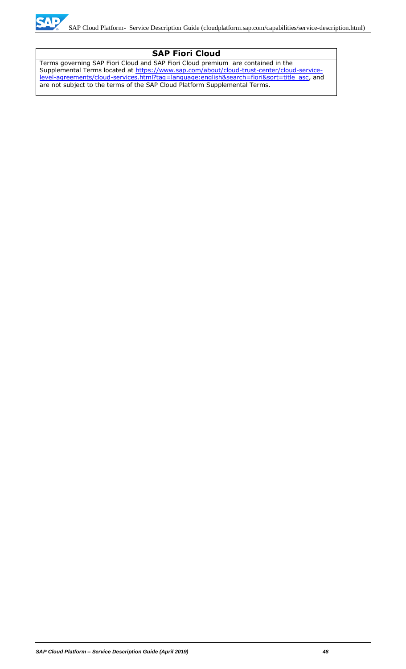

## **SAP Fiori Cloud**

Terms governing SAP Fiori Cloud and SAP Fiori Cloud premium are contained in the Supplemental Terms located at [https://www.sap.com/about/cloud-trust-center/cloud-service](https://www.sap.com/about/cloud-trust-center/cloud-service-level-agreements/cloud-services.html?tag=language:english&search=fiori&sort=title_asc)[level-agreements/cloud-services.html?tag=language:english&search=fiori&sort=title\\_asc,](https://www.sap.com/about/cloud-trust-center/cloud-service-level-agreements/cloud-services.html?tag=language:english&search=fiori&sort=title_asc) and are not subject to the terms of the SAP Cloud Platform Supplemental Terms.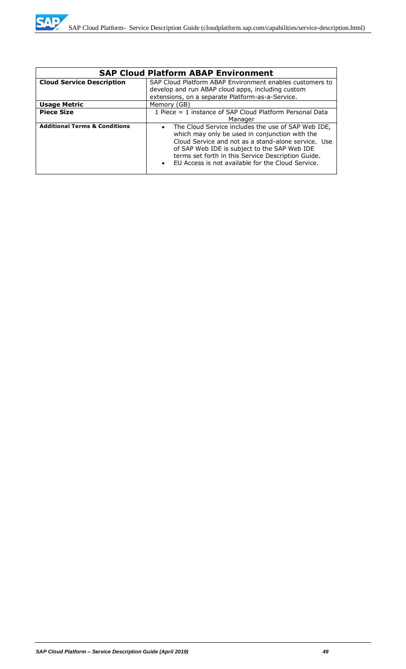| <b>SAP Cloud Platform ABAP Environment</b> |                                                                                                                                                                                                                                                                                                                                                  |  |  |
|--------------------------------------------|--------------------------------------------------------------------------------------------------------------------------------------------------------------------------------------------------------------------------------------------------------------------------------------------------------------------------------------------------|--|--|
| <b>Cloud Service Description</b>           | SAP Cloud Platform ABAP Environment enables customers to<br>develop and run ABAP cloud apps, including custom<br>extensions, on a separate Platform-as-a-Service.                                                                                                                                                                                |  |  |
| <b>Usage Metric</b>                        | Memory (GB)                                                                                                                                                                                                                                                                                                                                      |  |  |
| <b>Piece Size</b>                          | 1 Piece = 1 instance of SAP Cloud Platform Personal Data<br>Manager                                                                                                                                                                                                                                                                              |  |  |
| <b>Additional Terms &amp; Conditions</b>   | The Cloud Service includes the use of SAP Web IDE,<br>$\bullet$<br>which may only be used in conjunction with the<br>Cloud Service and not as a stand-alone service. Use<br>of SAP Web IDE is subject to the SAP Web IDE<br>terms set forth in this Service Description Guide.<br>EU Access is not available for the Cloud Service.<br>$\bullet$ |  |  |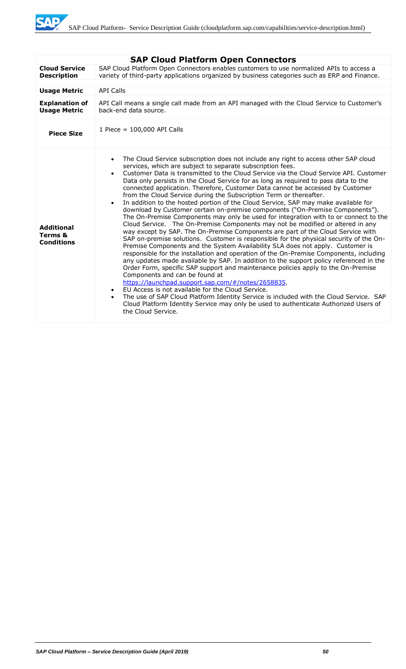SAD

|                                                   | <b>SAP Cloud Platform Open Connectors</b>                                                                                                                                                                                                                                                                                                                                                                                                                                                                                                                                                                                                                                                                                                                                                                                                                                                                                                                                                                                                                                                                                                                                                                                                                                                                                                                                                                                                                                                                                                                                                                                                                                                                                                                                                   |
|---------------------------------------------------|---------------------------------------------------------------------------------------------------------------------------------------------------------------------------------------------------------------------------------------------------------------------------------------------------------------------------------------------------------------------------------------------------------------------------------------------------------------------------------------------------------------------------------------------------------------------------------------------------------------------------------------------------------------------------------------------------------------------------------------------------------------------------------------------------------------------------------------------------------------------------------------------------------------------------------------------------------------------------------------------------------------------------------------------------------------------------------------------------------------------------------------------------------------------------------------------------------------------------------------------------------------------------------------------------------------------------------------------------------------------------------------------------------------------------------------------------------------------------------------------------------------------------------------------------------------------------------------------------------------------------------------------------------------------------------------------------------------------------------------------------------------------------------------------|
| <b>Cloud Service</b><br><b>Description</b>        | SAP Cloud Platform Open Connectors enables customers to use normalized APIs to access a<br>variety of third-party applications organized by business categories such as ERP and Finance.                                                                                                                                                                                                                                                                                                                                                                                                                                                                                                                                                                                                                                                                                                                                                                                                                                                                                                                                                                                                                                                                                                                                                                                                                                                                                                                                                                                                                                                                                                                                                                                                    |
|                                                   |                                                                                                                                                                                                                                                                                                                                                                                                                                                                                                                                                                                                                                                                                                                                                                                                                                                                                                                                                                                                                                                                                                                                                                                                                                                                                                                                                                                                                                                                                                                                                                                                                                                                                                                                                                                             |
| <b>Usage Metric</b>                               | <b>API Calls</b>                                                                                                                                                                                                                                                                                                                                                                                                                                                                                                                                                                                                                                                                                                                                                                                                                                                                                                                                                                                                                                                                                                                                                                                                                                                                                                                                                                                                                                                                                                                                                                                                                                                                                                                                                                            |
| <b>Explanation of</b><br><b>Usage Metric</b>      | API Call means a single call made from an API managed with the Cloud Service to Customer's<br>back-end data source.                                                                                                                                                                                                                                                                                                                                                                                                                                                                                                                                                                                                                                                                                                                                                                                                                                                                                                                                                                                                                                                                                                                                                                                                                                                                                                                                                                                                                                                                                                                                                                                                                                                                         |
| <b>Piece Size</b>                                 | 1 Piece = $100,000$ API Calls                                                                                                                                                                                                                                                                                                                                                                                                                                                                                                                                                                                                                                                                                                                                                                                                                                                                                                                                                                                                                                                                                                                                                                                                                                                                                                                                                                                                                                                                                                                                                                                                                                                                                                                                                               |
| <b>Additional</b><br>Terms &<br><b>Conditions</b> | The Cloud Service subscription does not include any right to access other SAP cloud<br>services, which are subject to separate subscription fees.<br>Customer Data is transmitted to the Cloud Service via the Cloud Service API. Customer<br>$\bullet$<br>Data only persists in the Cloud Service for as long as required to pass data to the<br>connected application. Therefore, Customer Data cannot be accessed by Customer<br>from the Cloud Service during the Subscription Term or thereafter.<br>In addition to the hosted portion of the Cloud Service, SAP may make available for<br>$\bullet$<br>download by Customer certain on-premise components ("On-Premise Components").<br>The On-Premise Components may only be used for integration with to or connect to the<br>Cloud Service. The On-Premise Components may not be modified or altered in any<br>way except by SAP. The On-Premise Components are part of the Cloud Service with<br>SAP on-premise solutions. Customer is responsible for the physical security of the On-<br>Premise Components and the System Availability SLA does not apply. Customer is<br>responsible for the installation and operation of the On-Premise Components, including<br>any updates made available by SAP. In addition to the support policy referenced in the<br>Order Form, specific SAP support and maintenance policies apply to the On-Premise<br>Components and can be found at<br>https://launchpad.support.sap.com/#/notes/2658835.<br>EU Access is not available for the Cloud Service.<br>$\bullet$<br>The use of SAP Cloud Platform Identity Service is included with the Cloud Service. SAP<br>$\bullet$<br>Cloud Platform Identity Service may only be used to authenticate Authorized Users of<br>the Cloud Service. |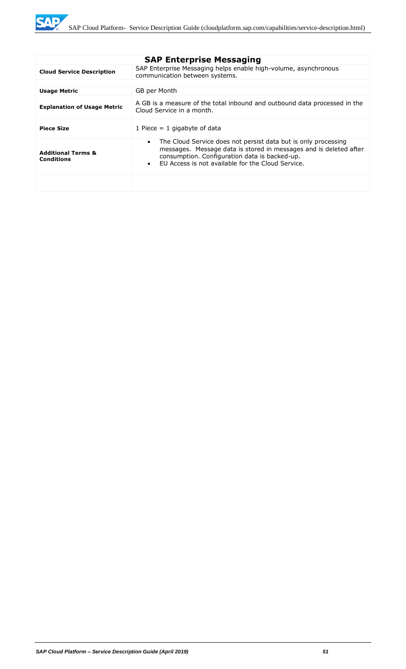**SAP** 

|                                                    | <b>SAP Enterprise Messaging</b>                                                                                                                                                                                                                                     |
|----------------------------------------------------|---------------------------------------------------------------------------------------------------------------------------------------------------------------------------------------------------------------------------------------------------------------------|
| <b>Cloud Service Description</b>                   | SAP Enterprise Messaging helps enable high-volume, asynchronous<br>communication between systems.                                                                                                                                                                   |
|                                                    |                                                                                                                                                                                                                                                                     |
| <b>Usage Metric</b>                                | GB per Month                                                                                                                                                                                                                                                        |
| <b>Explanation of Usage Metric</b>                 | A GB is a measure of the total inbound and outbound data processed in the<br>Cloud Service in a month.                                                                                                                                                              |
| <b>Piece Size</b>                                  | 1 Piece $= 1$ gigabyte of data                                                                                                                                                                                                                                      |
| <b>Additional Terms &amp;</b><br><b>Conditions</b> | The Cloud Service does not persist data but is only processing<br>$\bullet$<br>messages. Message data is stored in messages and is deleted after<br>consumption. Configuration data is backed-up.<br>FU Access is not available for the Cloud Service.<br>$\bullet$ |
|                                                    |                                                                                                                                                                                                                                                                     |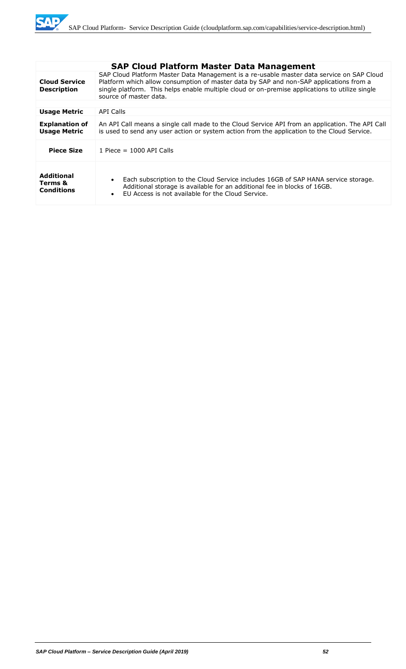

|                                                   | <b>SAP Cloud Platform Master Data Management</b>                                                                                                                                                                                                                                                                |  |
|---------------------------------------------------|-----------------------------------------------------------------------------------------------------------------------------------------------------------------------------------------------------------------------------------------------------------------------------------------------------------------|--|
| <b>Cloud Service</b><br><b>Description</b>        | SAP Cloud Platform Master Data Management is a re-usable master data service on SAP Cloud<br>Platform which allow consumption of master data by SAP and non-SAP applications from a<br>single platform. This helps enable multiple cloud or on-premise applications to utilize single<br>source of master data. |  |
|                                                   |                                                                                                                                                                                                                                                                                                                 |  |
| <b>Usage Metric</b>                               | API Calls                                                                                                                                                                                                                                                                                                       |  |
| <b>Explanation of</b><br><b>Usage Metric</b>      | An API Call means a single call made to the Cloud Service API from an application. The API Call<br>is used to send any user action or system action from the application to the Cloud Service.                                                                                                                  |  |
| <b>Piece Size</b>                                 | 1 Piece = $1000$ API Calls                                                                                                                                                                                                                                                                                      |  |
| <b>Additional</b><br>Terms &<br><b>Conditions</b> | Each subscription to the Cloud Service includes 16GB of SAP HANA service storage.<br>$\bullet$<br>Additional storage is available for an additional fee in blocks of 16GB.<br>FU Access is not available for the Cloud Service.<br>$\bullet$                                                                    |  |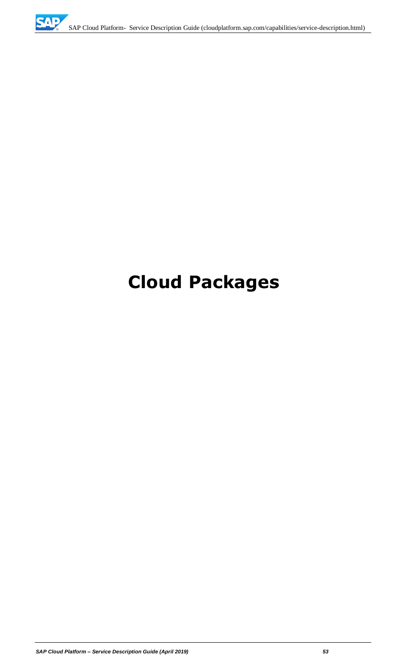# **Cloud Packages**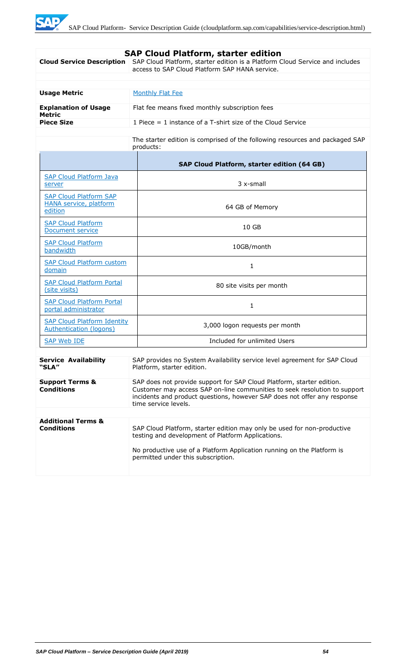| <b>SAP Cloud Platform, starter edition</b>                                                                                                      |                                                                                                                                                                                                                                                        |  |
|-------------------------------------------------------------------------------------------------------------------------------------------------|--------------------------------------------------------------------------------------------------------------------------------------------------------------------------------------------------------------------------------------------------------|--|
| <b>Cloud Service Description</b>                                                                                                                | SAP Cloud Platform, starter edition is a Platform Cloud Service and includes<br>access to SAP Cloud Platform SAP HANA service.                                                                                                                         |  |
|                                                                                                                                                 |                                                                                                                                                                                                                                                        |  |
|                                                                                                                                                 |                                                                                                                                                                                                                                                        |  |
| <b>Usage Metric</b>                                                                                                                             | <b>Monthly Flat Fee</b>                                                                                                                                                                                                                                |  |
| <b>Explanation of Usage</b><br><b>Metric</b>                                                                                                    | Flat fee means fixed monthly subscription fees                                                                                                                                                                                                         |  |
| <b>Piece Size</b>                                                                                                                               | 1 Piece $=$ 1 instance of a T-shirt size of the Cloud Service                                                                                                                                                                                          |  |
|                                                                                                                                                 | The starter edition is comprised of the following resources and packaged SAP<br>products:                                                                                                                                                              |  |
|                                                                                                                                                 | SAP Cloud Platform, starter edition (64 GB)                                                                                                                                                                                                            |  |
| <b>SAP Cloud Platform Java</b><br>server                                                                                                        | 3 x-small                                                                                                                                                                                                                                              |  |
| <b>SAP Cloud Platform SAP</b><br><b>HANA service, platform</b><br>edition                                                                       | 64 GB of Memory                                                                                                                                                                                                                                        |  |
| <b>SAP Cloud Platform</b><br>Document service                                                                                                   | 10 GB                                                                                                                                                                                                                                                  |  |
| <b>SAP Cloud Platform</b><br>bandwidth                                                                                                          | 10GB/month                                                                                                                                                                                                                                             |  |
| <b>SAP Cloud Platform custom</b><br>domain                                                                                                      | 1                                                                                                                                                                                                                                                      |  |
| <b>SAP Cloud Platform Portal</b><br>(site visits)                                                                                               | 80 site visits per month                                                                                                                                                                                                                               |  |
| <b>SAP Cloud Platform Portal</b><br>portal administrator                                                                                        | 1                                                                                                                                                                                                                                                      |  |
| <b>SAP Cloud Platform Identity</b><br>Authentication (logons)                                                                                   | 3,000 logon requests per month                                                                                                                                                                                                                         |  |
| <b>SAP Web IDE</b>                                                                                                                              | Included for unlimited Users                                                                                                                                                                                                                           |  |
| <b>Service Availability</b><br>SAP provides no System Availability service level agreement for SAP Cloud<br>"SLA"<br>Platform, starter edition. |                                                                                                                                                                                                                                                        |  |
| <b>Support Terms &amp;</b><br><b>Conditions</b>                                                                                                 | SAP does not provide support for SAP Cloud Platform, starter edition.<br>Customer may access SAP on-line communities to seek resolution to support<br>incidents and product questions, however SAP does not offer any response<br>time service levels. |  |
|                                                                                                                                                 |                                                                                                                                                                                                                                                        |  |
| <b>Additional Terms &amp;</b><br><b>Conditions</b>                                                                                              | SAP Cloud Platform, starter edition may only be used for non-productive<br>testing and development of Platform Applications.<br>No productive use of a Platform Application running on the Platform is<br>permitted under this subscription.           |  |
|                                                                                                                                                 |                                                                                                                                                                                                                                                        |  |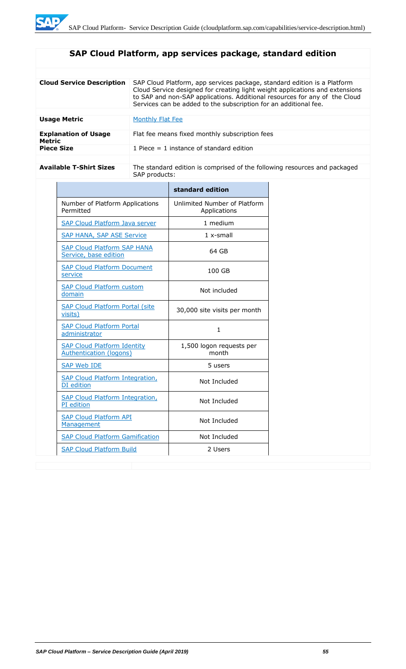# **SAP Cloud Platform, app services package, standard edition**

| <b>Cloud Service Description</b>      | SAP Cloud Platform, app services package, standard edition is a Platform<br>Cloud Service designed for creating light weight applications and extensions<br>to SAP and non-SAP applications. Additional resources for any of the Cloud<br>Services can be added to the subscription for an additional fee. |
|---------------------------------------|------------------------------------------------------------------------------------------------------------------------------------------------------------------------------------------------------------------------------------------------------------------------------------------------------------|
| <b>Usage Metric</b>                   | Monthly Flat Fee                                                                                                                                                                                                                                                                                           |
| <b>Explanation of Usage</b><br>Metric | Flat fee means fixed monthly subscription fees                                                                                                                                                                                                                                                             |
| <b>Piece Size</b>                     | 1 Piece $=$ 1 instance of standard edition                                                                                                                                                                                                                                                                 |

Available T-Shirt Sizes **The standard edition is comprised of the following resources and packaged** SAP products:

|                                                                      | standard edition                             |
|----------------------------------------------------------------------|----------------------------------------------|
| Number of Platform Applications<br>Permitted                         | Unlimited Number of Platform<br>Applications |
| <b>SAP Cloud Platform Java server</b>                                | 1 medium                                     |
| <b>SAP HANA, SAP ASE Service</b>                                     | $1x$ -small                                  |
| <b>SAP Cloud Platform SAP HANA</b><br>Service, base edition          | 64 GB                                        |
| <b>SAP Cloud Platform Document</b><br>service                        | 100 GB                                       |
| <b>SAP Cloud Platform custom</b><br>domain                           | Not included                                 |
| <b>SAP Cloud Platform Portal (site</b><br>visits)                    | 30,000 site visits per month                 |
| <b>SAP Cloud Platform Portal</b><br>administrator                    | 1.                                           |
| <b>SAP Cloud Platform Identity</b><br><b>Authentication (logons)</b> | 1,500 logon requests per<br>month            |
| <b>SAP Web IDE</b>                                                   | 5 users                                      |
| <b>SAP Cloud Platform Integration,</b><br>DI edition                 | Not Included                                 |
| <b>SAP Cloud Platform Integration,</b><br>PI edition                 | Not Included                                 |
| <b>SAP Cloud Platform API</b><br>Management                          | Not Included                                 |
| <b>SAP Cloud Platform Gamification</b>                               | Not Included                                 |
| <b>SAP Cloud Platform Build</b>                                      | 2 Users                                      |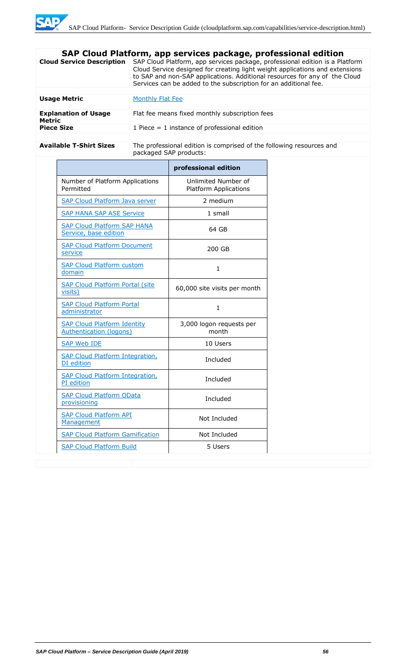|                                              | SAP Cloud Platform, app services package, professional edition                                                                                                                                                                                                                                                 |  |  |
|----------------------------------------------|----------------------------------------------------------------------------------------------------------------------------------------------------------------------------------------------------------------------------------------------------------------------------------------------------------------|--|--|
| <b>Cloud Service Description</b>             | SAP Cloud Platform, app services package, professional edition is a Platform<br>Cloud Service designed for creating light weight applications and extensions<br>to SAP and non-SAP applications. Additional resources for any of the Cloud<br>Services can be added to the subscription for an additional fee. |  |  |
|                                              |                                                                                                                                                                                                                                                                                                                |  |  |
| <b>Usage Metric</b>                          | Monthly Flat Fee                                                                                                                                                                                                                                                                                               |  |  |
| <b>Explanation of Usage</b><br><b>Metric</b> | Flat fee means fixed monthly subscription fees                                                                                                                                                                                                                                                                 |  |  |
| <b>Piece Size</b>                            | 1 Piece $=$ 1 instance of professional edition                                                                                                                                                                                                                                                                 |  |  |
|                                              |                                                                                                                                                                                                                                                                                                                |  |  |
| <b>Available T-Shirt Sizes</b>               | The professional edition is comprised of the following resources and<br>packaged SAP products:                                                                                                                                                                                                                 |  |  |

|                                                                      | professional edition                                |
|----------------------------------------------------------------------|-----------------------------------------------------|
| Number of Platform Applications<br>Permitted                         | Unlimited Number of<br><b>Platform Applications</b> |
| <b>SAP Cloud Platform Java server</b>                                | 2 medium                                            |
| <b>SAP HANA SAP ASE Service</b>                                      | 1 small                                             |
| <b>SAP Cloud Platform SAP HANA</b><br>Service, base edition          | 64 GB                                               |
| <b>SAP Cloud Platform Document</b><br>service                        | 200 GB                                              |
| <b>SAP Cloud Platform custom</b><br>domain                           | 1                                                   |
| <b>SAP Cloud Platform Portal (site)</b><br>visits)                   | 60,000 site visits per month                        |
| <b>SAP Cloud Platform Portal</b><br>administrator                    | 1                                                   |
| <b>SAP Cloud Platform Identity</b><br><b>Authentication (logons)</b> | 3,000 logon requests per<br>month                   |
| <b>SAP Web IDE</b>                                                   | 10 Users                                            |
| <b>SAP Cloud Platform Integration,</b><br>DI edition                 | Included                                            |
| <b>SAP Cloud Platform Integration,</b><br>PI edition                 | Included                                            |
| <b>SAP Cloud Platform OData</b><br>provisioning                      | Included                                            |
| <b>SAP Cloud Platform API</b><br>Management                          | Not Included                                        |
| <b>SAP Cloud Platform Gamification</b>                               | Not Included                                        |
| <b>SAP Cloud Platform Build</b>                                      | 5 Users                                             |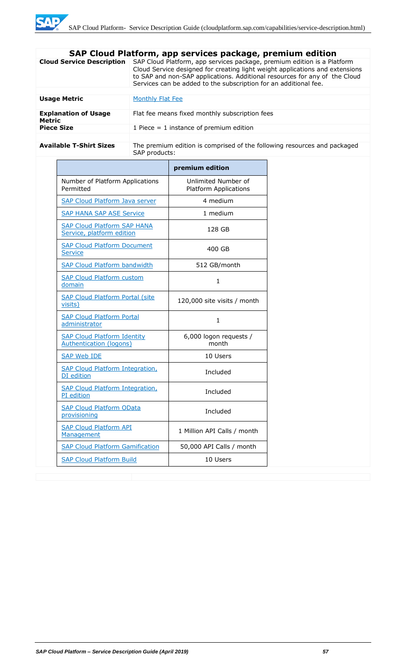|                                              | SAP Cloud Platform, app services package, premium edition                                                                                                                                                                                                                                                 |  |  |
|----------------------------------------------|-----------------------------------------------------------------------------------------------------------------------------------------------------------------------------------------------------------------------------------------------------------------------------------------------------------|--|--|
| <b>Cloud Service Description</b>             | SAP Cloud Platform, app services package, premium edition is a Platform<br>Cloud Service designed for creating light weight applications and extensions<br>to SAP and non-SAP applications. Additional resources for any of the Cloud<br>Services can be added to the subscription for an additional fee. |  |  |
|                                              |                                                                                                                                                                                                                                                                                                           |  |  |
| <b>Usage Metric</b>                          | Monthly Flat Fee                                                                                                                                                                                                                                                                                          |  |  |
| <b>Explanation of Usage</b><br><b>Metric</b> | Flat fee means fixed monthly subscription fees                                                                                                                                                                                                                                                            |  |  |
| <b>Piece Size</b>                            | 1 Piece $=$ 1 instance of premium edition                                                                                                                                                                                                                                                                 |  |  |
|                                              |                                                                                                                                                                                                                                                                                                           |  |  |
| <b>Available T-Shirt Sizes</b>               | The premium edition is comprised of the following resources and packaged<br>SAP products:                                                                                                                                                                                                                 |  |  |

|                                                                      | premium edition                                     |
|----------------------------------------------------------------------|-----------------------------------------------------|
| Number of Platform Applications<br>Permitted                         | Unlimited Number of<br><b>Platform Applications</b> |
| <b>SAP Cloud Platform Java server</b>                                | 4 medium                                            |
| <b>SAP HANA SAP ASE Service</b>                                      | 1 medium                                            |
| <b>SAP Cloud Platform SAP HANA</b><br>Service, platform edition      | 128 GB                                              |
| <b>SAP Cloud Platform Document</b><br><b>Service</b>                 | 400 GB                                              |
| <b>SAP Cloud Platform bandwidth</b>                                  | 512 GB/month                                        |
| <b>SAP Cloud Platform custom</b><br>domain                           | $\mathbf{1}$                                        |
| <b>SAP Cloud Platform Portal (site</b><br>visits)                    | 120,000 site visits / month                         |
| <b>SAP Cloud Platform Portal</b><br>administrator                    | $\mathbf{1}$                                        |
| <b>SAP Cloud Platform Identity</b><br><b>Authentication (logons)</b> | 6,000 logon requests /<br>month                     |
| <b>SAP Web IDE</b>                                                   | 10 Users                                            |
| <b>SAP Cloud Platform Integration,</b><br>DI edition                 | Included                                            |
| <b>SAP Cloud Platform Integration,</b><br>PI edition                 | Included                                            |
| <b>SAP Cloud Platform OData</b><br>provisioning                      | Included                                            |
| <b>SAP Cloud Platform API</b><br>Management                          | 1 Million API Calls / month                         |
| <b>SAP Cloud Platform Gamification</b>                               | 50,000 API Calls / month                            |
| <b>SAP Cloud Platform Build</b>                                      | 10 Users                                            |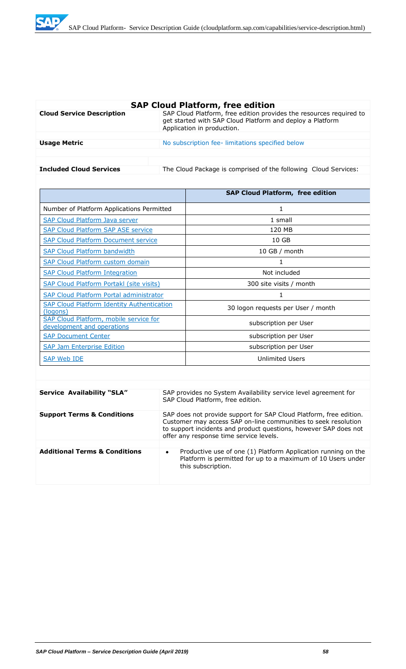

| <b>SAP Cloud Platform, free edition</b> |                                                                                                                                                                |  |
|-----------------------------------------|----------------------------------------------------------------------------------------------------------------------------------------------------------------|--|
| <b>Cloud Service Description</b>        | SAP Cloud Platform, free edition provides the resources required to<br>get started with SAP Cloud Platform and deploy a Platform<br>Application in production. |  |
|                                         |                                                                                                                                                                |  |
| <b>Usage Metric</b>                     | No subscription fee-limitations specified below                                                                                                                |  |
|                                         |                                                                                                                                                                |  |
|                                         |                                                                                                                                                                |  |
| <b>Included Cloud Services</b>          | The Cloud Package is comprised of the following Cloud Services:                                                                                                |  |

|                                                                      | <b>SAP Cloud Platform, free edition</b> |
|----------------------------------------------------------------------|-----------------------------------------|
| Number of Platform Applications Permitted                            | 1                                       |
| SAP Cloud Platform Java server                                       | 1 small                                 |
| <b>SAP Cloud Platform SAP ASE service</b>                            | 120 MB                                  |
| <b>SAP Cloud Platform Document service</b>                           | 10 <sub>GB</sub>                        |
| <b>SAP Cloud Platform bandwidth</b>                                  | $10$ GB / month                         |
| <b>SAP Cloud Platform custom domain</b>                              | 1                                       |
| <b>SAP Cloud Platform Integration</b>                                | Not included                            |
| <b>SAP Cloud Platform Portakl (site visits)</b>                      | 300 site visits / month                 |
| <b>SAP Cloud Platform Portal administrator</b>                       | 1                                       |
| <b>SAP Cloud Platform Identity Authentication</b><br>(logons)        | 30 logon requests per User / month      |
| SAP Cloud Platform, mobile service for<br>development and operations | subscription per User                   |
| <b>SAP Document Center</b>                                           | subscription per User                   |
| <b>SAP Jam Enterprise Edition</b>                                    | subscription per User                   |
| SAP Web IDE                                                          | <b>Unlimited Users</b>                  |

| <b>Service Availability "SLA"</b>        | SAP provides no System Availability service level agreement for<br>SAP Cloud Platform, free edition.                                                                                                                                                |
|------------------------------------------|-----------------------------------------------------------------------------------------------------------------------------------------------------------------------------------------------------------------------------------------------------|
| <b>Support Terms &amp; Conditions</b>    | SAP does not provide support for SAP Cloud Platform, free edition.<br>Customer may access SAP on-line communities to seek resolution<br>to support incidents and product questions, however SAP does not<br>offer any response time service levels. |
|                                          |                                                                                                                                                                                                                                                     |
| <b>Additional Terms &amp; Conditions</b> | Productive use of one (1) Platform Application running on the<br>$\bullet$<br>Platform is permitted for up to a maximum of 10 Users under<br>this subscription.                                                                                     |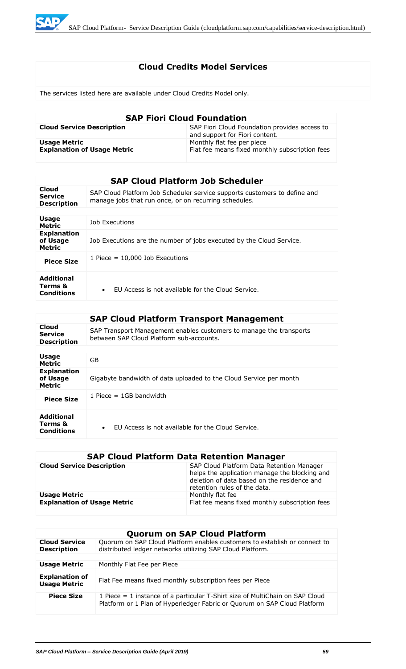

# **Cloud Credits Model Services**

The services listed here are available under Cloud Credits Model only.

| <b>SAP Fiori Cloud Foundation</b>  |                                                                                 |  |
|------------------------------------|---------------------------------------------------------------------------------|--|
| <b>Cloud Service Description</b>   | SAP Fiori Cloud Foundation provides access to<br>and support for Fiori content. |  |
| <b>Usage Metric</b>                | Monthly flat fee per piece                                                      |  |
| <b>Explanation of Usage Metric</b> | Flat fee means fixed monthly subscription fees                                  |  |

|                                                 | <b>SAP Cloud Platform Job Scheduler</b>                                                                                            |
|-------------------------------------------------|------------------------------------------------------------------------------------------------------------------------------------|
| Cloud<br><b>Service</b><br><b>Description</b>   | SAP Cloud Platform Job Scheduler service supports customers to define and<br>manage jobs that run once, or on recurring schedules. |
|                                                 |                                                                                                                                    |
| <b>Usage</b><br><b>Metric</b>                   | Job Executions                                                                                                                     |
| <b>Explanation</b><br>of Usage<br><b>Metric</b> | Job Executions are the number of jobs executed by the Cloud Service.                                                               |
| <b>Piece Size</b>                               | 1 Piece $= 10,000$ Job Executions                                                                                                  |
| <b>Additional</b><br>Terms &<br>Conditions      | FU Access is not available for the Cloud Service.<br>$\bullet$                                                                     |

|                                                   | <b>SAP Cloud Platform Transport Management</b>                                                                  |
|---------------------------------------------------|-----------------------------------------------------------------------------------------------------------------|
| Cloud<br><b>Service</b><br><b>Description</b>     | SAP Transport Management enables customers to manage the transports<br>between SAP Cloud Platform sub-accounts. |
|                                                   |                                                                                                                 |
| <b>Usage</b><br><b>Metric</b>                     | GB.                                                                                                             |
| <b>Explanation</b><br>of Usage<br><b>Metric</b>   | Gigabyte bandwidth of data uploaded to the Cloud Service per month                                              |
| <b>Piece Size</b>                                 | 1 Piece $=$ 1GB bandwidth                                                                                       |
| <b>Additional</b><br>Terms &<br><b>Conditions</b> | FU Access is not available for the Cloud Service.<br>$\bullet$                                                  |

# **SAP Cloud Platform Data Retention Manager**

| <b>Cloud Service Description</b>   | SAP Cloud Platform Data Retention Manager<br>helps the application manage the blocking and<br>deletion of data based on the residence and<br>retention rules of the data. |
|------------------------------------|---------------------------------------------------------------------------------------------------------------------------------------------------------------------------|
| <b>Usage Metric</b>                | Monthly flat fee                                                                                                                                                          |
| <b>Explanation of Usage Metric</b> | Flat fee means fixed monthly subscription fees                                                                                                                            |

|                                              | <b>Quorum on SAP Cloud Platform</b>                                                                                                                      |
|----------------------------------------------|----------------------------------------------------------------------------------------------------------------------------------------------------------|
| <b>Cloud Service</b><br><b>Description</b>   | Quorum on SAP Cloud Platform enables customers to establish or connect to<br>distributed ledger networks utilizing SAP Cloud Platform.                   |
|                                              |                                                                                                                                                          |
| <b>Usage Metric</b>                          | Monthly Flat Fee per Piece                                                                                                                               |
| <b>Explanation of</b><br><b>Usage Metric</b> | Flat Fee means fixed monthly subscription fees per Piece                                                                                                 |
| <b>Piece Size</b>                            | 1 Piece = 1 instance of a particular T-Shirt size of MultiChain on SAP Cloud<br>Platform or 1 Plan of Hyperledger Fabric or Quorum on SAP Cloud Platform |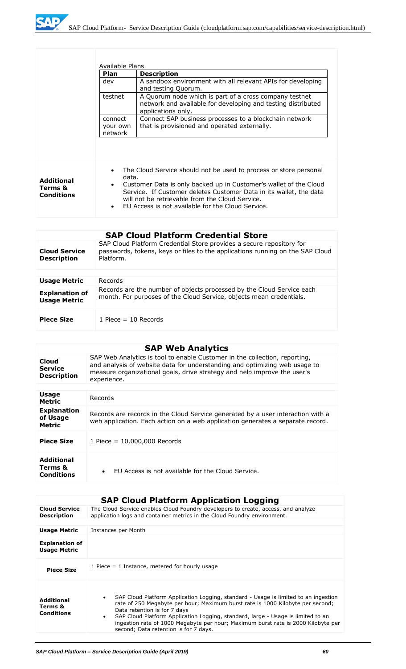

|                                                   | Available Plans                 |                                                                                                                                                                                                                                                                                                                      |
|---------------------------------------------------|---------------------------------|----------------------------------------------------------------------------------------------------------------------------------------------------------------------------------------------------------------------------------------------------------------------------------------------------------------------|
|                                                   | Plan                            | <b>Description</b>                                                                                                                                                                                                                                                                                                   |
|                                                   | dev                             | A sandbox environment with all relevant APIs for developing<br>and testing Quorum.                                                                                                                                                                                                                                   |
|                                                   | testnet                         | A Quorum node which is part of a cross company testnet<br>network and available for developing and testing distributed<br>applications only.                                                                                                                                                                         |
|                                                   | connect<br>your own<br>network  | Connect SAP business processes to a blockchain network<br>that is provisioned and operated externally.                                                                                                                                                                                                               |
| <b>Additional</b><br>Terms &<br><b>Conditions</b> | data.<br>$\bullet$<br>$\bullet$ | The Cloud Service should not be used to process or store personal<br>Customer Data is only backed up in Customer's wallet of the Cloud<br>Service. If Customer deletes Customer Data in its wallet, the data<br>will not be retrievable from the Cloud Service.<br>FU Access is not available for the Cloud Service. |

|                                              | <b>SAP Cloud Platform Credential Store</b>                                                                                                                         |
|----------------------------------------------|--------------------------------------------------------------------------------------------------------------------------------------------------------------------|
| <b>Cloud Service</b><br><b>Description</b>   | SAP Cloud Platform Credential Store provides a secure repository for<br>passwords, tokens, keys or files to the applications running on the SAP Cloud<br>Platform. |
|                                              |                                                                                                                                                                    |
| <b>Usage Metric</b>                          | Records                                                                                                                                                            |
| <b>Explanation of</b><br><b>Usage Metric</b> | Records are the number of objects processed by the Cloud Service each<br>month. For purposes of the Cloud Service, objects mean credentials.                       |
| <b>Piece Size</b>                            | 1 Piece $=$ 10 Records                                                                                                                                             |

# **SAP Web Analytics**

| Cloud<br><b>Service</b><br><b>Description</b>   | SAP Web Analytics is tool to enable Customer in the collection, reporting,<br>and analysis of website data for understanding and optimizing web usage to<br>measure organizational goals, drive strategy and help improve the user's<br>experience. |
|-------------------------------------------------|-----------------------------------------------------------------------------------------------------------------------------------------------------------------------------------------------------------------------------------------------------|
|                                                 |                                                                                                                                                                                                                                                     |
| <b>Usage</b><br>Metric                          | Records                                                                                                                                                                                                                                             |
| <b>Explanation</b><br>of Usage<br><b>Metric</b> | Records are records in the Cloud Service generated by a user interaction with a<br>web application. Each action on a web application generates a separate record.                                                                                   |
| <b>Piece Size</b>                               | 1 Piece = $10,000,000$ Records                                                                                                                                                                                                                      |
| Additional<br>Terms &<br><b>Conditions</b>      | EU Access is not available for the Cloud Service.<br>$\bullet$                                                                                                                                                                                      |
|                                                 |                                                                                                                                                                                                                                                     |

|                                                   | <b>SAP Cloud Platform Application Logging</b>                                                                                                                                                                                                                                                                                                                                                                                                     |
|---------------------------------------------------|---------------------------------------------------------------------------------------------------------------------------------------------------------------------------------------------------------------------------------------------------------------------------------------------------------------------------------------------------------------------------------------------------------------------------------------------------|
| <b>Cloud Service</b><br><b>Description</b>        | The Cloud Service enables Cloud Foundry developers to create, access, and analyze<br>application logs and container metrics in the Cloud Foundry environment.                                                                                                                                                                                                                                                                                     |
|                                                   |                                                                                                                                                                                                                                                                                                                                                                                                                                                   |
| <b>Usage Metric</b>                               | Instances per Month                                                                                                                                                                                                                                                                                                                                                                                                                               |
| <b>Explanation of</b><br><b>Usage Metric</b>      |                                                                                                                                                                                                                                                                                                                                                                                                                                                   |
| <b>Piece Size</b>                                 | 1 Piece $=$ 1 Instance, metered for hourly usage                                                                                                                                                                                                                                                                                                                                                                                                  |
| <b>Additional</b><br>Terms &<br><b>Conditions</b> | SAP Cloud Platform Application Logging, standard - Usage is limited to an ingestion<br>$\bullet$<br>rate of 250 Megabyte per hour; Maximum burst rate is 1000 Kilobyte per second;<br>Data retention is for 7 days<br>SAP Cloud Platform Application Logging, standard, large - Usage is limited to an<br>$\bullet$<br>ingestion rate of 1000 Megabyte per hour; Maximum burst rate is 2000 Kilobyte per<br>second; Data retention is for 7 days. |